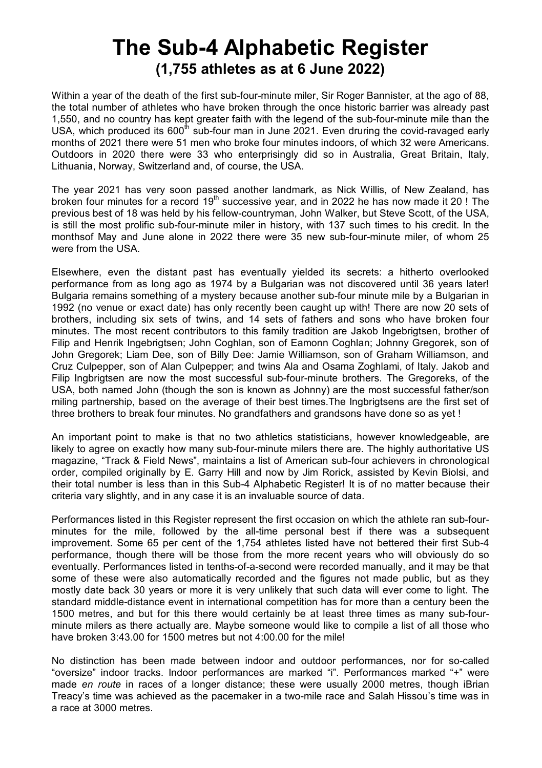# **The Sub-4 Alphabetic Register (1,755 athletes as at 6 June 2022)**

Within a year of the death of the first sub-four-minute miler. Sir Roger Bannister, at the ago of 88, the total number of athletes who have broken through the once historic barrier was already past 1,550, and no country has kept greater faith with the legend of the sub-four-minute mile than the USA, which produced its  $600^{\text{th}}$  sub-four man in June 2021. Even druring the covid-ravaged early months of 2021 there were 51 men who broke four minutes indoors, of which 32 were Americans. Outdoors in 2020 there were 33 who enterprisingly did so in Australia, Great Britain, Italy, Lithuania, Norway, Switzerland and, of course, the USA.

The year 2021 has very soon passed another landmark, as Nick Willis, of New Zealand, has broken four minutes for a record  $19<sup>th</sup>$  successive year, and in 2022 he has now made it 20 ! The previous best of 18 was held by his fellow-countryman, John Walker, but Steve Scott, of the USA, is still the most prolific sub-four-minute miler in history, with 137 such times to his credit. In the monthsof May and June alone in 2022 there were 35 new sub-four-minute miler, of whom 25 were from the USA.

Elsewhere, even the distant past has eventually yielded its secrets: a hitherto overlooked performance from as long ago as 1974 by a Bulgarian was not discovered until 36 years later! Bulgaria remains something of a mystery because another sub-four minute mile by a Bulgarian in 1992 (no venue or exact date) has only recently been caught up with! There are now 20 sets of brothers, including six sets of twins, and 14 sets of fathers and sons who have broken four minutes. The most recent contributors to this family tradition are Jakob Ingebrigtsen, brother of Filip and Henrik Ingebrigtsen; John Coghlan, son of Eamonn Coghlan; Johnny Gregorek, son of John Gregorek; Liam Dee, son of Billy Dee: Jamie Williamson, son of Graham Williamson, and Cruz Culpepper, son of Alan Culpepper; and twins Ala and Osama Zoghlami, of Italy. Jakob and Filip Ingbrigtsen are now the most successful sub-four-minute brothers. The Gregoreks, of the USA, both named John (though the son is known as Johnny) are the most successful father/son miling partnership, based on the average of their best times.The Ingbrigtsens are the first set of three brothers to break four minutes. No grandfathers and grandsons have done so as yet !

An important point to make is that no two athletics statisticians, however knowledgeable, are likely to agree on exactly how many sub-four-minute milers there are. The highly authoritative US magazine, "Track & Field News", maintains a list of American sub-four achievers in chronological order, compiled originally by E. Garry Hill and now by Jim Rorick, assisted by Kevin Biolsi, and their total number is less than in this Sub-4 Alphabetic Register! It is of no matter because their criteria vary slightly, and in any case it is an invaluable source of data.

Performances listed in this Register represent the first occasion on which the athlete ran sub-fourminutes for the mile, followed by the all-time personal best if there was a subsequent improvement. Some 65 per cent of the 1,754 athletes listed have not bettered their first Sub-4 performance, though there will be those from the more recent years who will obviously do so eventually. Performances listed in tenths-of-a-second were recorded manually, and it may be that some of these were also automatically recorded and the figures not made public, but as they mostly date back 30 years or more it is very unlikely that such data will ever come to light. The standard middle-distance event in international competition has for more than a century been the 1500 metres, and but for this there would certainly be at least three times as many sub-fourminute milers as there actually are. Maybe someone would like to compile a list of all those who have broken 3:43.00 for 1500 metres but not 4:00.00 for the mile!

No distinction has been made between indoor and outdoor performances, nor for so-called "oversize" indoor tracks. Indoor performances are marked "i". Performances marked "+" were made *en route* in races of a longer distance; these were usually 2000 metres, though iBrian Treacy's time was achieved as the pacemaker in a two-mile race and Salah Hissou's time was in a race at 3000 metres.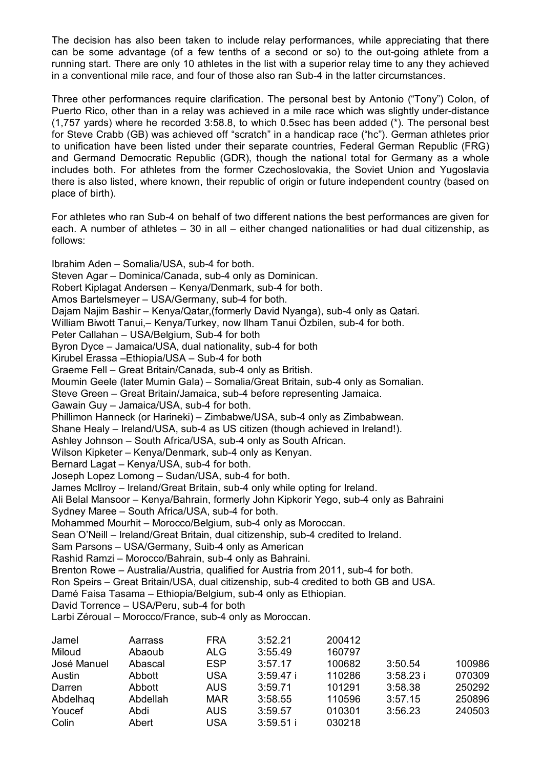The decision has also been taken to include relay performances, while appreciating that there can be some advantage (of a few tenths of a second or so) to the out-going athlete from a running start. There are only 10 athletes in the list with a superior relay time to any they achieved in a conventional mile race, and four of those also ran Sub-4 in the latter circumstances.

Three other performances require clarification. The personal best by Antonio ("Tony") Colon, of Puerto Rico, other than in a relay was achieved in a mile race which was slightly under-distance (1,757 yards) where he recorded 3:58.8, to which 0.5sec has been added (\*). The personal best for Steve Crabb (GB) was achieved off "scratch" in a handicap race ("hc"). German athletes prior to unification have been listed under their separate countries, Federal German Republic (FRG) and Germand Democratic Republic (GDR), though the national total for Germany as a whole includes both. For athletes from the former Czechoslovakia, the Soviet Union and Yugoslavia there is also listed, where known, their republic of origin or future independent country (based on place of birth).

For athletes who ran Sub-4 on behalf of two different nations the best performances are given for each. A number of athletes – 30 in all – either changed nationalities or had dual citizenship, as follows:

Ibrahim Aden – Somalia/USA, sub-4 for both. Steven Agar – Dominica/Canada, sub-4 only as Dominican. Robert Kiplagat Andersen – Kenya/Denmark, sub-4 for both. Amos Bartelsmeyer – USA/Germany, sub-4 for both. Dajam Najim Bashir – Kenya/Qatar,(formerly David Nyanga), sub-4 only as Qatari. William Biwott Tanui,– Kenya/Turkey, now Ilham Tanui Özbilen, sub-4 for both. Peter Callahan – USA/Belgium, Sub-4 for both Byron Dyce – Jamaica/USA, dual nationality, sub-4 for both Kirubel Erassa –Ethiopia/USA – Sub-4 for both Graeme Fell – Great Britain/Canada, sub-4 only as British. Moumin Geele (later Mumin Gala) – Somalia/Great Britain, sub-4 only as Somalian. Steve Green – Great Britain/Jamaica, sub-4 before representing Jamaica. Gawain Guy – Jamaica/USA, sub-4 for both. Phillimon Hanneck (or Harineki) – Zimbabwe/USA, sub-4 only as Zimbabwean. Shane Healy – Ireland/USA, sub-4 as US citizen (though achieved in Ireland!). Ashley Johnson – South Africa/USA, sub-4 only as South African. Wilson Kipketer – Kenya/Denmark, sub-4 only as Kenyan. Bernard Lagat – Kenya/USA, sub-4 for both. Joseph Lopez Lomong – Sudan/USA, sub-4 for both. James McIlroy – Ireland/Great Britain, sub-4 only while opting for Ireland. Ali Belal Mansoor – Kenya/Bahrain, formerly John Kipkorir Yego, sub-4 only as Bahraini Sydney Maree – South Africa/USA, sub-4 for both. Mohammed Mourhit – Morocco/Belgium, sub-4 only as Moroccan. Sean O'Neill – Ireland/Great Britain, dual citizenship, sub-4 credited to Ireland. Sam Parsons – USA/Germany, Suib-4 only as American Rashid Ramzi – Morocco/Bahrain, sub-4 only as Bahraini. Brenton Rowe – Australia/Austria, qualified for Austria from 2011, sub-4 for both. Ron Speirs – Great Britain/USA, dual citizenship, sub-4 credited to both GB and USA. Damé Faisa Tasama – Ethiopia/Belgium, sub-4 only as Ethiopian. David Torrence – USA/Peru, sub-4 for both Larbi Zéroual – Morocco/France, sub-4 only as Moroccan. Jamel Aarrass FRA 3:52.21 200412 Miloud Abaoub ALG 3:55.49 160797

| <b>IVIIIOUU</b> | Ababub   | ALG        | <b>J.JJ.49</b> | 100/97 |             |        |
|-----------------|----------|------------|----------------|--------|-------------|--------|
| José Manuel     | Abascal  | ESP        | 3:57.17        | 100682 | 3:50.54     | 100986 |
| Austin          | Abbott   | USA        | 3:59.47i       | 110286 | $3:58.23$ i | 070309 |
| Darren          | Abbott   | AUS        | 3:59.71        | 101291 | 3:58.38     | 250292 |
| Abdelhag        | Abdellah | <b>MAR</b> | 3:58.55        | 110596 | 3:57.15     | 250896 |
| Youcef          | Abdi     | AUS        | 3:59.57        | 010301 | 3:56.23     | 240503 |
| Colin           | Abert    | USA        | $3:59.51$ i    | 030218 |             |        |
|                 |          |            |                |        |             |        |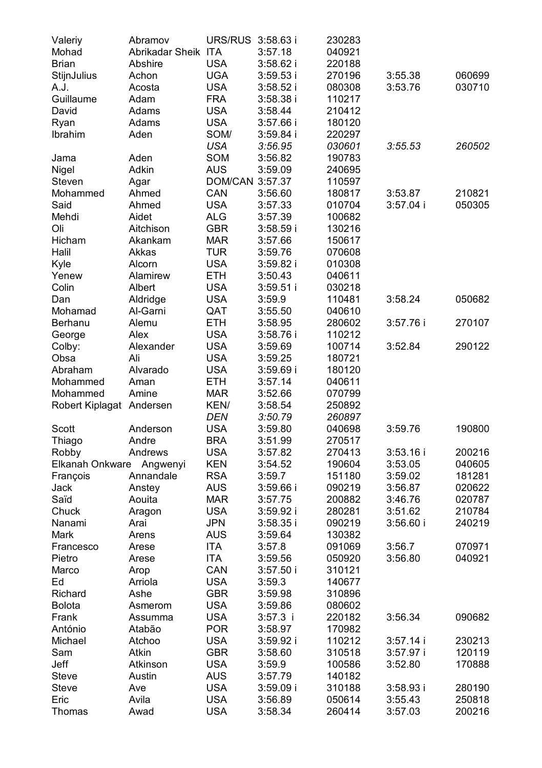| Valeriy                  | Abramov             | URS/RUS         | $3:58.63$ i | 230283 |             |        |
|--------------------------|---------------------|-----------------|-------------|--------|-------------|--------|
| Mohad                    | Abrikadar Sheik ITA |                 | 3:57.18     | 040921 |             |        |
| Brian                    | Abshire             | <b>USA</b>      | $3:58.62$ i | 220188 |             |        |
| <b>StijnJulius</b>       | Achon               | <b>UGA</b>      | $3:59.53$ i | 270196 | 3:55.38     | 060699 |
| A.J.                     | Acosta              | <b>USA</b>      | 3:58.52i    | 080308 | 3:53.76     | 030710 |
| Guillaume                | Adam                | <b>FRA</b>      | 3:58.38 i   | 110217 |             |        |
| David                    | Adams               | <b>USA</b>      | 3:58.44     | 210412 |             |        |
| Ryan                     | Adams               | <b>USA</b>      | $3:57.66$ i | 180120 |             |        |
| Ibrahim                  | Aden                | SOM/            | $3:59.84$ i | 220297 |             |        |
|                          |                     | USA             | 3:56.95     | 030601 | 3:55.53     | 260502 |
| Jama                     | Aden                | SOM             | 3:56.82     | 190783 |             |        |
| Nigel                    | Adkin               | AUS             | 3:59.09     | 240695 |             |        |
| Steven                   | Agar                | DOM/CAN 3:57.37 |             | 110597 |             |        |
| Mohammed                 | Ahmed               | CAN             | 3:56.60     | 180817 | 3:53.87     | 210821 |
| Said                     | Ahmed               | USA             | 3:57.33     | 010704 | $3:57.04$ i | 050305 |
| Mehdi                    | Aidet               | ALG             | 3:57.39     | 100682 |             |        |
| Oli                      | Aitchison           | GBR             | $3:58.59$ i | 130216 |             |        |
| Hicham                   | Akankam             | MAR             | 3:57.66     | 150617 |             |        |
| Halil                    | Akkas               | TUR             | 3:59.76     | 070608 |             |        |
| Kyle                     | Alcorn              | USA             | 3:59.82 i   | 010308 |             |        |
| Yenew                    | Alamirew            | ETH             | 3:50.43     | 040611 |             |        |
| Colin                    | Albert              | <b>USA</b>      | $3:59.51$ i | 030218 |             |        |
| Dan                      | Aldridge            | USA             | 3:59.9      | 110481 | 3:58.24     | 050682 |
| Mohamad                  | Al-Garni            | QAT             | 3:55.50     | 040610 |             |        |
| Berhanu                  | Alemu               | ETH             | 3:58.95     | 280602 | 3:57.76 i   | 270107 |
| George                   | Alex                | <b>USA</b>      | 3:58.76i    | 110212 |             |        |
| Colby:                   | Alexander           | <b>USA</b>      | 3:59.69     | 100714 | 3:52.84     | 290122 |
| Obsa                     | Ali                 | <b>USA</b>      | 3:59.25     | 180721 |             |        |
| Abraham                  | Alvarado            | <b>USA</b>      | $3:59.69$ i | 180120 |             |        |
| Mohammed                 | Aman                | ETH             | 3:57.14     | 040611 |             |        |
| Mohammed                 | Amine               | MAR             | 3:52.66     | 070799 |             |        |
| Robert Kiplagat Andersen |                     | KEN/            | 3:58.54     | 250892 |             |        |
|                          |                     | DEN             | 3:50.79     | 260897 |             |        |
| Scott                    | Anderson            | USA             | 3:59.80     | 040698 | 3:59.76     | 190800 |
| Thiago                   | Andre               | <b>BRA</b>      | 3:51.99     | 270517 |             |        |
| Robby                    | Andrews             | USA             | 3:57.82     | 270413 | 3:53.16i    | 200216 |
| Elkanah Onkware          | Angwenyi            | KEN             | 3:54.52     | 190604 | 3:53.05     | 040605 |
| François                 | Annandale           | <b>RSA</b>      | 3:59.7      | 151180 | 3:59.02     | 181281 |
| Jack                     | Anstey              | AUS             | $3:59.66$ i | 090219 | 3:56.87     | 020622 |
| Saïd                     | Aouita              | MAR             | 3:57.75     | 200882 | 3:46.76     | 020787 |
| Chuck                    | Aragon              | USA             | 3:59.92i    | 280281 | 3:51.62     | 210784 |
| Nanami                   | Arai                | JPN             | $3:58.35$ i | 090219 | 3:56.60 i   | 240219 |
| Mark                     | Arens               | AUS             | 3:59.64     | 130382 |             |        |
| Francesco                | Arese               | ITA             | 3:57.8      | 091069 | 3:56.7      | 070971 |
| Pietro                   | Arese               | ITA             | 3:59.56     | 050920 | 3:56.80     | 040921 |
| Marco                    | Arop                | CAN             | 3:57.50i    | 310121 |             |        |
| Ed                       | Arriola             | USA             | 3:59.3      | 140677 |             |        |
| Richard                  | Ashe                | GBR             | 3:59.98     | 310896 |             |        |
| Bolota                   | Asmerom             | USA             | 3:59.86     | 080602 |             |        |
| Frank                    | Assumma             | <b>USA</b>      | $3:57.3$ i  | 220182 | 3:56.34     | 090682 |
| António                  | Atabão              | <b>POR</b>      | 3:58.97     | 170982 |             |        |
| Michael                  | Atchoo              | <b>USA</b>      | 3:59.92i    | 110212 | $3:57.14$ i | 230213 |
| Sam                      | Atkin               | <b>GBR</b>      | 3:58.60     | 310518 | 3:57.97 i   | 120119 |
| Jeff                     | Atkinson            | <b>USA</b>      | 3:59.9      | 100586 | 3:52.80     | 170888 |
| <b>Steve</b>             | Austin              | AUS             | 3:57.79     | 140182 |             |        |
| Steve                    | Ave                 | <b>USA</b>      | 3:59.09i    | 310188 | 3:58.93i    | 280190 |
| Eric                     | Avila               | <b>USA</b>      | 3:56.89     | 050614 | 3:55.43     | 250818 |
| Thomas                   | Awad                | <b>USA</b>      | 3:58.34     | 260414 | 3:57.03     | 200216 |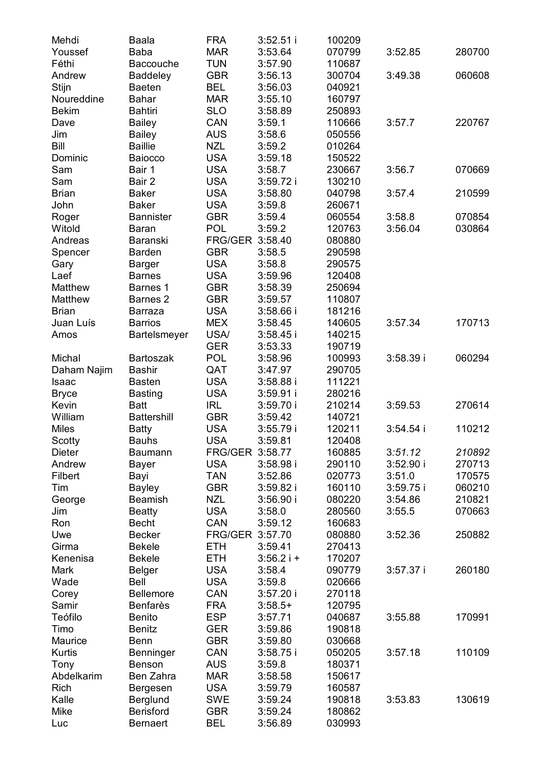| Mehdi        | Baala              | FRA             | $3:52.51$ i | 100209 |             |        |
|--------------|--------------------|-----------------|-------------|--------|-------------|--------|
| Youssef      | Baba               | <b>MAR</b>      | 3:53.64     | 070799 | 3:52.85     | 280700 |
| Féthi        | Baccouche          | TUN             | 3:57.90     | 110687 |             |        |
| Andrew       | Baddeley           | GBR             | 3:56.13     | 300704 | 3:49.38     | 060608 |
| Stijn        | <b>Baeten</b>      | BEL             | 3:56.03     | 040921 |             |        |
| Noureddine   | Bahar              | MAR             | 3:55.10     | 160797 |             |        |
| Bekim        | Bahtiri            | SLO             | 3:58.89     | 250893 |             |        |
| Dave         | Bailey             | CAN             | 3:59.1      | 110666 | 3:57.7      | 220767 |
| Jim          | Bailey             | AUS             | 3:58.6      | 050556 |             |        |
| Bill         | <b>Baillie</b>     | <b>NZL</b>      | 3:59.2      | 010264 |             |        |
| Dominic      | Baiocco            | USA             | 3:59.18     | 150522 |             |        |
| Sam          | Bair 1             | <b>USA</b>      | 3:58.7      | 230667 | 3:56.7      | 070669 |
| Sam          | Bair 2             | USA             | 3:59.72 i   | 130210 |             |        |
| Brian        | Baker              | <b>USA</b>      | 3:58.80     | 040798 | 3:57.4      | 210599 |
| John         | Baker              | USA             | 3:59.8      | 260671 |             |        |
| Roger        | <b>Bannister</b>   | GBR             | 3:59.4      | 060554 | 3:58.8      | 070854 |
| Witold       | Baran              | POL             | 3:59.2      | 120763 | 3:56.04     | 030864 |
| Andreas      | Baranski           | FRG/GER 3:58.40 |             | 080880 |             |        |
| Spencer      | <b>Barden</b>      | GBR             | 3:58.5      | 290598 |             |        |
|              |                    | USA             | 3:58.8      | 290575 |             |        |
| Gary<br>Laef | Barger             | USA             |             |        |             |        |
|              | <b>Barnes</b>      |                 | 3:59.96     | 120408 |             |        |
| Matthew      | Barnes 1           | <b>GBR</b>      | 3:58.39     | 250694 |             |        |
| Matthew      | Barnes 2           | GBR             | 3:59.57     | 110807 |             |        |
| <b>Brian</b> | Barraza            | <b>USA</b>      | $3:58.66$ i | 181216 |             |        |
| Juan Luís    | <b>Barrios</b>     | MEX             | 3:58.45     | 140605 | 3:57.34     | 170713 |
| Amos         | Bartelsmeyer       | USA/            | $3:58.45$ i | 140215 |             |        |
|              |                    | <b>GER</b>      | 3:53.33     | 190719 |             |        |
| Michal       | Bartoszak          | POL             | 3:58.96     | 100993 | 3:58.39i    | 060294 |
| Daham Najim  | Bashir             | QAT             | 3:47.97     | 290705 |             |        |
| Isaac        | Basten             | USA             | 3:58.88 i   | 111221 |             |        |
| Bryce        | Basting            | <b>USA</b>      | 3:59.91i    | 280216 |             |        |
| Kevin        | <b>Batt</b>        | IRL             | 3:59.70i    | 210214 | 3:59.53     | 270614 |
| William      | <b>Battershill</b> | GBR             | 3:59.42     | 140721 |             |        |
| Miles        | Batty              | USA             | 3:55.79i    | 120211 | $3:54.54$ i | 110212 |
| Scotty       | Bauhs              | <b>USA</b>      | 3:59.81     | 120408 |             |        |
| Dieter       | Baumann            | FRG/GER 3:58.77 |             | 160885 | 3:51.12     | 210892 |
| Andrew       | Bayer              | <b>USA</b>      | 3:58.98i    | 290110 | 3:52.90 i   | 270713 |
| Filbert      | Bayi               | TAN             | 3:52.86     | 020773 | 3:51.0      | 170575 |
| Tim          | Bayley             | GBR             | 3:59.82i    | 160110 | 3:59.75i    | 060210 |
| George       | Beamish            | NZL             | 3:56.90 i   | 080220 | 3:54.86     | 210821 |
| Jim          | <b>Beatty</b>      | USA             | 3:58.0      | 280560 | 3:55.5      | 070663 |
| Ron          | Becht              | CAN             | 3:59.12     | 160683 |             |        |
| Uwe          | Becker             | FRG/GER 3:57.70 |             | 080880 | 3:52.36     | 250882 |
|              |                    |                 |             |        |             |        |
| Girma        | <b>Bekele</b>      | ETH             | 3:59.41     | 270413 |             |        |
| Kenenisa     | <b>Bekele</b>      | ETH             | $3:56.2i +$ | 170207 |             |        |
| Mark         | Belger             | USA             | 3:58.4      | 090779 | 3:57.37 i   | 260180 |
| Wade         | Bell               | USA             | 3:59.8      | 020666 |             |        |
| Corey        | <b>Bellemore</b>   | CAN             | 3:57.20i    | 270118 |             |        |
| Samir        | Benfarès           | FRA             | $3:58.5+$   | 120795 |             |        |
| Teófilo      | Benito             | ESP             | 3:57.71     | 040687 | 3:55.88     | 170991 |
| Timo         | Benitz             | <b>GER</b>      | 3:59.86     | 190818 |             |        |
| Maurice      | Benn               | <b>GBR</b>      | 3:59.80     | 030668 |             |        |
| Kurtis       | Benninger          | CAN             | 3:58.75 i   | 050205 | 3:57.18     | 110109 |
| Tony         | Benson             | <b>AUS</b>      | 3:59.8      | 180371 |             |        |
| Abdelkarim   | Ben Zahra          | <b>MAR</b>      | 3:58.58     | 150617 |             |        |
| Rich         | Bergesen           | <b>USA</b>      | 3:59.79     | 160587 |             |        |
| Kalle        | Berglund           | SWE             | 3:59.24     | 190818 | 3:53.83     | 130619 |
| Mike         | Berisford          | <b>GBR</b>      | 3:59.24     | 180862 |             |        |
| Luc          | Bernaert           | BEL             | 3:56.89     | 030993 |             |        |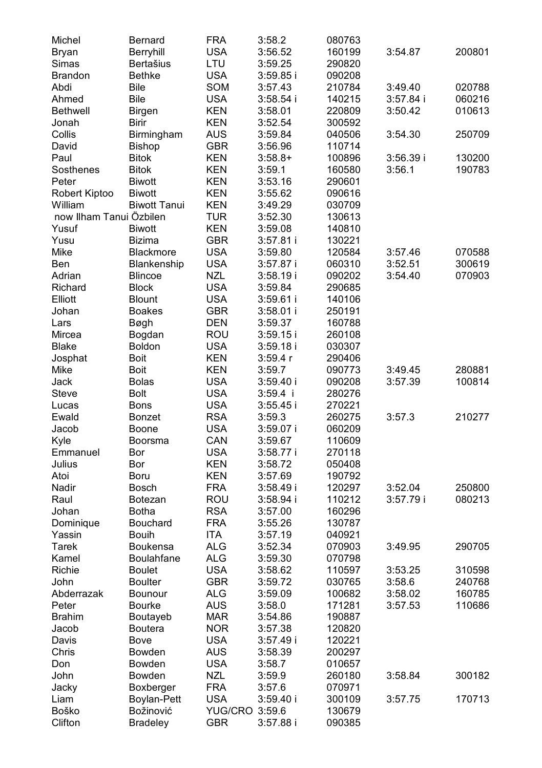| Michel                  | Bernard             | FRA               | 3:58.2               | 080763           |           |        |
|-------------------------|---------------------|-------------------|----------------------|------------------|-----------|--------|
| Bryan                   | Berryhill           | <b>USA</b>        | 3:56.52              | 160199           | 3:54.87   | 200801 |
| Simas                   | Bertašius           | LTU               | 3:59.25              | 290820           |           |        |
| Brandon                 | <b>Bethke</b>       | <b>USA</b>        | 3:59.85 i            | 090208           |           |        |
| Abdi                    | Bile                | SOM               | 3:57.43              | 210784           | 3:49.40   | 020788 |
| Ahmed                   | Bile                | USA               | $3:58.54$ i          | 140215           | 3:57.84 i | 060216 |
| <b>Bethwell</b>         | <b>Birgen</b>       | KEN               | 3:58.01              | 220809           | 3:50.42   | 010613 |
| Jonah                   | Birir               | KEN               | 3:52.54              | 300592           |           |        |
| Collis                  | Birmingham          | AUS               | 3:59.84              | 040506           | 3:54.30   | 250709 |
| David                   | Bishop              | GBR               | 3:56.96              | 110714           |           |        |
| Paul                    | <b>Bitok</b>        | KEN               | $3:58.8+$            | 100896           | 3:56.39 i | 130200 |
| Sosthenes               | <b>Bitok</b>        | KEN               | 3:59.1               | 160580           | 3:56.1    | 190783 |
| Peter                   | <b>Biwott</b>       | KEN               | 3:53.16              | 290601           |           |        |
| Robert Kiptoo           | <b>Biwott</b>       | KEN               | 3:55.62              | 090616           |           |        |
| William                 | <b>Biwott Tanui</b> | KEN               | 3:49.29              | 030709           |           |        |
| now Ilham Tanui Özbilen |                     | TUR               | 3:52.30              | 130613           |           |        |
| Yusuf                   | <b>Biwott</b>       | KEN               | 3:59.08              | 140810           |           |        |
| Yusu                    | Bizima              | GBR               | 3:57.81 i            | 130221           |           |        |
| Mike                    | Blackmore           | USA               | 3:59.80              | 120584           | 3:57.46   | 070588 |
| Ben                     | Blankenship         | USA               | 3:57.87 i            | 060310           | 3:52.51   | 300619 |
| Adrian                  | <b>Blincoe</b>      | NZL               | 3:58.19 i            | 090202           | 3:54.40   | 070903 |
| Richard                 | <b>Block</b>        | <b>USA</b>        | 3:59.84              | 290685           |           |        |
| Elliott                 | <b>Blount</b>       | USA               | $3:59.61$ i          | 140106           |           |        |
| Johan                   | <b>Boakes</b>       | GBR               | 3:58.01 i            | 250191           |           |        |
| Lars                    | Bøgh                | DEN               | 3:59.37              | 160788           |           |        |
| Mircea                  | Bogdan              | ROU               | $3:59.15$ i          | 260108           |           |        |
| <b>Blake</b>            | <b>Boldon</b>       | USA               | 3:59.18 i            | 030307           |           |        |
| Josphat                 | Boit                | KEN               | 3:59.4r              | 290406           |           |        |
| Mike                    | <b>Boit</b>         | KEN               | 3:59.7               | 090773           | 3:49.45   | 280881 |
| Jack                    | Bolas               | USA               | 3:59.40 i            | 090208           | 3:57.39   | 100814 |
| Steve                   | <b>Bolt</b>         | <b>USA</b>        | $3:59.4$ i           | 280276           |           |        |
| Lucas                   | Bons                | USA<br><b>RSA</b> | $3:55.45$ i          | 270221           |           | 210277 |
| Ewald                   | Bonzet              |                   | 3:59.3               | 260275           | 3:57.3    |        |
| Jacob                   | Boone               | USA<br>CAN        | 3:59.07 i            | 060209           |           |        |
| Kyle<br>Emmanuel        | Boorsma<br>Bor      | USA               | 3:59.67<br>3:58.77 i | 110609<br>270118 |           |        |
| Julius                  | Bor                 | KEN               | 3:58.72              | 050408           |           |        |
| Atoi                    | Boru                | KEN               | 3:57.69              | 190792           |           |        |
| Nadir                   | Bosch               | FRA               | 3:58.49 i            | 120297           | 3:52.04   | 250800 |
| Raul                    | <b>Botezan</b>      | ROU               | 3:58.94 i            | 110212           | 3:57.79 i | 080213 |
| Johan                   | Botha               | RSA               | 3:57.00              | 160296           |           |        |
| Dominique               | Bouchard            | FRA               | 3:55.26              | 130787           |           |        |
| Yassin                  | Bouih               | ITA               | 3:57.19              | 040921           |           |        |
| Tarek                   | Boukensa            | ALG               | 3:52.34              | 070903           | 3:49.95   | 290705 |
| Kamel                   | <b>Boulahfane</b>   | ALG               | 3:59.30              | 070798           |           |        |
| Richie                  | <b>Boulet</b>       | USA               | 3:58.62              | 110597           | 3:53.25   | 310598 |
| John                    | <b>Boulter</b>      | GBR               | 3:59.72              | 030765           | 3:58.6    | 240768 |
| Abderrazak              | Bounour             | ALG               | 3:59.09              | 100682           | 3:58.02   | 160785 |
| Peter                   | <b>Bourke</b>       | AUS               | 3:58.0               | 171281           | 3:57.53   | 110686 |
| Brahim                  | Boutayeb            | <b>MAR</b>        | 3:54.86              | 190887           |           |        |
| Jacob                   | Boutera             | <b>NOR</b>        | 3:57.38              | 120820           |           |        |
| Davis                   | Bove                | <b>USA</b>        | 3:57.49 i            | 120221           |           |        |
| Chris                   | Bowden              | AUS               | 3:58.39              | 200297           |           |        |
| Don                     | Bowden              | <b>USA</b>        | 3:58.7               | 010657           |           |        |
| John                    | Bowden              | NZL               | 3:59.9               | 260180           | 3:58.84   | 300182 |
| Jacky                   | Boxberger           | <b>FRA</b>        | 3:57.6               | 070971           |           |        |
| Liam                    | Boylan-Pett         | USA               | 3:59.40 i            | 300109           | 3:57.75   | 170713 |
| Boško                   | Božinović           | YUG/CRO 3:59.6    |                      | 130679           |           |        |
| Clifton                 | Bradeley            | <b>GBR</b>        | 3:57.88 i            | 090385           |           |        |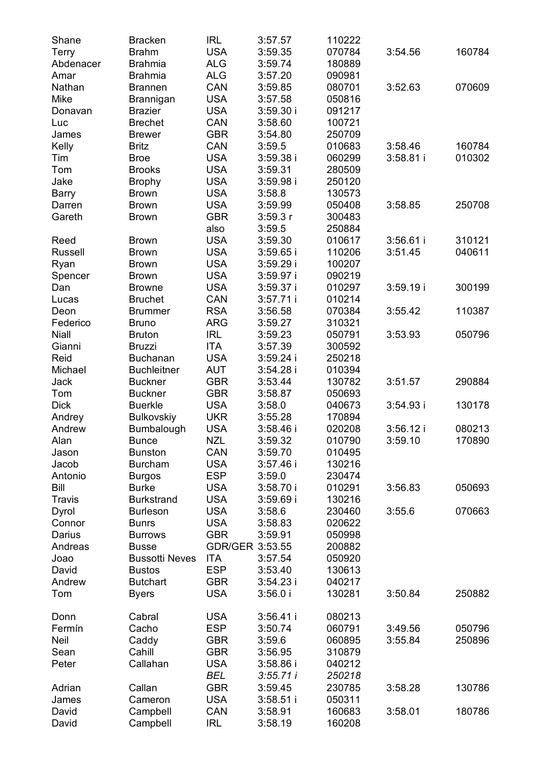| Shane       | <b>Bracken</b>        | <b>IRL</b>        | 3:57.57     | 110222 |             |        |
|-------------|-----------------------|-------------------|-------------|--------|-------------|--------|
| Terry       | <b>Brahm</b>          | <b>USA</b>        | 3:59.35     | 070784 | 3:54.56     | 160784 |
| Abdenacer   | Brahmia               | ALG               | 3:59.74     | 180889 |             |        |
| Amar        | <b>Brahmia</b>        | ALG               | 3:57.20     | 090981 |             |        |
| Nathan      | <b>Brannen</b>        | CAN               | 3:59.85     | 080701 | 3:52.63     | 070609 |
| Mike        | Brannigan             | <b>USA</b>        | 3:57.58     | 050816 |             |        |
| Donavan     | <b>Brazier</b>        | <b>USA</b>        | 3:59.30i    | 091217 |             |        |
| Luc         | <b>Brechet</b>        | CAN               | 3:58.60     | 100721 |             |        |
| James       | <b>Brewer</b>         | GBR               | 3:54.80     | 250709 |             |        |
| Kelly       | Britz                 | CAN               | 3:59.5      | 010683 | 3:58.46     | 160784 |
|             |                       | <b>USA</b>        |             |        |             | 010302 |
| Tim         | <b>Broe</b>           |                   | 3:59.38 i   | 060299 | $3:58.81$ i |        |
| Tom         | <b>Brooks</b>         | <b>USA</b>        | 3:59.31     | 280509 |             |        |
| Jake        | <b>Brophy</b>         | USA               | 3:59.98 i   | 250120 |             |        |
| Barry       | Brown                 | <b>USA</b>        | 3:58.8      | 130573 |             |        |
| Darren      | <b>Brown</b>          | USA               | 3:59.99     | 050408 | 3:58.85     | 250708 |
| Gareth      | Brown                 | GBR               | 3:59.3r     | 300483 |             |        |
|             |                       | also              | 3:59.5      | 250884 |             |        |
| Reed        | <b>Brown</b>          | USA               | 3:59.30     | 010617 | $3:56.61$ i | 310121 |
| Russell     | <b>Brown</b>          | USA               | $3:59.65$ i | 110206 | 3:51.45     | 040611 |
| Ryan        | <b>Brown</b>          | USA               | 3:59.29 i   | 100207 |             |        |
| Spencer     | <b>Brown</b>          | USA               | 3:59.97 i   | 090219 |             |        |
| Dan         | <b>Browne</b>         | <b>USA</b>        | 3:59.37 i   | 010297 | 3:59.19i    | 300199 |
| Lucas       | <b>Bruchet</b>        | CAN               | 3:57.71 i   | 010214 |             |        |
| Deon        | <b>Brummer</b>        | <b>RSA</b>        | 3:56.58     | 070384 | 3:55.42     | 110387 |
| Federico    | <b>Bruno</b>          | ARG               | 3:59.27     | 310321 |             |        |
| Niall       | <b>Bruton</b>         | <b>IRL</b>        | 3:59.23     | 050791 | 3:53.93     | 050796 |
| Gianni      | Bruzzi                | ITA               | 3:57.39     | 300592 |             |        |
| Reid        | <b>Buchanan</b>       | <b>USA</b>        | 3:59.24 i   | 250218 |             |        |
| Michael     | <b>Buchleitner</b>    | AUT               | 3:54.28 i   | 010394 |             |        |
| Jack        | <b>Buckner</b>        | GBR               | 3:53.44     | 130782 | 3:51.57     | 290884 |
| Tom         | <b>Buckner</b>        | <b>GBR</b>        | 3:58.87     | 050693 |             |        |
| <b>Dick</b> | <b>Buerkle</b>        | <b>USA</b>        | 3:58.0      | 040673 | 3:54.93 i   | 130178 |
| Andrey      | <b>Bulkovskiy</b>     | <b>UKR</b>        | 3:55.28     | 170894 |             |        |
| Andrew      | Bumbalough            | USA               | 3:58.46 i   | 020208 | 3:56.12 i   | 080213 |
| Alan        | <b>Bunce</b>          | <b>NZL</b>        | 3:59.32     | 010790 | 3:59.10     | 170890 |
| Jason       | <b>Bunston</b>        | CAN               | 3:59.70     | 010495 |             |        |
|             |                       |                   |             |        |             |        |
| Jacob       | <b>Burcham</b>        | USA<br><b>ESP</b> | 3:57.46 i   | 130216 |             |        |
| Antonio     | Burgos                |                   | 3:59.0      | 230474 |             |        |
| Bill        | Burke                 | <b>USA</b>        | 3:58.70 i   | 010291 | 3:56.83     | 050693 |
| Travis      | <b>Burkstrand</b>     | USA               | 3:59.69 i   | 130216 |             |        |
| Dyrol       | <b>Burleson</b>       | USA               | 3:58.6      | 230460 | 3:55.6      | 070663 |
| Connor      | <b>Bunrs</b>          | USA               | 3:58.83     | 020622 |             |        |
| Darius      | <b>Burrows</b>        | GBR               | 3:59.91     | 050998 |             |        |
| Andreas     | <b>Busse</b>          | GDR/GER 3:53.55   |             | 200882 |             |        |
| Joao        | <b>Bussotti Neves</b> | ITA               | 3:57.54     | 050920 |             |        |
| David       | <b>Bustos</b>         | <b>ESP</b>        | 3:53.40     | 130613 |             |        |
| Andrew      | <b>Butchart</b>       | GBR               | 3:54.23 i   | 040217 |             |        |
| Tom         | Byers                 | <b>USA</b>        | 3:56.0i     | 130281 | 3:50.84     | 250882 |
| Donn        | Cabral                | <b>USA</b>        | 3:56.41 i   | 080213 |             |        |
| Fermín      | Cacho                 | ESP               | 3:50.74     | 060791 | 3:49.56     | 050796 |
| Neil        | Caddy                 | <b>GBR</b>        | 3:59.6      | 060895 | 3:55.84     | 250896 |
| Sean        | Cahill                | <b>GBR</b>        | 3:56.95     | 310879 |             |        |
| Peter       | Callahan              | <b>USA</b>        | 3:58.86 i   | 040212 |             |        |
|             |                       | BEL               | 3:55.71i    | 250218 |             |        |
| Adrian      | Callan                | <b>GBR</b>        | 3:59.45     | 230785 | 3:58.28     | 130786 |
| James       | Cameron               | USA               | $3:58.51$ i | 050311 |             |        |
| David       | Campbell              | CAN               | 3:58.91     | 160683 | 3:58.01     | 180786 |
| David       | Campbell              | <b>IRL</b>        | 3:58.19     | 160208 |             |        |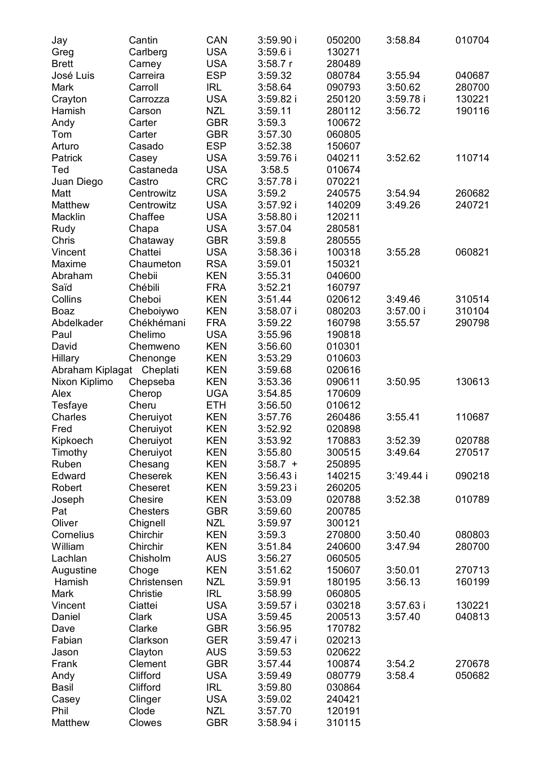| <b>USA</b><br>Carlberg<br>3:59.6i<br>130271<br>Greg<br>USA<br><b>Brett</b><br>3:58.7r<br>280489<br>Carney<br><b>ESP</b><br>José Luis<br>Carreira<br>3:59.32<br>080784<br>3:55.94<br>040687<br>IRL<br>Mark<br>Carroll<br>3:58.64<br>090793<br>3:50.62<br>280700<br>USA<br>3:59.82 i<br>250120<br>3:59.78 i<br>130221<br>Crayton<br>Carrozza<br><b>NZL</b><br>Hamish<br>3:59.11<br>280112<br>3:56.72<br>190116<br>Carson<br>GBR<br>3:59.3<br>100672<br>Andy<br>Carter<br>GBR<br>3:57.30<br>060805<br>Tom<br>Carter<br><b>ESP</b><br>Arturo<br>Casado<br>3:52.38<br>150607<br><b>USA</b><br>Patrick<br>3:59.76 i<br>040211<br>3:52.62<br>110714<br>Casey<br><b>USA</b><br>Castaneda<br>3:58.5<br>010674<br>Ted<br>Castro<br>CRC<br>3:57.78 i<br>070221<br>Juan Diego<br><b>USA</b><br>Centrowitz<br>3:59.2<br>3:54.94<br>260682<br>Matt<br>240575<br>Centrowitz<br>USA<br>240721<br>Matthew<br>3:57.92 i<br>140209<br>3:49.26<br>Macklin<br>Chaffee<br>USA<br>120211<br>3:58.80 i<br>USA<br>3:57.04<br>280581<br>Rudy<br>Chapa<br>Chris<br>GBR<br>3:59.8<br>Chataway<br>280555<br>060821<br>Vincent<br>Chattei<br>USA<br>3:58.36 i<br>100318<br>3:55.28<br>Maxime<br>Chaumeton<br><b>RSA</b><br>3:59.01<br>150321<br>Abraham<br>KEN<br>3:55.31<br>040600<br>Chebii<br>Saïd<br>Chébili<br>FRA<br>3:52.21<br>160797<br>Collins<br>Cheboi<br>KEN<br>3:51.44<br>020612<br>3:49.46<br>310514<br>Cheboiywo<br>KEN<br>3:58.07 i<br>080203<br>3:57.00 i<br>310104<br>Boaz<br>Abdelkader<br>Chékhémani<br>FRA<br>3:59.22<br>160798<br>3:55.57<br>290798<br><b>USA</b><br>Paul<br>Chelimo<br>3:55.96<br>190818<br>David<br>KEN<br>3:56.60<br>010301<br>Chemweno<br>Hillary<br>KEN<br>3:53.29<br>010603<br>Chenonge<br>Abraham Kiplagat<br>Cheplati<br>KEN<br>3:59.68<br>020616<br>Nixon Kiplimo<br>Chepseba<br>KEN<br>3:53.36<br>090611<br>3:50.95<br>130613<br>Alex<br>Cherop<br>UGA<br>3:54.85<br>170609<br>Tesfaye<br>Cheru<br>ETH<br>3:56.50<br>010612<br>Charles<br>Cheruiyot<br>KEN<br>3:57.76<br>260486<br>3:55.41<br>110687<br>Fred<br>Cheruiyot<br>KEN<br>3:52.92<br>020898<br>Kipkoech<br>KEN<br>3:53.92<br>170883<br>3:52.39<br>020788<br>Cheruiyot<br>270517<br>Timothy<br>KEN<br>3:55.80<br>300515<br>3:49.64<br>Cheruiyot<br>Ruben<br>KEN<br>$3:58.7 +$<br>Chesang<br>250895<br>Edward<br>KEN<br>140215<br>3:'49.44 i<br>090218<br>Cheserek<br>3:56.43 i<br>KEN<br>Robert<br>Cheseret<br>3:59.23 i<br>260205<br>KEN<br>3:53.09<br>020788<br>3:52.38<br>010789<br>Joseph<br>Chesire<br>Pat<br>GBR<br>3:59.60<br>Chesters<br>200785<br>Oliver<br>NZL<br>3:59.97<br>Chignell<br>300121<br>Cornelius<br>Chirchir<br>KEN<br>3:59.3<br>270800<br>3:50.40<br>080803<br>William<br>Chirchir<br>KEN<br>3:51.84<br>240600<br>3:47.94<br>280700<br>Lachlan<br>Chisholm<br>AUS<br>060505<br>3:56.27<br>270713<br>Augustine<br>KEN<br>3:51.62<br>150607<br>Choge<br>3:50.01<br>Hamish<br>Christensen<br>NZL<br>3:59.91<br>180195<br>3:56.13<br>160199<br>Mark<br>Christie<br>IRL<br>3:58.99<br>060805<br>USA<br>Ciattei<br>3:59.57 i<br>030218<br>130221<br>Vincent<br>3:57.63 i<br><b>USA</b><br>3:59.45<br>200513<br>3:57.40<br>040813<br>Daniel<br>Clark<br><b>GBR</b><br>170782<br>Dave<br>Clarke<br>3:56.95<br>Clarkson<br><b>GER</b><br>3:59.47 i<br>020213<br>Fabian<br>Clayton<br><b>AUS</b><br>3:59.53<br>020622<br>Jason<br><b>GBR</b><br>3:57.44<br>3:54.2<br>270678<br>Frank<br>Clement<br>100874<br>Andy<br>Clifford<br><b>USA</b><br>3:59.49<br>080779<br>3:58.4<br>050682<br>Clifford<br>IRL<br>3:59.80<br>Basil<br>030864<br>Clinger<br><b>USA</b><br>Casey<br>3:59.02<br>240421<br><b>NZL</b><br>Phil<br>Clode<br>3:57.70<br>120191<br>Matthew<br>Clowes<br><b>GBR</b><br>3:58.94 i<br>310115 | Jay | Cantin | CAN | 3:59.90i | 050200 | 3:58.84 | 010704 |
|----------------------------------------------------------------------------------------------------------------------------------------------------------------------------------------------------------------------------------------------------------------------------------------------------------------------------------------------------------------------------------------------------------------------------------------------------------------------------------------------------------------------------------------------------------------------------------------------------------------------------------------------------------------------------------------------------------------------------------------------------------------------------------------------------------------------------------------------------------------------------------------------------------------------------------------------------------------------------------------------------------------------------------------------------------------------------------------------------------------------------------------------------------------------------------------------------------------------------------------------------------------------------------------------------------------------------------------------------------------------------------------------------------------------------------------------------------------------------------------------------------------------------------------------------------------------------------------------------------------------------------------------------------------------------------------------------------------------------------------------------------------------------------------------------------------------------------------------------------------------------------------------------------------------------------------------------------------------------------------------------------------------------------------------------------------------------------------------------------------------------------------------------------------------------------------------------------------------------------------------------------------------------------------------------------------------------------------------------------------------------------------------------------------------------------------------------------------------------------------------------------------------------------------------------------------------------------------------------------------------------------------------------------------------------------------------------------------------------------------------------------------------------------------------------------------------------------------------------------------------------------------------------------------------------------------------------------------------------------------------------------------------------------------------------------------------------------------------------------------------------------------------------------------------------------------------------------------------------------------------------------------------------------------------------------------------------------------------------------------------------------------------------------------------------------------------------------------------------------------------------------------------------------------------------------------------------------------------------------------------------------------------------------------------------------------------------|-----|--------|-----|----------|--------|---------|--------|
|                                                                                                                                                                                                                                                                                                                                                                                                                                                                                                                                                                                                                                                                                                                                                                                                                                                                                                                                                                                                                                                                                                                                                                                                                                                                                                                                                                                                                                                                                                                                                                                                                                                                                                                                                                                                                                                                                                                                                                                                                                                                                                                                                                                                                                                                                                                                                                                                                                                                                                                                                                                                                                                                                                                                                                                                                                                                                                                                                                                                                                                                                                                                                                                                                                                                                                                                                                                                                                                                                                                                                                                                                                                                                                    |     |        |     |          |        |         |        |
|                                                                                                                                                                                                                                                                                                                                                                                                                                                                                                                                                                                                                                                                                                                                                                                                                                                                                                                                                                                                                                                                                                                                                                                                                                                                                                                                                                                                                                                                                                                                                                                                                                                                                                                                                                                                                                                                                                                                                                                                                                                                                                                                                                                                                                                                                                                                                                                                                                                                                                                                                                                                                                                                                                                                                                                                                                                                                                                                                                                                                                                                                                                                                                                                                                                                                                                                                                                                                                                                                                                                                                                                                                                                                                    |     |        |     |          |        |         |        |
|                                                                                                                                                                                                                                                                                                                                                                                                                                                                                                                                                                                                                                                                                                                                                                                                                                                                                                                                                                                                                                                                                                                                                                                                                                                                                                                                                                                                                                                                                                                                                                                                                                                                                                                                                                                                                                                                                                                                                                                                                                                                                                                                                                                                                                                                                                                                                                                                                                                                                                                                                                                                                                                                                                                                                                                                                                                                                                                                                                                                                                                                                                                                                                                                                                                                                                                                                                                                                                                                                                                                                                                                                                                                                                    |     |        |     |          |        |         |        |
|                                                                                                                                                                                                                                                                                                                                                                                                                                                                                                                                                                                                                                                                                                                                                                                                                                                                                                                                                                                                                                                                                                                                                                                                                                                                                                                                                                                                                                                                                                                                                                                                                                                                                                                                                                                                                                                                                                                                                                                                                                                                                                                                                                                                                                                                                                                                                                                                                                                                                                                                                                                                                                                                                                                                                                                                                                                                                                                                                                                                                                                                                                                                                                                                                                                                                                                                                                                                                                                                                                                                                                                                                                                                                                    |     |        |     |          |        |         |        |
|                                                                                                                                                                                                                                                                                                                                                                                                                                                                                                                                                                                                                                                                                                                                                                                                                                                                                                                                                                                                                                                                                                                                                                                                                                                                                                                                                                                                                                                                                                                                                                                                                                                                                                                                                                                                                                                                                                                                                                                                                                                                                                                                                                                                                                                                                                                                                                                                                                                                                                                                                                                                                                                                                                                                                                                                                                                                                                                                                                                                                                                                                                                                                                                                                                                                                                                                                                                                                                                                                                                                                                                                                                                                                                    |     |        |     |          |        |         |        |
|                                                                                                                                                                                                                                                                                                                                                                                                                                                                                                                                                                                                                                                                                                                                                                                                                                                                                                                                                                                                                                                                                                                                                                                                                                                                                                                                                                                                                                                                                                                                                                                                                                                                                                                                                                                                                                                                                                                                                                                                                                                                                                                                                                                                                                                                                                                                                                                                                                                                                                                                                                                                                                                                                                                                                                                                                                                                                                                                                                                                                                                                                                                                                                                                                                                                                                                                                                                                                                                                                                                                                                                                                                                                                                    |     |        |     |          |        |         |        |
|                                                                                                                                                                                                                                                                                                                                                                                                                                                                                                                                                                                                                                                                                                                                                                                                                                                                                                                                                                                                                                                                                                                                                                                                                                                                                                                                                                                                                                                                                                                                                                                                                                                                                                                                                                                                                                                                                                                                                                                                                                                                                                                                                                                                                                                                                                                                                                                                                                                                                                                                                                                                                                                                                                                                                                                                                                                                                                                                                                                                                                                                                                                                                                                                                                                                                                                                                                                                                                                                                                                                                                                                                                                                                                    |     |        |     |          |        |         |        |
|                                                                                                                                                                                                                                                                                                                                                                                                                                                                                                                                                                                                                                                                                                                                                                                                                                                                                                                                                                                                                                                                                                                                                                                                                                                                                                                                                                                                                                                                                                                                                                                                                                                                                                                                                                                                                                                                                                                                                                                                                                                                                                                                                                                                                                                                                                                                                                                                                                                                                                                                                                                                                                                                                                                                                                                                                                                                                                                                                                                                                                                                                                                                                                                                                                                                                                                                                                                                                                                                                                                                                                                                                                                                                                    |     |        |     |          |        |         |        |
|                                                                                                                                                                                                                                                                                                                                                                                                                                                                                                                                                                                                                                                                                                                                                                                                                                                                                                                                                                                                                                                                                                                                                                                                                                                                                                                                                                                                                                                                                                                                                                                                                                                                                                                                                                                                                                                                                                                                                                                                                                                                                                                                                                                                                                                                                                                                                                                                                                                                                                                                                                                                                                                                                                                                                                                                                                                                                                                                                                                                                                                                                                                                                                                                                                                                                                                                                                                                                                                                                                                                                                                                                                                                                                    |     |        |     |          |        |         |        |
|                                                                                                                                                                                                                                                                                                                                                                                                                                                                                                                                                                                                                                                                                                                                                                                                                                                                                                                                                                                                                                                                                                                                                                                                                                                                                                                                                                                                                                                                                                                                                                                                                                                                                                                                                                                                                                                                                                                                                                                                                                                                                                                                                                                                                                                                                                                                                                                                                                                                                                                                                                                                                                                                                                                                                                                                                                                                                                                                                                                                                                                                                                                                                                                                                                                                                                                                                                                                                                                                                                                                                                                                                                                                                                    |     |        |     |          |        |         |        |
|                                                                                                                                                                                                                                                                                                                                                                                                                                                                                                                                                                                                                                                                                                                                                                                                                                                                                                                                                                                                                                                                                                                                                                                                                                                                                                                                                                                                                                                                                                                                                                                                                                                                                                                                                                                                                                                                                                                                                                                                                                                                                                                                                                                                                                                                                                                                                                                                                                                                                                                                                                                                                                                                                                                                                                                                                                                                                                                                                                                                                                                                                                                                                                                                                                                                                                                                                                                                                                                                                                                                                                                                                                                                                                    |     |        |     |          |        |         |        |
|                                                                                                                                                                                                                                                                                                                                                                                                                                                                                                                                                                                                                                                                                                                                                                                                                                                                                                                                                                                                                                                                                                                                                                                                                                                                                                                                                                                                                                                                                                                                                                                                                                                                                                                                                                                                                                                                                                                                                                                                                                                                                                                                                                                                                                                                                                                                                                                                                                                                                                                                                                                                                                                                                                                                                                                                                                                                                                                                                                                                                                                                                                                                                                                                                                                                                                                                                                                                                                                                                                                                                                                                                                                                                                    |     |        |     |          |        |         |        |
|                                                                                                                                                                                                                                                                                                                                                                                                                                                                                                                                                                                                                                                                                                                                                                                                                                                                                                                                                                                                                                                                                                                                                                                                                                                                                                                                                                                                                                                                                                                                                                                                                                                                                                                                                                                                                                                                                                                                                                                                                                                                                                                                                                                                                                                                                                                                                                                                                                                                                                                                                                                                                                                                                                                                                                                                                                                                                                                                                                                                                                                                                                                                                                                                                                                                                                                                                                                                                                                                                                                                                                                                                                                                                                    |     |        |     |          |        |         |        |
|                                                                                                                                                                                                                                                                                                                                                                                                                                                                                                                                                                                                                                                                                                                                                                                                                                                                                                                                                                                                                                                                                                                                                                                                                                                                                                                                                                                                                                                                                                                                                                                                                                                                                                                                                                                                                                                                                                                                                                                                                                                                                                                                                                                                                                                                                                                                                                                                                                                                                                                                                                                                                                                                                                                                                                                                                                                                                                                                                                                                                                                                                                                                                                                                                                                                                                                                                                                                                                                                                                                                                                                                                                                                                                    |     |        |     |          |        |         |        |
|                                                                                                                                                                                                                                                                                                                                                                                                                                                                                                                                                                                                                                                                                                                                                                                                                                                                                                                                                                                                                                                                                                                                                                                                                                                                                                                                                                                                                                                                                                                                                                                                                                                                                                                                                                                                                                                                                                                                                                                                                                                                                                                                                                                                                                                                                                                                                                                                                                                                                                                                                                                                                                                                                                                                                                                                                                                                                                                                                                                                                                                                                                                                                                                                                                                                                                                                                                                                                                                                                                                                                                                                                                                                                                    |     |        |     |          |        |         |        |
|                                                                                                                                                                                                                                                                                                                                                                                                                                                                                                                                                                                                                                                                                                                                                                                                                                                                                                                                                                                                                                                                                                                                                                                                                                                                                                                                                                                                                                                                                                                                                                                                                                                                                                                                                                                                                                                                                                                                                                                                                                                                                                                                                                                                                                                                                                                                                                                                                                                                                                                                                                                                                                                                                                                                                                                                                                                                                                                                                                                                                                                                                                                                                                                                                                                                                                                                                                                                                                                                                                                                                                                                                                                                                                    |     |        |     |          |        |         |        |
|                                                                                                                                                                                                                                                                                                                                                                                                                                                                                                                                                                                                                                                                                                                                                                                                                                                                                                                                                                                                                                                                                                                                                                                                                                                                                                                                                                                                                                                                                                                                                                                                                                                                                                                                                                                                                                                                                                                                                                                                                                                                                                                                                                                                                                                                                                                                                                                                                                                                                                                                                                                                                                                                                                                                                                                                                                                                                                                                                                                                                                                                                                                                                                                                                                                                                                                                                                                                                                                                                                                                                                                                                                                                                                    |     |        |     |          |        |         |        |
|                                                                                                                                                                                                                                                                                                                                                                                                                                                                                                                                                                                                                                                                                                                                                                                                                                                                                                                                                                                                                                                                                                                                                                                                                                                                                                                                                                                                                                                                                                                                                                                                                                                                                                                                                                                                                                                                                                                                                                                                                                                                                                                                                                                                                                                                                                                                                                                                                                                                                                                                                                                                                                                                                                                                                                                                                                                                                                                                                                                                                                                                                                                                                                                                                                                                                                                                                                                                                                                                                                                                                                                                                                                                                                    |     |        |     |          |        |         |        |
|                                                                                                                                                                                                                                                                                                                                                                                                                                                                                                                                                                                                                                                                                                                                                                                                                                                                                                                                                                                                                                                                                                                                                                                                                                                                                                                                                                                                                                                                                                                                                                                                                                                                                                                                                                                                                                                                                                                                                                                                                                                                                                                                                                                                                                                                                                                                                                                                                                                                                                                                                                                                                                                                                                                                                                                                                                                                                                                                                                                                                                                                                                                                                                                                                                                                                                                                                                                                                                                                                                                                                                                                                                                                                                    |     |        |     |          |        |         |        |
|                                                                                                                                                                                                                                                                                                                                                                                                                                                                                                                                                                                                                                                                                                                                                                                                                                                                                                                                                                                                                                                                                                                                                                                                                                                                                                                                                                                                                                                                                                                                                                                                                                                                                                                                                                                                                                                                                                                                                                                                                                                                                                                                                                                                                                                                                                                                                                                                                                                                                                                                                                                                                                                                                                                                                                                                                                                                                                                                                                                                                                                                                                                                                                                                                                                                                                                                                                                                                                                                                                                                                                                                                                                                                                    |     |        |     |          |        |         |        |
|                                                                                                                                                                                                                                                                                                                                                                                                                                                                                                                                                                                                                                                                                                                                                                                                                                                                                                                                                                                                                                                                                                                                                                                                                                                                                                                                                                                                                                                                                                                                                                                                                                                                                                                                                                                                                                                                                                                                                                                                                                                                                                                                                                                                                                                                                                                                                                                                                                                                                                                                                                                                                                                                                                                                                                                                                                                                                                                                                                                                                                                                                                                                                                                                                                                                                                                                                                                                                                                                                                                                                                                                                                                                                                    |     |        |     |          |        |         |        |
|                                                                                                                                                                                                                                                                                                                                                                                                                                                                                                                                                                                                                                                                                                                                                                                                                                                                                                                                                                                                                                                                                                                                                                                                                                                                                                                                                                                                                                                                                                                                                                                                                                                                                                                                                                                                                                                                                                                                                                                                                                                                                                                                                                                                                                                                                                                                                                                                                                                                                                                                                                                                                                                                                                                                                                                                                                                                                                                                                                                                                                                                                                                                                                                                                                                                                                                                                                                                                                                                                                                                                                                                                                                                                                    |     |        |     |          |        |         |        |
|                                                                                                                                                                                                                                                                                                                                                                                                                                                                                                                                                                                                                                                                                                                                                                                                                                                                                                                                                                                                                                                                                                                                                                                                                                                                                                                                                                                                                                                                                                                                                                                                                                                                                                                                                                                                                                                                                                                                                                                                                                                                                                                                                                                                                                                                                                                                                                                                                                                                                                                                                                                                                                                                                                                                                                                                                                                                                                                                                                                                                                                                                                                                                                                                                                                                                                                                                                                                                                                                                                                                                                                                                                                                                                    |     |        |     |          |        |         |        |
|                                                                                                                                                                                                                                                                                                                                                                                                                                                                                                                                                                                                                                                                                                                                                                                                                                                                                                                                                                                                                                                                                                                                                                                                                                                                                                                                                                                                                                                                                                                                                                                                                                                                                                                                                                                                                                                                                                                                                                                                                                                                                                                                                                                                                                                                                                                                                                                                                                                                                                                                                                                                                                                                                                                                                                                                                                                                                                                                                                                                                                                                                                                                                                                                                                                                                                                                                                                                                                                                                                                                                                                                                                                                                                    |     |        |     |          |        |         |        |
|                                                                                                                                                                                                                                                                                                                                                                                                                                                                                                                                                                                                                                                                                                                                                                                                                                                                                                                                                                                                                                                                                                                                                                                                                                                                                                                                                                                                                                                                                                                                                                                                                                                                                                                                                                                                                                                                                                                                                                                                                                                                                                                                                                                                                                                                                                                                                                                                                                                                                                                                                                                                                                                                                                                                                                                                                                                                                                                                                                                                                                                                                                                                                                                                                                                                                                                                                                                                                                                                                                                                                                                                                                                                                                    |     |        |     |          |        |         |        |
|                                                                                                                                                                                                                                                                                                                                                                                                                                                                                                                                                                                                                                                                                                                                                                                                                                                                                                                                                                                                                                                                                                                                                                                                                                                                                                                                                                                                                                                                                                                                                                                                                                                                                                                                                                                                                                                                                                                                                                                                                                                                                                                                                                                                                                                                                                                                                                                                                                                                                                                                                                                                                                                                                                                                                                                                                                                                                                                                                                                                                                                                                                                                                                                                                                                                                                                                                                                                                                                                                                                                                                                                                                                                                                    |     |        |     |          |        |         |        |
|                                                                                                                                                                                                                                                                                                                                                                                                                                                                                                                                                                                                                                                                                                                                                                                                                                                                                                                                                                                                                                                                                                                                                                                                                                                                                                                                                                                                                                                                                                                                                                                                                                                                                                                                                                                                                                                                                                                                                                                                                                                                                                                                                                                                                                                                                                                                                                                                                                                                                                                                                                                                                                                                                                                                                                                                                                                                                                                                                                                                                                                                                                                                                                                                                                                                                                                                                                                                                                                                                                                                                                                                                                                                                                    |     |        |     |          |        |         |        |
|                                                                                                                                                                                                                                                                                                                                                                                                                                                                                                                                                                                                                                                                                                                                                                                                                                                                                                                                                                                                                                                                                                                                                                                                                                                                                                                                                                                                                                                                                                                                                                                                                                                                                                                                                                                                                                                                                                                                                                                                                                                                                                                                                                                                                                                                                                                                                                                                                                                                                                                                                                                                                                                                                                                                                                                                                                                                                                                                                                                                                                                                                                                                                                                                                                                                                                                                                                                                                                                                                                                                                                                                                                                                                                    |     |        |     |          |        |         |        |
|                                                                                                                                                                                                                                                                                                                                                                                                                                                                                                                                                                                                                                                                                                                                                                                                                                                                                                                                                                                                                                                                                                                                                                                                                                                                                                                                                                                                                                                                                                                                                                                                                                                                                                                                                                                                                                                                                                                                                                                                                                                                                                                                                                                                                                                                                                                                                                                                                                                                                                                                                                                                                                                                                                                                                                                                                                                                                                                                                                                                                                                                                                                                                                                                                                                                                                                                                                                                                                                                                                                                                                                                                                                                                                    |     |        |     |          |        |         |        |
|                                                                                                                                                                                                                                                                                                                                                                                                                                                                                                                                                                                                                                                                                                                                                                                                                                                                                                                                                                                                                                                                                                                                                                                                                                                                                                                                                                                                                                                                                                                                                                                                                                                                                                                                                                                                                                                                                                                                                                                                                                                                                                                                                                                                                                                                                                                                                                                                                                                                                                                                                                                                                                                                                                                                                                                                                                                                                                                                                                                                                                                                                                                                                                                                                                                                                                                                                                                                                                                                                                                                                                                                                                                                                                    |     |        |     |          |        |         |        |
|                                                                                                                                                                                                                                                                                                                                                                                                                                                                                                                                                                                                                                                                                                                                                                                                                                                                                                                                                                                                                                                                                                                                                                                                                                                                                                                                                                                                                                                                                                                                                                                                                                                                                                                                                                                                                                                                                                                                                                                                                                                                                                                                                                                                                                                                                                                                                                                                                                                                                                                                                                                                                                                                                                                                                                                                                                                                                                                                                                                                                                                                                                                                                                                                                                                                                                                                                                                                                                                                                                                                                                                                                                                                                                    |     |        |     |          |        |         |        |
|                                                                                                                                                                                                                                                                                                                                                                                                                                                                                                                                                                                                                                                                                                                                                                                                                                                                                                                                                                                                                                                                                                                                                                                                                                                                                                                                                                                                                                                                                                                                                                                                                                                                                                                                                                                                                                                                                                                                                                                                                                                                                                                                                                                                                                                                                                                                                                                                                                                                                                                                                                                                                                                                                                                                                                                                                                                                                                                                                                                                                                                                                                                                                                                                                                                                                                                                                                                                                                                                                                                                                                                                                                                                                                    |     |        |     |          |        |         |        |
|                                                                                                                                                                                                                                                                                                                                                                                                                                                                                                                                                                                                                                                                                                                                                                                                                                                                                                                                                                                                                                                                                                                                                                                                                                                                                                                                                                                                                                                                                                                                                                                                                                                                                                                                                                                                                                                                                                                                                                                                                                                                                                                                                                                                                                                                                                                                                                                                                                                                                                                                                                                                                                                                                                                                                                                                                                                                                                                                                                                                                                                                                                                                                                                                                                                                                                                                                                                                                                                                                                                                                                                                                                                                                                    |     |        |     |          |        |         |        |
|                                                                                                                                                                                                                                                                                                                                                                                                                                                                                                                                                                                                                                                                                                                                                                                                                                                                                                                                                                                                                                                                                                                                                                                                                                                                                                                                                                                                                                                                                                                                                                                                                                                                                                                                                                                                                                                                                                                                                                                                                                                                                                                                                                                                                                                                                                                                                                                                                                                                                                                                                                                                                                                                                                                                                                                                                                                                                                                                                                                                                                                                                                                                                                                                                                                                                                                                                                                                                                                                                                                                                                                                                                                                                                    |     |        |     |          |        |         |        |
|                                                                                                                                                                                                                                                                                                                                                                                                                                                                                                                                                                                                                                                                                                                                                                                                                                                                                                                                                                                                                                                                                                                                                                                                                                                                                                                                                                                                                                                                                                                                                                                                                                                                                                                                                                                                                                                                                                                                                                                                                                                                                                                                                                                                                                                                                                                                                                                                                                                                                                                                                                                                                                                                                                                                                                                                                                                                                                                                                                                                                                                                                                                                                                                                                                                                                                                                                                                                                                                                                                                                                                                                                                                                                                    |     |        |     |          |        |         |        |
|                                                                                                                                                                                                                                                                                                                                                                                                                                                                                                                                                                                                                                                                                                                                                                                                                                                                                                                                                                                                                                                                                                                                                                                                                                                                                                                                                                                                                                                                                                                                                                                                                                                                                                                                                                                                                                                                                                                                                                                                                                                                                                                                                                                                                                                                                                                                                                                                                                                                                                                                                                                                                                                                                                                                                                                                                                                                                                                                                                                                                                                                                                                                                                                                                                                                                                                                                                                                                                                                                                                                                                                                                                                                                                    |     |        |     |          |        |         |        |
|                                                                                                                                                                                                                                                                                                                                                                                                                                                                                                                                                                                                                                                                                                                                                                                                                                                                                                                                                                                                                                                                                                                                                                                                                                                                                                                                                                                                                                                                                                                                                                                                                                                                                                                                                                                                                                                                                                                                                                                                                                                                                                                                                                                                                                                                                                                                                                                                                                                                                                                                                                                                                                                                                                                                                                                                                                                                                                                                                                                                                                                                                                                                                                                                                                                                                                                                                                                                                                                                                                                                                                                                                                                                                                    |     |        |     |          |        |         |        |
|                                                                                                                                                                                                                                                                                                                                                                                                                                                                                                                                                                                                                                                                                                                                                                                                                                                                                                                                                                                                                                                                                                                                                                                                                                                                                                                                                                                                                                                                                                                                                                                                                                                                                                                                                                                                                                                                                                                                                                                                                                                                                                                                                                                                                                                                                                                                                                                                                                                                                                                                                                                                                                                                                                                                                                                                                                                                                                                                                                                                                                                                                                                                                                                                                                                                                                                                                                                                                                                                                                                                                                                                                                                                                                    |     |        |     |          |        |         |        |
|                                                                                                                                                                                                                                                                                                                                                                                                                                                                                                                                                                                                                                                                                                                                                                                                                                                                                                                                                                                                                                                                                                                                                                                                                                                                                                                                                                                                                                                                                                                                                                                                                                                                                                                                                                                                                                                                                                                                                                                                                                                                                                                                                                                                                                                                                                                                                                                                                                                                                                                                                                                                                                                                                                                                                                                                                                                                                                                                                                                                                                                                                                                                                                                                                                                                                                                                                                                                                                                                                                                                                                                                                                                                                                    |     |        |     |          |        |         |        |
|                                                                                                                                                                                                                                                                                                                                                                                                                                                                                                                                                                                                                                                                                                                                                                                                                                                                                                                                                                                                                                                                                                                                                                                                                                                                                                                                                                                                                                                                                                                                                                                                                                                                                                                                                                                                                                                                                                                                                                                                                                                                                                                                                                                                                                                                                                                                                                                                                                                                                                                                                                                                                                                                                                                                                                                                                                                                                                                                                                                                                                                                                                                                                                                                                                                                                                                                                                                                                                                                                                                                                                                                                                                                                                    |     |        |     |          |        |         |        |
|                                                                                                                                                                                                                                                                                                                                                                                                                                                                                                                                                                                                                                                                                                                                                                                                                                                                                                                                                                                                                                                                                                                                                                                                                                                                                                                                                                                                                                                                                                                                                                                                                                                                                                                                                                                                                                                                                                                                                                                                                                                                                                                                                                                                                                                                                                                                                                                                                                                                                                                                                                                                                                                                                                                                                                                                                                                                                                                                                                                                                                                                                                                                                                                                                                                                                                                                                                                                                                                                                                                                                                                                                                                                                                    |     |        |     |          |        |         |        |
|                                                                                                                                                                                                                                                                                                                                                                                                                                                                                                                                                                                                                                                                                                                                                                                                                                                                                                                                                                                                                                                                                                                                                                                                                                                                                                                                                                                                                                                                                                                                                                                                                                                                                                                                                                                                                                                                                                                                                                                                                                                                                                                                                                                                                                                                                                                                                                                                                                                                                                                                                                                                                                                                                                                                                                                                                                                                                                                                                                                                                                                                                                                                                                                                                                                                                                                                                                                                                                                                                                                                                                                                                                                                                                    |     |        |     |          |        |         |        |
|                                                                                                                                                                                                                                                                                                                                                                                                                                                                                                                                                                                                                                                                                                                                                                                                                                                                                                                                                                                                                                                                                                                                                                                                                                                                                                                                                                                                                                                                                                                                                                                                                                                                                                                                                                                                                                                                                                                                                                                                                                                                                                                                                                                                                                                                                                                                                                                                                                                                                                                                                                                                                                                                                                                                                                                                                                                                                                                                                                                                                                                                                                                                                                                                                                                                                                                                                                                                                                                                                                                                                                                                                                                                                                    |     |        |     |          |        |         |        |
|                                                                                                                                                                                                                                                                                                                                                                                                                                                                                                                                                                                                                                                                                                                                                                                                                                                                                                                                                                                                                                                                                                                                                                                                                                                                                                                                                                                                                                                                                                                                                                                                                                                                                                                                                                                                                                                                                                                                                                                                                                                                                                                                                                                                                                                                                                                                                                                                                                                                                                                                                                                                                                                                                                                                                                                                                                                                                                                                                                                                                                                                                                                                                                                                                                                                                                                                                                                                                                                                                                                                                                                                                                                                                                    |     |        |     |          |        |         |        |
|                                                                                                                                                                                                                                                                                                                                                                                                                                                                                                                                                                                                                                                                                                                                                                                                                                                                                                                                                                                                                                                                                                                                                                                                                                                                                                                                                                                                                                                                                                                                                                                                                                                                                                                                                                                                                                                                                                                                                                                                                                                                                                                                                                                                                                                                                                                                                                                                                                                                                                                                                                                                                                                                                                                                                                                                                                                                                                                                                                                                                                                                                                                                                                                                                                                                                                                                                                                                                                                                                                                                                                                                                                                                                                    |     |        |     |          |        |         |        |
|                                                                                                                                                                                                                                                                                                                                                                                                                                                                                                                                                                                                                                                                                                                                                                                                                                                                                                                                                                                                                                                                                                                                                                                                                                                                                                                                                                                                                                                                                                                                                                                                                                                                                                                                                                                                                                                                                                                                                                                                                                                                                                                                                                                                                                                                                                                                                                                                                                                                                                                                                                                                                                                                                                                                                                                                                                                                                                                                                                                                                                                                                                                                                                                                                                                                                                                                                                                                                                                                                                                                                                                                                                                                                                    |     |        |     |          |        |         |        |
|                                                                                                                                                                                                                                                                                                                                                                                                                                                                                                                                                                                                                                                                                                                                                                                                                                                                                                                                                                                                                                                                                                                                                                                                                                                                                                                                                                                                                                                                                                                                                                                                                                                                                                                                                                                                                                                                                                                                                                                                                                                                                                                                                                                                                                                                                                                                                                                                                                                                                                                                                                                                                                                                                                                                                                                                                                                                                                                                                                                                                                                                                                                                                                                                                                                                                                                                                                                                                                                                                                                                                                                                                                                                                                    |     |        |     |          |        |         |        |
|                                                                                                                                                                                                                                                                                                                                                                                                                                                                                                                                                                                                                                                                                                                                                                                                                                                                                                                                                                                                                                                                                                                                                                                                                                                                                                                                                                                                                                                                                                                                                                                                                                                                                                                                                                                                                                                                                                                                                                                                                                                                                                                                                                                                                                                                                                                                                                                                                                                                                                                                                                                                                                                                                                                                                                                                                                                                                                                                                                                                                                                                                                                                                                                                                                                                                                                                                                                                                                                                                                                                                                                                                                                                                                    |     |        |     |          |        |         |        |
|                                                                                                                                                                                                                                                                                                                                                                                                                                                                                                                                                                                                                                                                                                                                                                                                                                                                                                                                                                                                                                                                                                                                                                                                                                                                                                                                                                                                                                                                                                                                                                                                                                                                                                                                                                                                                                                                                                                                                                                                                                                                                                                                                                                                                                                                                                                                                                                                                                                                                                                                                                                                                                                                                                                                                                                                                                                                                                                                                                                                                                                                                                                                                                                                                                                                                                                                                                                                                                                                                                                                                                                                                                                                                                    |     |        |     |          |        |         |        |
|                                                                                                                                                                                                                                                                                                                                                                                                                                                                                                                                                                                                                                                                                                                                                                                                                                                                                                                                                                                                                                                                                                                                                                                                                                                                                                                                                                                                                                                                                                                                                                                                                                                                                                                                                                                                                                                                                                                                                                                                                                                                                                                                                                                                                                                                                                                                                                                                                                                                                                                                                                                                                                                                                                                                                                                                                                                                                                                                                                                                                                                                                                                                                                                                                                                                                                                                                                                                                                                                                                                                                                                                                                                                                                    |     |        |     |          |        |         |        |
|                                                                                                                                                                                                                                                                                                                                                                                                                                                                                                                                                                                                                                                                                                                                                                                                                                                                                                                                                                                                                                                                                                                                                                                                                                                                                                                                                                                                                                                                                                                                                                                                                                                                                                                                                                                                                                                                                                                                                                                                                                                                                                                                                                                                                                                                                                                                                                                                                                                                                                                                                                                                                                                                                                                                                                                                                                                                                                                                                                                                                                                                                                                                                                                                                                                                                                                                                                                                                                                                                                                                                                                                                                                                                                    |     |        |     |          |        |         |        |
|                                                                                                                                                                                                                                                                                                                                                                                                                                                                                                                                                                                                                                                                                                                                                                                                                                                                                                                                                                                                                                                                                                                                                                                                                                                                                                                                                                                                                                                                                                                                                                                                                                                                                                                                                                                                                                                                                                                                                                                                                                                                                                                                                                                                                                                                                                                                                                                                                                                                                                                                                                                                                                                                                                                                                                                                                                                                                                                                                                                                                                                                                                                                                                                                                                                                                                                                                                                                                                                                                                                                                                                                                                                                                                    |     |        |     |          |        |         |        |
|                                                                                                                                                                                                                                                                                                                                                                                                                                                                                                                                                                                                                                                                                                                                                                                                                                                                                                                                                                                                                                                                                                                                                                                                                                                                                                                                                                                                                                                                                                                                                                                                                                                                                                                                                                                                                                                                                                                                                                                                                                                                                                                                                                                                                                                                                                                                                                                                                                                                                                                                                                                                                                                                                                                                                                                                                                                                                                                                                                                                                                                                                                                                                                                                                                                                                                                                                                                                                                                                                                                                                                                                                                                                                                    |     |        |     |          |        |         |        |
|                                                                                                                                                                                                                                                                                                                                                                                                                                                                                                                                                                                                                                                                                                                                                                                                                                                                                                                                                                                                                                                                                                                                                                                                                                                                                                                                                                                                                                                                                                                                                                                                                                                                                                                                                                                                                                                                                                                                                                                                                                                                                                                                                                                                                                                                                                                                                                                                                                                                                                                                                                                                                                                                                                                                                                                                                                                                                                                                                                                                                                                                                                                                                                                                                                                                                                                                                                                                                                                                                                                                                                                                                                                                                                    |     |        |     |          |        |         |        |
|                                                                                                                                                                                                                                                                                                                                                                                                                                                                                                                                                                                                                                                                                                                                                                                                                                                                                                                                                                                                                                                                                                                                                                                                                                                                                                                                                                                                                                                                                                                                                                                                                                                                                                                                                                                                                                                                                                                                                                                                                                                                                                                                                                                                                                                                                                                                                                                                                                                                                                                                                                                                                                                                                                                                                                                                                                                                                                                                                                                                                                                                                                                                                                                                                                                                                                                                                                                                                                                                                                                                                                                                                                                                                                    |     |        |     |          |        |         |        |
|                                                                                                                                                                                                                                                                                                                                                                                                                                                                                                                                                                                                                                                                                                                                                                                                                                                                                                                                                                                                                                                                                                                                                                                                                                                                                                                                                                                                                                                                                                                                                                                                                                                                                                                                                                                                                                                                                                                                                                                                                                                                                                                                                                                                                                                                                                                                                                                                                                                                                                                                                                                                                                                                                                                                                                                                                                                                                                                                                                                                                                                                                                                                                                                                                                                                                                                                                                                                                                                                                                                                                                                                                                                                                                    |     |        |     |          |        |         |        |
|                                                                                                                                                                                                                                                                                                                                                                                                                                                                                                                                                                                                                                                                                                                                                                                                                                                                                                                                                                                                                                                                                                                                                                                                                                                                                                                                                                                                                                                                                                                                                                                                                                                                                                                                                                                                                                                                                                                                                                                                                                                                                                                                                                                                                                                                                                                                                                                                                                                                                                                                                                                                                                                                                                                                                                                                                                                                                                                                                                                                                                                                                                                                                                                                                                                                                                                                                                                                                                                                                                                                                                                                                                                                                                    |     |        |     |          |        |         |        |
|                                                                                                                                                                                                                                                                                                                                                                                                                                                                                                                                                                                                                                                                                                                                                                                                                                                                                                                                                                                                                                                                                                                                                                                                                                                                                                                                                                                                                                                                                                                                                                                                                                                                                                                                                                                                                                                                                                                                                                                                                                                                                                                                                                                                                                                                                                                                                                                                                                                                                                                                                                                                                                                                                                                                                                                                                                                                                                                                                                                                                                                                                                                                                                                                                                                                                                                                                                                                                                                                                                                                                                                                                                                                                                    |     |        |     |          |        |         |        |
|                                                                                                                                                                                                                                                                                                                                                                                                                                                                                                                                                                                                                                                                                                                                                                                                                                                                                                                                                                                                                                                                                                                                                                                                                                                                                                                                                                                                                                                                                                                                                                                                                                                                                                                                                                                                                                                                                                                                                                                                                                                                                                                                                                                                                                                                                                                                                                                                                                                                                                                                                                                                                                                                                                                                                                                                                                                                                                                                                                                                                                                                                                                                                                                                                                                                                                                                                                                                                                                                                                                                                                                                                                                                                                    |     |        |     |          |        |         |        |
|                                                                                                                                                                                                                                                                                                                                                                                                                                                                                                                                                                                                                                                                                                                                                                                                                                                                                                                                                                                                                                                                                                                                                                                                                                                                                                                                                                                                                                                                                                                                                                                                                                                                                                                                                                                                                                                                                                                                                                                                                                                                                                                                                                                                                                                                                                                                                                                                                                                                                                                                                                                                                                                                                                                                                                                                                                                                                                                                                                                                                                                                                                                                                                                                                                                                                                                                                                                                                                                                                                                                                                                                                                                                                                    |     |        |     |          |        |         |        |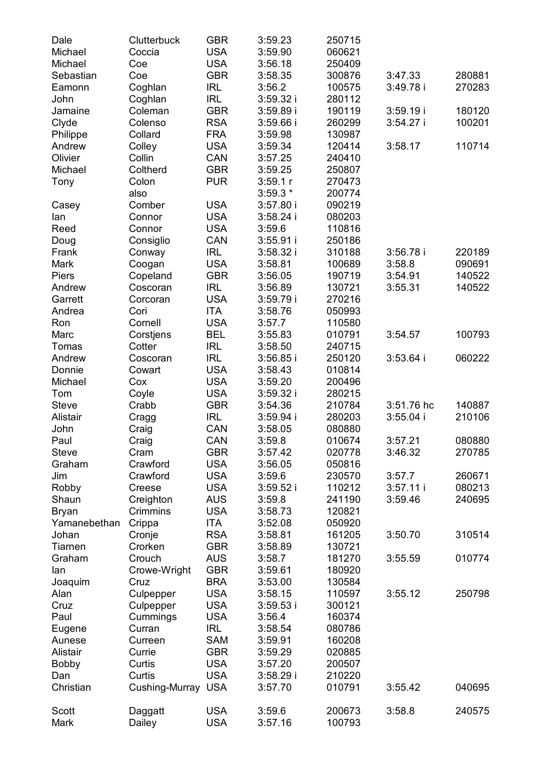| Dale            | Clutterbuck          | GBR        | 3:59.23     | 250715 |             |        |
|-----------------|----------------------|------------|-------------|--------|-------------|--------|
| Michael         | Coccia               | <b>USA</b> | 3:59.90     | 060621 |             |        |
| Michael         | Coe                  | <b>USA</b> | 3:56.18     | 250409 |             |        |
| Sebastian       | Coe                  | GBR        | 3:58.35     | 300876 | 3:47.33     | 280881 |
| Eamonn          | Coghlan              | IRL        | 3:56.2      | 100575 | 3:49.78 i   | 270283 |
| John            | Coghlan              | IRL        | 3:59.32 i   | 280112 |             |        |
| Jamaine         | Coleman              | GBR        | 3:59.89i    | 190119 | 3:59.19i    | 180120 |
| Clyde           | Colenso              | <b>RSA</b> | $3:59.66$ i | 260299 | 3:54.27i    | 100201 |
| Philippe        | Collard              | <b>FRA</b> | 3:59.98     | 130987 |             |        |
| Andrew          | Colley               | <b>USA</b> | 3:59.34     | 120414 | 3:58.17     | 110714 |
| Olivier         | Collin               | CAN        | 3:57.25     | 240410 |             |        |
| Michael         | Coltherd             | GBR        | 3:59.25     | 250807 |             |        |
| Tony            | Colon                | <b>PUR</b> | 3:59.1r     | 270473 |             |        |
|                 | also                 |            | $3:59.3*$   | 200774 |             |        |
|                 | Comber               | USA        | 3:57.80 i   | 090219 |             |        |
| Casey           | Connor               | USA        | 3:58.24 i   | 080203 |             |        |
| lan             |                      |            |             |        |             |        |
| Reed            | Connor               | USA        | 3:59.6      | 110816 |             |        |
| Doug            | Consiglio            | CAN        | $3:55.91$ i | 250186 |             |        |
| Frank           | Conway               | IRL        | 3:58.32 i   | 310188 | 3:56.78i    | 220189 |
| Mark            | Coogan               | USA        | 3:58.81     | 100689 | 3:58.8      | 090691 |
| Piers           | Copeland             | GBR        | 3:56.05     | 190719 | 3:54.91     | 140522 |
| Andrew          | Coscoran             | IRL        | 3:56.89     | 130721 | 3:55.31     | 140522 |
| Garrett         | Corcoran             | <b>USA</b> | 3:59.79 i   | 270216 |             |        |
| Andrea          | Cori                 | ITA        | 3:58.76     | 050993 |             |        |
| Ron             | Cornell              | <b>USA</b> | 3:57.7      | 110580 |             |        |
| Marc            | Corstjens            | BEL        | 3:55.83     | 010791 | 3:54.57     | 100793 |
| Tomas           | Cotter               | IRL        | 3:58.50     | 240715 |             |        |
| Andrew          | Coscoran             | IRL        | $3:56.85$ i | 250120 | $3:53.64$ i | 060222 |
| Donnie          | Cowart               | <b>USA</b> | 3:58.43     | 010814 |             |        |
| Michael         | Cox                  | USA        | 3:59.20     | 200496 |             |        |
| Tom             | Coyle                | <b>USA</b> | 3:59.32i    | 280215 |             |        |
| Steve           | Crabb                | GBR        | 3:54.36     | 210784 | 3:51.76 hc  | 140887 |
| Alistair        | Cragg                | IRL        | 3:59.94 i   | 280203 | $3:55.04$ i | 210106 |
| John            | Craig                | CAN        | 3:58.05     | 080880 |             |        |
| Paul            | Craig                | CAN        | 3:59.8      | 010674 | 3:57.21     | 080880 |
| Steve           | Cram                 | GBR        | 3:57.42     | 020778 | 3:46.32     | 270785 |
| Graham          | Crawford             | <b>USA</b> | 3:56.05     | 050816 |             |        |
| Jim             | Crawford             | USA        | 3:59.6      | 230570 | 3:57.7      | 260671 |
| Robby           | Creese               | USA        | 3:59.52 i   | 110212 | 3:57.11i    | 080213 |
| Shaun           | Creighton            | AUS        | 3:59.8      | 241190 | 3:59.46     | 240695 |
| Bryan           | Crimmins             | USA        | 3:58.73     | 120821 |             |        |
| Yamanebethan    | Crippa               | ITA        | 3:52.08     | 050920 |             |        |
| Johan           | Cronje               | <b>RSA</b> | 3:58.81     | 161205 | 3:50.70     | 310514 |
| Tiarnen         | Crorken              | GBR        | 3:58.89     | 130721 |             |        |
| Graham          | Crouch               | AUS        | 3:58.7      | 181270 | 3:55.59     | 010774 |
|                 |                      | <b>GBR</b> | 3:59.61     | 180920 |             |        |
| lan             | Crowe-Wright<br>Cruz | <b>BRA</b> |             | 130584 |             |        |
| Joaquim<br>Alan |                      | <b>USA</b> | 3:53.00     |        | 3:55.12     | 250798 |
|                 | Culpepper            |            | 3:58.15     | 110597 |             |        |
| Cruz            | Culpepper            | <b>USA</b> | $3:59.53$ i | 300121 |             |        |
| Paul            | Cummings             | USA        | 3:56.4      | 160374 |             |        |
| Eugene          | Curran               | <b>IRL</b> | 3:58.54     | 080786 |             |        |
| Aunese          | Curreen              | SAM        | 3:59.91     | 160208 |             |        |
| Alistair        | Currie               | <b>GBR</b> | 3:59.29     | 020885 |             |        |
| Bobby           | Curtis               | <b>USA</b> | 3:57.20     | 200507 |             |        |
| Dan             | Curtis               | <b>USA</b> | 3:58.29 i   | 210220 |             |        |
| Christian       | Cushing-Murray USA   |            | 3:57.70     | 010791 | 3:55.42     | 040695 |
|                 |                      |            |             |        |             |        |
| Scott           | Daggatt              | <b>USA</b> | 3:59.6      | 200673 | 3:58.8      | 240575 |
| Mark            | Dailey               | <b>USA</b> | 3:57.16     | 100793 |             |        |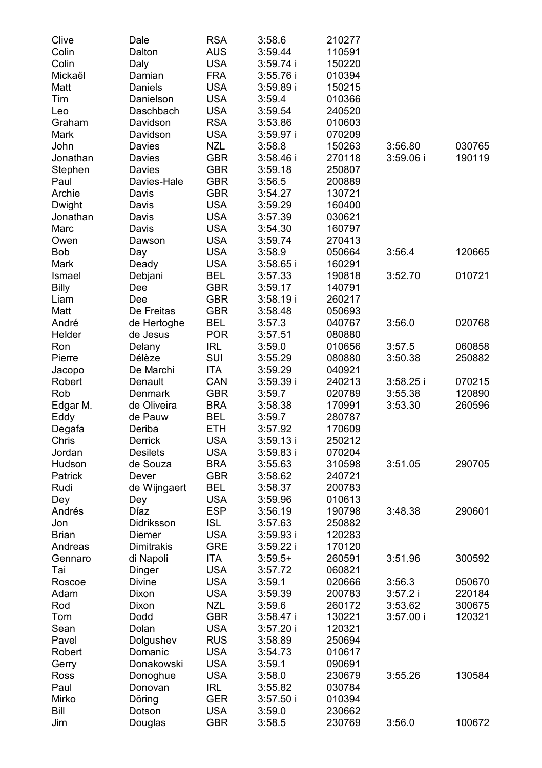| Clive      | Dale            | <b>RSA</b> | 3:58.6                | 210277           |                      |                  |
|------------|-----------------|------------|-----------------------|------------------|----------------------|------------------|
| Colin      | Dalton          | AUS        | 3:59.44               | 110591           |                      |                  |
| Colin      | Daly            | USA        | 3:59.74 i             | 150220           |                      |                  |
| Mickaël    | Damian          | FRA        | 3:55.76 i             | 010394           |                      |                  |
| Matt       | Daniels         | <b>USA</b> | 3:59.89i              | 150215           |                      |                  |
| Tim        | Danielson       | <b>USA</b> | 3:59.4                | 010366           |                      |                  |
| Leo        | Daschbach       | <b>USA</b> | 3:59.54               | 240520           |                      |                  |
| Graham     | Davidson        | <b>RSA</b> | 3:53.86               | 010603           |                      |                  |
| Mark       | Davidson        | USA        | 3:59.97 i             | 070209           |                      |                  |
| John       | Davies          | NZL        | 3:58.8                | 150263           | 3:56.80              | 030765           |
| Jonathan   | Davies          | GBR        | $3:58.46$ i           | 270118           | 3:59.06 i            | 190119           |
| Stephen    | Davies          | GBR        | 3:59.18               | 250807           |                      |                  |
| Paul       | Davies-Hale     | GBR        | 3:56.5                | 200889           |                      |                  |
| Archie     | Davis           | GBR        | 3:54.27               | 130721           |                      |                  |
| Dwight     | Davis           | <b>USA</b> | 3:59.29               | 160400           |                      |                  |
| Jonathan   | Davis           | <b>USA</b> | 3:57.39               | 030621           |                      |                  |
| Marc       | Davis           | <b>USA</b> | 3:54.30               | 160797           |                      |                  |
| Owen       | Dawson          | <b>USA</b> | 3:59.74               | 270413           |                      |                  |
| Bob        | Day             | USA        | 3:58.9                | 050664           | 3:56.4               | 120665           |
| Mark       | Deady           | <b>USA</b> | $3:58.65$ i           | 160291           |                      |                  |
| Ismael     | Debjani         | BEL        | 3:57.33               | 190818           | 3:52.70              | 010721           |
| Billy      | Dee             | <b>GBR</b> | 3:59.17               | 140791           |                      |                  |
| Liam       | Dee             | GBR        | 3:58.19i              | 260217           |                      |                  |
| Matt       | De Freitas      | GBR        | 3:58.48               | 050693           |                      |                  |
| André      | de Hertoghe     | BEL        | 3:57.3                | 040767           | 3:56.0               | 020768           |
| Helder     | de Jesus        | <b>POR</b> | 3:57.51               | 080880           |                      |                  |
| Ron        | Delany          | IRL        | 3:59.0                | 010656           | 3:57.5               | 060858           |
| Pierre     | Délèze          | SUI        | 3:55.29               | 080880           | 3:50.38              | 250882           |
| Jacopo     | De Marchi       | ITA        | 3:59.29               | 040921           |                      |                  |
| Robert     | Denault         | CAN        | 3:59.39i              | 240213           | $3:58.25$ i          | 070215           |
| Rob        | Denmark         | GBR        | 3:59.7                | 020789           | 3:55.38              | 120890           |
| Edgar M.   | de Oliveira     | BRA        | 3:58.38               | 170991           | 3:53.30              | 260596           |
| Eddy       | de Pauw         | BEL        | 3:59.7                | 280787           |                      |                  |
| Degafa     | Deriba          | ETH        | 3:57.92               | 170609           |                      |                  |
| Chris      | Derrick         | <b>USA</b> | 3:59.13i              | 250212           |                      |                  |
| Jordan     | <b>Desilets</b> | USA        | $3:59.83$ i           | 070204           |                      |                  |
| Hudson     | de Souza        | <b>BRA</b> | 3:55.63               | 310598           | 3:51.05              | 290705           |
| Patrick    | Dever           | GBR        | 3:58.62               | 240721           |                      |                  |
| Rudi       | de Wijngaert    | BEL        | 3:58.37               | 200783           |                      |                  |
| Dey        | Dey             | USA        | 3:59.96               | 010613           |                      |                  |
| Andrés     | Díaz            | <b>ESP</b> | 3:56.19               | 190798           | 3:48.38              | 290601           |
| Jon        | Didriksson      | <b>ISL</b> | 3:57.63               | 250882           |                      |                  |
| Brian      | Diemer          | <b>USA</b> | 3:59.93i              | 120283           |                      |                  |
| Andreas    | Dimitrakis      | GRE        | 3:59.22i              | 170120           |                      |                  |
| Gennaro    | di Napoli       | ITA        | $3:59.5+$             | 260591           | 3:51.96              | 300592           |
| Tai        | Dinger          | USA        | 3:57.72               | 060821           |                      |                  |
| Roscoe     | Divine          | USA        | 3:59.1                | 020666           | 3:56.3               | 050670<br>220184 |
| Adam       | Dixon           | USA        | 3:59.39               | 200783           | 3:57.2 i             | 300675           |
| Rod<br>Tom | Dixon<br>Dodd   | NZL<br>GBR | 3:59.6<br>$3:58.47$ i | 260172<br>130221 | 3:53.62<br>3:57.00 i | 120321           |
| Sean       | Dolan           | <b>USA</b> | 3:57.20i              | 120321           |                      |                  |
| Pavel      | Dolgushev       | <b>RUS</b> | 3:58.89               | 250694           |                      |                  |
| Robert     | Domanic         | <b>USA</b> | 3:54.73               | 010617           |                      |                  |
| Gerry      | Donakowski      | <b>USA</b> | 3:59.1                | 090691           |                      |                  |
| Ross       | Donoghue        | <b>USA</b> | 3:58.0                | 230679           | 3:55.26              | 130584           |
| Paul       | Donovan         | IRL        | 3:55.82               | 030784           |                      |                  |
| Mirko      | Döring          | <b>GER</b> | 3:57.50 i             | 010394           |                      |                  |
| Bill       | Dotson          | USA        | 3:59.0                | 230662           |                      |                  |
| Jim        | Douglas         | <b>GBR</b> | 3:58.5                | 230769           | 3:56.0               | 100672           |
|            |                 |            |                       |                  |                      |                  |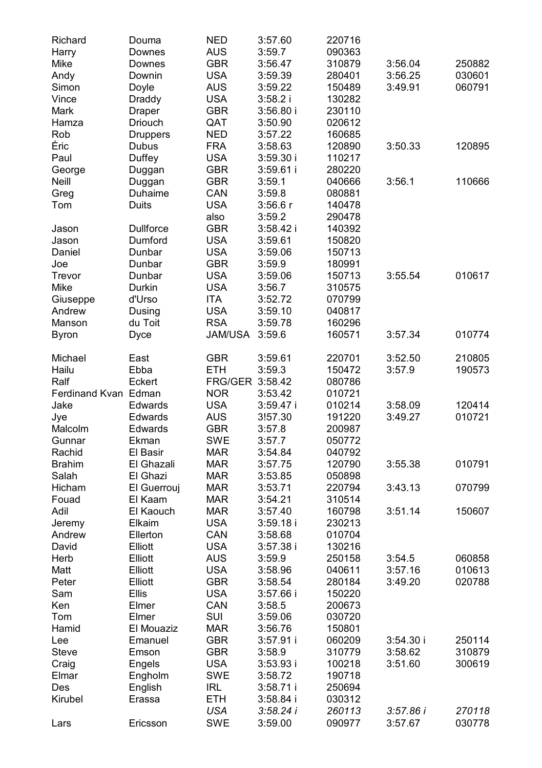| Richard              | Douma            | NED             | 3:57.60     | 220716 |           |        |
|----------------------|------------------|-----------------|-------------|--------|-----------|--------|
| Harry                | Downes           | AUS             | 3:59.7      | 090363 |           |        |
| Mike                 | Downes           | GBR             | 3:56.47     | 310879 | 3:56.04   | 250882 |
| Andy                 | Downin           | <b>USA</b>      | 3:59.39     | 280401 | 3:56.25   | 030601 |
| Simon                | Doyle            | AUS             | 3:59.22     | 150489 | 3:49.91   | 060791 |
| Vince                | Draddy           | <b>USA</b>      | 3:58.2i     | 130282 |           |        |
| Mark                 | Draper           | GBR             | 3:56.80i    | 230110 |           |        |
| Hamza                | Driouch          | QAT             | 3:50.90     | 020612 |           |        |
| Rob                  | Druppers         | NED             | 3:57.22     | 160685 |           |        |
| Éric                 | Dubus            | <b>FRA</b>      | 3:58.63     | 120890 | 3:50.33   | 120895 |
| Paul                 | Duffey           | USA             | 3:59.30 i   | 110217 |           |        |
| George               | Duggan           | <b>GBR</b>      | 3:59.61 i   | 280220 |           |        |
| Neill                | Duggan           | <b>GBR</b>      | 3:59.1      | 040666 | 3:56.1    | 110666 |
| Greg                 | Duhaime          | CAN             | 3:59.8      | 080881 |           |        |
| Tom                  | Duits            | USA             | 3:56.6r     | 140478 |           |        |
|                      |                  | also            | 3:59.2      | 290478 |           |        |
| Jason                | <b>Dullforce</b> | GBR             | $3:58.42$ i | 140392 |           |        |
| Jason                | Dumford          | USA             | 3:59.61     | 150820 |           |        |
| Daniel               | Dunbar           | <b>USA</b>      | 3:59.06     | 150713 |           |        |
| Joe                  | Dunbar           | <b>GBR</b>      | 3:59.9      | 180991 |           |        |
| Trevor               | Dunbar           | USA             | 3:59.06     | 150713 | 3:55.54   | 010617 |
| Mike                 | Durkin           | <b>USA</b>      | 3:56.7      | 310575 |           |        |
| Giuseppe             | d'Urso           | ITA             | 3:52.72     | 070799 |           |        |
| Andrew               | Dusing           | <b>USA</b>      | 3:59.10     | 040817 |           |        |
| Manson               | du Toit          | <b>RSA</b>      | 3:59.78     | 160296 |           |        |
| <b>Byron</b>         | Dyce             | JAM/USA         | 3:59.6      | 160571 | 3:57.34   | 010774 |
| Michael              | East             | GBR             | 3:59.61     | 220701 | 3:52.50   | 210805 |
| Hailu                | Ebba             | ETH             | 3:59.3      | 150472 | 3:57.9    | 190573 |
| Ralf                 | Eckert           | FRG/GER 3:58.42 |             | 080786 |           |        |
| Ferdinand Kvan Edman |                  | <b>NOR</b>      | 3:53.42     | 010721 |           |        |
| Jake                 | Edwards          | <b>USA</b>      | 3:59.47 i   | 010214 | 3:58.09   | 120414 |
| Jye                  | Edwards          | AUS             | 3!57.30     | 191220 | 3:49.27   | 010721 |
| Malcolm              | Edwards          | GBR             | 3:57.8      | 200987 |           |        |
| Gunnar               | Ekman            | SWE             | 3:57.7      | 050772 |           |        |
| Rachid               | El Basir         | <b>MAR</b>      | 3:54.84     | 040792 |           |        |
| <b>Brahim</b>        | El Ghazali       | <b>MAR</b>      | 3:57.75     | 120790 | 3:55.38   | 010791 |
| Salah                | El Ghazi         | <b>MAR</b>      | 3:53.85     | 050898 |           |        |
| Hicham               | El Guerrouj      | <b>MAR</b>      | 3:53.71     | 220794 | 3:43.13   | 070799 |
| Fouad                | El Kaam          | <b>MAR</b>      | 3:54.21     | 310514 |           |        |
| Adil                 | El Kaouch        | <b>MAR</b>      | 3:57.40     | 160798 | 3:51.14   | 150607 |
| Jeremy               | Elkaim           | USA             | 3:59.18i    | 230213 |           |        |
| Andrew               | Ellerton         | CAN             | 3:58.68     | 010704 |           |        |
| David                | Elliott          | <b>USA</b>      | 3:57.38i    | 130216 |           |        |
| Herb                 | Elliott          | AUS             | 3:59.9      | 250158 | 3:54.5    | 060858 |
| Matt                 | Elliott          | <b>USA</b>      | 3:58.96     | 040611 | 3:57.16   | 010613 |
| Peter                | Elliott          | GBR             | 3:58.54     | 280184 | 3:49.20   | 020788 |
| Sam                  | Ellis            | USA             | 3:57.66 i   | 150220 |           |        |
| Ken                  | Elmer            | CAN             | 3:58.5      | 200673 |           |        |
| Tom                  | Elmer            | SUI             | 3:59.06     | 030720 |           |        |
| Hamid                | El Mouaziz       | <b>MAR</b>      | 3:56.76     | 150801 |           |        |
| Lee                  | Emanuel          | <b>GBR</b>      | 3:57.91 i   | 060209 | 3:54.30i  | 250114 |
| Steve                | Emson            | <b>GBR</b>      | 3:58.9      | 310779 | 3:58.62   | 310879 |
| Craig                | Engels           | <b>USA</b>      | 3:53.93 i   | 100218 | 3:51.60   | 300619 |
| Elmar                | Engholm          | SWE             | 3:58.72     | 190718 |           |        |
| Des                  | English          | <b>IRL</b>      | $3:58.71$ i | 250694 |           |        |
| Kirubel              | Erassa           | <b>ETH</b>      | $3:58.84$ i | 030312 |           |        |
|                      |                  | USA             | 3:58.24 i   | 260113 | 3:57.86 i | 270118 |
| Lars                 | Ericsson         | SWE             | 3:59.00     | 090977 | 3:57.67   | 030778 |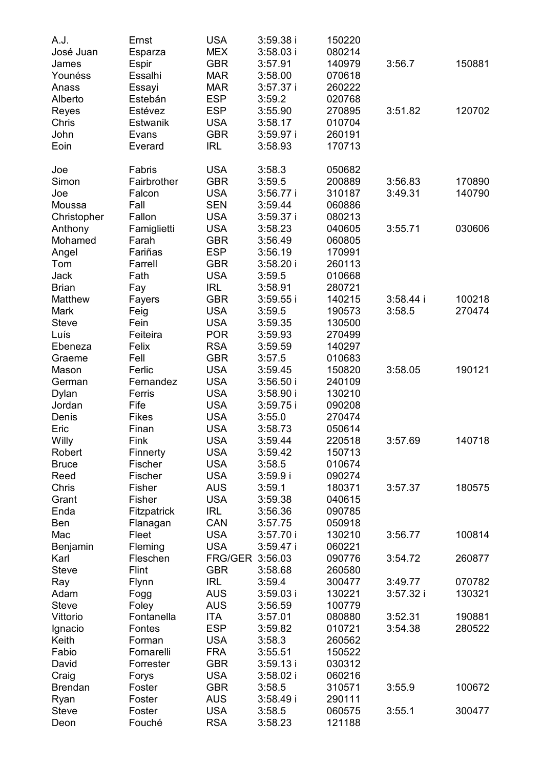| A.J.         | Ernst       | <b>USA</b>      | 3:59.38 i   | 150220 |           |        |
|--------------|-------------|-----------------|-------------|--------|-----------|--------|
| José Juan    | Esparza     | MEX             | $3:58.03$ i | 080214 |           |        |
| James        | Espir       | GBR             | 3:57.91     | 140979 | 3:56.7    | 150881 |
| Younéss      | Essalhi     | <b>MAR</b>      | 3:58.00     | 070618 |           |        |
| Anass        | Essayi      | <b>MAR</b>      | $3:57.37$ i | 260222 |           |        |
| Alberto      | Estebán     | <b>ESP</b>      | 3:59.2      | 020768 |           |        |
|              | Estévez     | <b>ESP</b>      |             |        | 3:51.82   |        |
| Reyes        |             |                 | 3:55.90     | 270895 |           | 120702 |
| Chris        | Estwanik    | USA             | 3:58.17     | 010704 |           |        |
| John         | Evans       | GBR             | 3:59.97 i   | 260191 |           |        |
| Eoin         | Everard     | <b>IRL</b>      | 3:58.93     | 170713 |           |        |
| Joe          | Fabris      | <b>USA</b>      | 3:58.3      | 050682 |           |        |
| Simon        | Fairbrother | GBR             | 3:59.5      | 200889 | 3:56.83   | 170890 |
| Joe          | Falcon      | <b>USA</b>      | 3:56.77 i   | 310187 | 3:49.31   | 140790 |
| Moussa       | Fall        | <b>SEN</b>      | 3:59.44     | 060886 |           |        |
| Christopher  | Fallon      | <b>USA</b>      | 3:59.37 i   | 080213 |           |        |
|              | Famiglietti | USA             |             |        | 3:55.71   | 030606 |
| Anthony      |             |                 | 3:58.23     | 040605 |           |        |
| Mohamed      | Farah       | GBR             | 3:56.49     | 060805 |           |        |
| Angel        | Fariñas     | ESP             | 3:56.19     | 170991 |           |        |
| Tom          | Farrell     | GBR             | $3:58.20$ i | 260113 |           |        |
| Jack         | Fath        | USA             | 3:59.5      | 010668 |           |        |
| <b>Brian</b> | Fay         | <b>IRL</b>      | 3:58.91     | 280721 |           |        |
| Matthew      | Fayers      | <b>GBR</b>      | $3:59.55$ i | 140215 | 3:58.44 i | 100218 |
| Mark         | Feig        | USA             | 3:59.5      | 190573 | 3:58.5    | 270474 |
| <b>Steve</b> | Fein        | <b>USA</b>      | 3:59.35     | 130500 |           |        |
| Luís         | Feiteira    | <b>POR</b>      | 3:59.93     | 270499 |           |        |
| Ebeneza      | Felix       | <b>RSA</b>      | 3:59.59     | 140297 |           |        |
| Graeme       | Fell        | GBR             | 3:57.5      | 010683 |           |        |
| Mason        | Ferlic      | <b>USA</b>      | 3:59.45     | 150820 | 3:58.05   | 190121 |
| German       | Fernandez   | <b>USA</b>      | 3:56.50 i   | 240109 |           |        |
| Dylan        | Ferris      | <b>USA</b>      | 3:58.90 i   | 130210 |           |        |
| Jordan       | Fife        | USA             | 3:59.75i    | 090208 |           |        |
| Denis        | Fikes       | <b>USA</b>      | 3:55.0      | 270474 |           |        |
|              | Finan       | <b>USA</b>      |             |        |           |        |
| Eric         |             |                 | 3:58.73     | 050614 |           | 140718 |
| Willy        | Fink        | <b>USA</b>      | 3:59.44     | 220518 | 3:57.69   |        |
| Robert       | Finnerty    | USA             | 3:59.42     | 150713 |           |        |
| <b>Bruce</b> | Fischer     | <b>USA</b>      | 3:58.5      | 010674 |           |        |
| Reed         | Fischer     | USA             | 3:59.9 i    | 090274 |           |        |
| Chris        | Fisher      | AUS             | 3:59.1      | 180371 | 3:57.37   | 180575 |
| Grant        | Fisher      | USA             | 3:59.38     | 040615 |           |        |
| Enda         | Fitzpatrick | <b>IRL</b>      | 3:56.36     | 090785 |           |        |
| Ben          | Flanagan    | CAN             | 3:57.75     | 050918 |           |        |
| Mac          | Fleet       | <b>USA</b>      | 3:57.70 i   | 130210 | 3:56.77   | 100814 |
| Benjamin     | Fleming     | <b>USA</b>      | 3:59.47 i   | 060221 |           |        |
| Karl         | Fleschen    | FRG/GER 3:56.03 |             | 090776 | 3:54.72   | 260877 |
| Steve        | Flint       | GBR             | 3:58.68     | 260580 |           |        |
| Ray          | Flynn       | IRL             | 3:59.4      | 300477 | 3:49.77   | 070782 |
| Adam         | Fogg        | AUS             | $3:59.03$ i | 130221 | 3:57.32 i | 130321 |
| Steve        | Foley       | AUS             | 3:56.59     | 100779 |           |        |
| Vittorio     | Fontanella  | <b>ITA</b>      | 3:57.01     | 080880 | 3:52.31   | 190881 |
| Ignacio      | Fontes      | <b>ESP</b>      | 3:59.82     | 010721 | 3:54.38   | 280522 |
| Keith        | Forman      | <b>USA</b>      | 3:58.3      | 260562 |           |        |
| Fabio        | Fornarelli  | <b>FRA</b>      | 3:55.51     |        |           |        |
|              |             |                 |             | 150522 |           |        |
| David        | Forrester   | <b>GBR</b>      | 3:59.13 i   | 030312 |           |        |
| Craig        | Forys       | <b>USA</b>      | 3:58.02 i   | 060216 |           |        |
| Brendan      | Foster      | GBR             | 3:58.5      | 310571 | 3:55.9    | 100672 |
| Ryan         | Foster      | <b>AUS</b>      | 3:58.49 i   | 290111 |           |        |
| Steve        | Foster      | <b>USA</b>      | 3:58.5      | 060575 | 3:55.1    | 300477 |
| Deon         | Fouché      | <b>RSA</b>      | 3:58.23     | 121188 |           |        |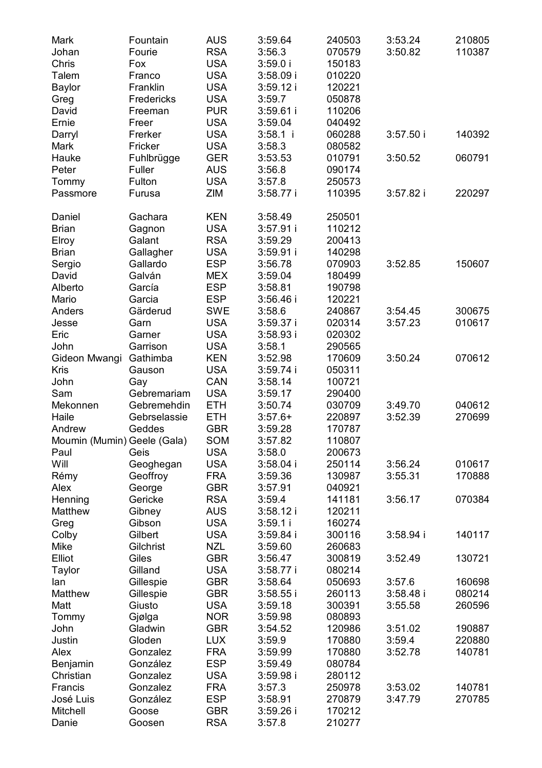| Mark                        | Fountain     | AUS        | 3:59.64     | 240503 | 3:53.24   | 210805 |
|-----------------------------|--------------|------------|-------------|--------|-----------|--------|
| Johan                       | Fourie       | <b>RSA</b> | 3:56.3      | 070579 | 3:50.82   | 110387 |
| Chris                       | Fox          | <b>USA</b> | 3:59.0i     | 150183 |           |        |
| Talem                       | Franco       | <b>USA</b> | $3:58.09$ i | 010220 |           |        |
| Baylor                      | Franklin     | <b>USA</b> | 3:59.12i    | 120221 |           |        |
| Greg                        | Fredericks   | <b>USA</b> | 3:59.7      | 050878 |           |        |
| David                       | Freeman      | <b>PUR</b> | 3:59.61 i   | 110206 |           |        |
| Ernie                       | Freer        | <b>USA</b> | 3:59.04     | 040492 |           |        |
| Darryl                      | Frerker      | USA        | $3:58.1$ i  | 060288 | 3:57.50i  | 140392 |
| Mark                        | Fricker      | <b>USA</b> | 3:58.3      | 080582 |           |        |
| Hauke                       | Fuhlbrügge   | GER        | 3:53.53     | 010791 | 3:50.52   | 060791 |
| Peter                       | Fuller       | AUS        | 3:56.8      | 090174 |           |        |
| Tommy                       | Fulton       | <b>USA</b> | 3:57.8      | 250573 |           |        |
| Passmore                    | Furusa       | ZIM        | $3:58.77$ i | 110395 | 3:57.82i  | 220297 |
| Daniel                      | Gachara      | KEN        | 3:58.49     | 250501 |           |        |
| Brian                       | Gagnon       | USA        | 3:57.91 i   | 110212 |           |        |
| Elroy                       | Galant       | RSA        | 3:59.29     | 200413 |           |        |
| Brian                       | Gallagher    | <b>USA</b> | 3:59.91 i   | 140298 |           |        |
| Sergio                      | Gallardo     | <b>ESP</b> | 3:56.78     | 070903 | 3:52.85   | 150607 |
| David                       | Galván       | MEX        | 3:59.04     | 180499 |           |        |
| Alberto                     | García       | <b>ESP</b> | 3:58.81     | 190798 |           |        |
| Mario                       | Garcia       | <b>ESP</b> | 3:56.46 i   | 120221 |           |        |
| Anders                      | Gärderud     | <b>SWE</b> | 3:58.6      | 240867 | 3:54.45   | 300675 |
| Jesse                       | Garn         | <b>USA</b> | 3:59.37 i   | 020314 | 3:57.23   | 010617 |
| Eric                        | Garner       | <b>USA</b> | 3:58.93i    | 020302 |           |        |
| John                        | Garrison     | <b>USA</b> | 3:58.1      | 290565 |           |        |
| Gideon Mwangi               | Gathimba     | <b>KEN</b> | 3:52.98     | 170609 | 3:50.24   | 070612 |
| Kris                        | Gauson       | <b>USA</b> | 3:59.74 i   | 050311 |           |        |
| John                        | Gay          | CAN        | 3:58.14     | 100721 |           |        |
| Sam                         | Gebremariam  | <b>USA</b> | 3:59.17     | 290400 |           |        |
| Mekonnen                    | Gebremehdin  | <b>ETH</b> | 3:50.74     | 030709 | 3:49.70   | 040612 |
| Haile                       | Gebrselassie | <b>ETH</b> | $3:57.6+$   | 220897 | 3:52.39   | 270699 |
| Andrew                      | Geddes       | GBR        |             | 170787 |           |        |
|                             |              |            | 3:59.28     |        |           |        |
| Moumin (Mumin) Geele (Gala) |              | SOM        | 3:57.82     | 110807 |           |        |
| Paul                        | Geis         | USA        | 3:58.0      | 200673 |           |        |
| Will                        | Geoghegan    | USA        | $3:58.04$ i | 250114 | 3:56.24   | 010617 |
| Rémy                        | Geoffroy     | FRA        | 3:59.36     | 130987 | 3:55.31   | 170888 |
| Alex                        | George       | GBR        | 3:57.91     | 040921 |           |        |
| Henning                     | Gericke      | RSA        | 3:59.4      | 141181 | 3:56.17   | 070384 |
| Matthew                     | Gibney       | AUS        | 3:58.12i    | 120211 |           |        |
| Greg                        | Gibson       | USA        | 3:59.1i     | 160274 |           |        |
| Colby                       | Gilbert      | <b>USA</b> | 3:59.84 i   | 300116 | 3:58.94i  | 140117 |
| Mike                        | Gilchrist    | <b>NZL</b> | 3:59.60     | 260683 |           |        |
| Elliot                      | Giles        | GBR        | 3:56.47     | 300819 | 3:52.49   | 130721 |
| Taylor                      | Gilland      | <b>USA</b> | $3:58.77$ i | 080214 |           |        |
| lan                         | Gillespie    | GBR        | 3:58.64     | 050693 | 3:57.6    | 160698 |
| Matthew                     | Gillespie    | GBR        | $3:58.55$ i | 260113 | 3:58.48 i | 080214 |
| Matt                        | Giusto       | USA        | 3:59.18     | 300391 | 3:55.58   | 260596 |
| Tommy                       | Gjølga       | NOR.       | 3:59.98     | 080893 |           |        |
| John                        | Gladwin      | <b>GBR</b> | 3:54.52     | 120986 | 3:51.02   | 190887 |
| Justin                      | Gloden       | <b>LUX</b> | 3:59.9      | 170880 | 3:59.4    | 220880 |
| Alex                        | Gonzalez     | <b>FRA</b> | 3:59.99     | 170880 | 3:52.78   | 140781 |
| Benjamin                    | González     | <b>ESP</b> | 3:59.49     | 080784 |           |        |
| Christian                   | Gonzalez     | <b>USA</b> | 3:59.98 i   | 280112 |           |        |
| Francis                     | Gonzalez     | <b>FRA</b> | 3:57.3      | 250978 | 3:53.02   | 140781 |
| José Luis                   | González     | <b>ESP</b> | 3:58.91     | 270879 | 3:47.79   | 270785 |
| Mitchell                    | Goose        | <b>GBR</b> | 3:59.26 i   | 170212 |           |        |
| Danie                       | Goosen       | RSA        | 3:57.8      | 210277 |           |        |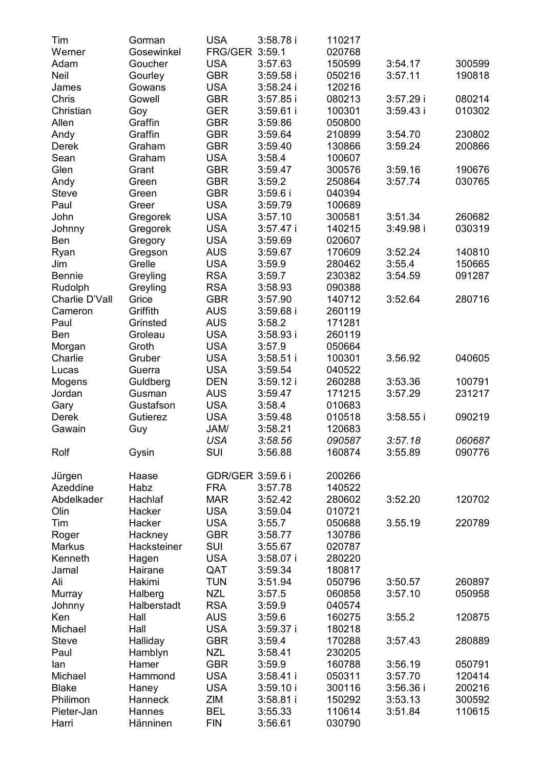| Tim            | Gorman      | <b>USA</b>        | 3:58.78 i   | 110217 |             |        |
|----------------|-------------|-------------------|-------------|--------|-------------|--------|
| Werner         | Gosewinkel  | FRG/GER 3:59.1    |             | 020768 |             |        |
| Adam           | Goucher     | <b>USA</b>        | 3:57.63     | 150599 | 3:54.17     | 300599 |
| Neil           | Gourley     | GBR               | $3:59.58$ i | 050216 | 3:57.11     | 190818 |
| James          | Gowans      | <b>USA</b>        | 3:58.24 i   | 120216 |             |        |
| Chris          | Gowell      | GBR               | $3:57.85$ i | 080213 | 3:57.29 i   | 080214 |
| Christian      | Goy         | GER               | $3:59.61$ i | 100301 | 3:59.43i    | 010302 |
| Allen          | Graffin     | <b>GBR</b>        | 3:59.86     | 050800 |             |        |
| Andy           | Graffin     | GBR               | 3:59.64     | 210899 | 3:54.70     | 230802 |
| Derek          | Graham      | <b>GBR</b>        | 3:59.40     | 130866 | 3:59.24     | 200866 |
| Sean           | Graham      | <b>USA</b>        | 3:58.4      | 100607 |             |        |
| Glen           | Grant       | <b>GBR</b>        | 3:59.47     | 300576 | 3:59.16     | 190676 |
| Andy           | Green       | GBR               | 3:59.2      | 250864 | 3:57.74     | 030765 |
| <b>Steve</b>   | Green       | <b>GBR</b>        | 3:59.6i     | 040394 |             |        |
| Paul           | Greer       | USA               | 3:59.79     | 100689 |             |        |
| John           | Gregorek    | <b>USA</b>        | 3:57.10     | 300581 | 3:51.34     | 260682 |
| Johnny         | Gregorek    | USA               | 3:57.47 i   | 140215 | 3:49.98 i   | 030319 |
| Ben            | Gregory     | <b>USA</b>        | 3:59.69     | 020607 |             |        |
| Ryan           | Gregson     | AUS               | 3:59.67     | 170609 | 3:52.24     | 140810 |
| Jim            | Grelle      | USA               | 3:59.9      | 280462 | 3:55.4      | 150665 |
| <b>Bennie</b>  | Greyling    | <b>RSA</b>        | 3:59.7      | 230382 | 3:54.59     | 091287 |
| Rudolph        |             | <b>RSA</b>        | 3:58.93     |        |             |        |
| Charlie D'Vall | Greyling    |                   |             | 090388 |             | 280716 |
|                | Grice       | GBR<br><b>AUS</b> | 3:57.90     | 140712 | 3:52.64     |        |
| Cameron        | Griffith    |                   | 3:59.68 i   | 260119 |             |        |
| Paul           | Grinsted    | AUS               | 3:58.2      | 171281 |             |        |
| Ben            | Groleau     | <b>USA</b>        | 3:58.93 i   | 260119 |             |        |
| Morgan         | Groth       | <b>USA</b>        | 3:57.9      | 050664 |             |        |
| Charlie        | Gruber      | <b>USA</b>        | $3:58.51$ i | 100301 | 3.56.92     | 040605 |
| Lucas          | Guerra      | <b>USA</b>        | 3:59.54     | 040522 |             |        |
| Mogens         | Guldberg    | DEN               | 3:59.12 i   | 260288 | 3:53.36     | 100791 |
| Jordan         | Gusman      | AUS               | 3:59.47     | 171215 | 3:57.29     | 231217 |
| Gary           | Gustafson   | <b>USA</b>        | 3:58.4      | 010683 |             |        |
| Derek          | Gutierez    | <b>USA</b>        | 3:59.48     | 010518 | $3:58.55$ i | 090219 |
| Gawain         | Guy         | JAM/              | 3:58.21     | 120683 |             |        |
|                |             | USA               | 3:58.56     | 090587 | 3:57.18     | 060687 |
| Rolf           | Gysin       | SUI               | 3:56.88     | 160874 | 3:55.89     | 090776 |
|                |             |                   |             |        |             |        |
| Jürgen         | Haase       | GDR/GER 3:59.6 i  |             | 200266 |             |        |
| Azeddine       | Habz        | <b>FRA</b>        | 3:57.78     | 140522 |             |        |
| Abdelkader     | Hachlaf     | <b>MAR</b>        | 3:52.42     | 280602 | 3:52.20     | 120702 |
| Olin           | Hacker      | USA               | 3:59.04     | 010721 |             |        |
| Tim            | Hacker      | USA               | 3:55.7      | 050688 | 3.55.19     | 220789 |
| Roger          | Hackney     | <b>GBR</b>        | 3:58.77     | 130786 |             |        |
| Markus         | Hacksteiner | SUI               | 3:55.67     | 020787 |             |        |
| Kenneth        | Hagen       | USA               | 3:58.07 i   | 280220 |             |        |
| Jamal          | Hairane     | QAT               | 3:59.34     | 180817 |             |        |
| Ali            | Hakimi      | TUN               | 3:51.94     | 050796 | 3:50.57     | 260897 |
| Murray         | Halberg     | <b>NZL</b>        | 3:57.5      | 060858 | 3:57.10     | 050958 |
| Johnny         | Halberstadt | <b>RSA</b>        | 3:59.9      | 040574 |             |        |
| Ken            | Hall        | AUS               | 3:59.6      | 160275 | 3:55.2      | 120875 |
| Michael        | Hall        | <b>USA</b>        | 3:59.37 i   | 180218 |             |        |
| Steve          | Halliday    | <b>GBR</b>        | 3:59.4      | 170288 | 3:57.43     | 280889 |
| Paul           | Hamblyn     | NZL               | 3:58.41     | 230205 |             |        |
| lan            | Hamer       | <b>GBR</b>        | 3:59.9      | 160788 | 3:56.19     | 050791 |
| Michael        | Hammond     | <b>USA</b>        | 3:58.41 i   | 050311 | 3:57.70     | 120414 |
|                |             |                   |             |        |             | 200216 |
| <b>Blake</b>   | Haney       | <b>USA</b>        | 3:59.10i    | 300116 | 3:56.36i    |        |
| Philimon       | Hanneck     | ZIM               | 3:58.81 i   | 150292 | 3:53.13     | 300592 |
| Pieter-Jan     | Hannes      | <b>BEL</b>        | 3:55.33     | 110614 | 3:51.84     | 110615 |
| Harri          | Hänninen    | <b>FIN</b>        | 3:56.61     | 030790 |             |        |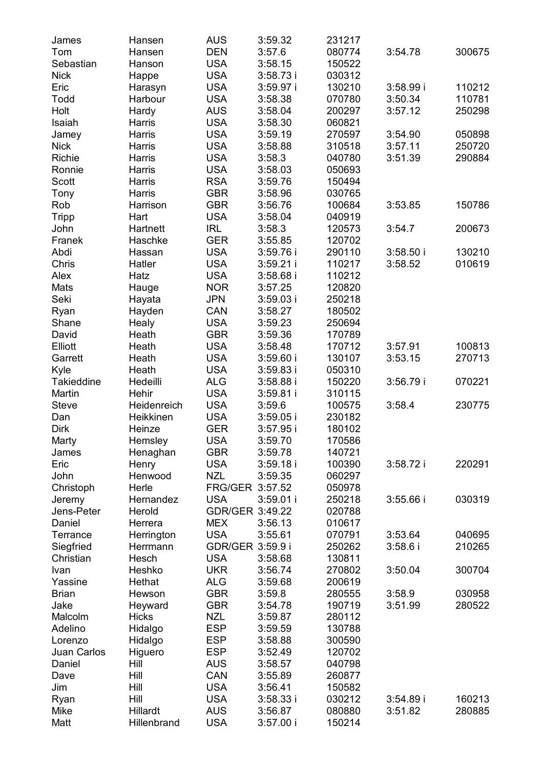| James        | Hansen      | AUS              | 3:59.32     | 231217 |             |        |
|--------------|-------------|------------------|-------------|--------|-------------|--------|
| Tom          | Hansen      | DEN              | 3:57.6      | 080774 | 3:54.78     | 300675 |
| Sebastian    | Hanson      | <b>USA</b>       | 3:58.15     | 150522 |             |        |
| Nick         | Happe       | <b>USA</b>       | 3:58.73 i   | 030312 |             |        |
| Eric         | Harasyn     | <b>USA</b>       | 3:59.97 i   | 130210 | 3:58.99 i   | 110212 |
| Todd         | Harbour     | <b>USA</b>       | 3:58.38     | 070780 | 3:50.34     | 110781 |
| Holt         | Hardy       | AUS              | 3:58.04     | 200297 | 3:57.12     | 250298 |
| Isaiah       | Harris      | <b>USA</b>       | 3:58.30     | 060821 |             |        |
| Jamey        | Harris      | USA              | 3:59.19     | 270597 | 3:54.90     | 050898 |
| Nick         | Harris      | <b>USA</b>       | 3:58.88     | 310518 | 3:57.11     | 250720 |
| Richie       | Harris      | <b>USA</b>       | 3:58.3      | 040780 | 3:51.39     | 290884 |
| Ronnie       | Harris      | <b>USA</b>       | 3:58.03     | 050693 |             |        |
| Scott        | Harris      | <b>RSA</b>       | 3:59.76     | 150494 |             |        |
| Tony         | Harris      | GBR              | 3:58.96     | 030765 |             |        |
| Rob          | Harrison    | <b>GBR</b>       | 3:56.76     | 100684 | 3:53.85     | 150786 |
|              |             | <b>USA</b>       |             |        |             |        |
| Tripp        | Hart        |                  | 3:58.04     | 040919 |             |        |
| John         | Hartnett    | IRL              | 3:58.3      | 120573 | 3:54.7      | 200673 |
| Franek       | Haschke     | GER              | 3:55.85     | 120702 |             |        |
| Abdi         | Hassan      | USA              | 3:59.76 i   | 290110 | 3:58.50i    | 130210 |
| Chris        | Hatler      | USA              | 3:59.21 i   | 110217 | 3:58.52     | 010619 |
| Alex         | Hatz        | USA              | 3:58.68 i   | 110212 |             |        |
| Mats         | Hauge       | <b>NOR</b>       | 3:57.25     | 120820 |             |        |
| Seki         | Hayata      | JPN              | $3:59.03$ i | 250218 |             |        |
| Ryan         | Hayden      | CAN              | 3:58.27     | 180502 |             |        |
| Shane        | Healy       | <b>USA</b>       | 3:59.23     | 250694 |             |        |
| David        | Heath       | <b>GBR</b>       | 3:59.36     | 170789 |             |        |
| Elliott      | Heath       | <b>USA</b>       | 3:58.48     | 170712 | 3:57.91     | 100813 |
| Garrett      | Heath       | <b>USA</b>       | 3:59.60i    | 130107 | 3:53.15     | 270713 |
| Kyle         | Heath       | <b>USA</b>       | 3:59.83 i   | 050310 |             |        |
| Takieddine   | Hedeilli    | ALG              | 3:58.88 i   | 150220 | 3:56.79 i   | 070221 |
| Martin       | Hehir       | <b>USA</b>       | $3:59.81$ i | 310115 |             |        |
| Steve        | Heidenreich | <b>USA</b>       | 3:59.6      | 100575 | 3:58.4      | 230775 |
| Dan          | Heikkinen   | <b>USA</b>       | 3:59.05 i   | 230182 |             |        |
| Dirk         | Heinze      | <b>GER</b>       | $3:57.95$ i | 180102 |             |        |
| Marty        | Hemsley     | <b>USA</b>       | 3:59.70     | 170586 |             |        |
| James        | Henaghan    | GBR              | 3:59.78     | 140721 |             |        |
| Eric         | Henry       | <b>USA</b>       | 3:59.18i    | 100390 | 3:58.72i    | 220291 |
| John         | Henwood     | <b>NZL</b>       | 3:59.35     | 060297 |             |        |
| Christoph    | Herle       | FRG/GER 3:57.52  |             | 050978 |             |        |
| Jeremy       | Hernandez   | USA              | $3:59.01$ i | 250218 | $3:55.66$ i | 030319 |
| Jens-Peter   | Herold      | GDR/GER 3:49.22  |             | 020788 |             |        |
| Daniel       | Herrera     | MEX              | 3:56.13     | 010617 |             |        |
| Terrance     | Herrington  | USA              | 3:55.61     | 070791 | 3:53.64     | 040695 |
| Siegfried    | Herrmann    | GDR/GER 3:59.9 i |             | 250262 | 3:58.6      | 210265 |
| Christian    |             | USA              |             |        |             |        |
| Ivan         | Hesch       |                  | 3:58.68     | 130811 |             |        |
|              | Heshko      | <b>UKR</b>       | 3:56.74     | 270802 | 3:50.04     | 300704 |
| Yassine      | Hethat      | ALG              | 3:59.68     | 200619 |             |        |
| <b>Brian</b> | Hewson      | GBR              | 3:59.8      | 280555 | 3:58.9      | 030958 |
| Jake         | Heyward     | GBR              | 3:54.78     | 190719 | 3:51.99     | 280522 |
| Malcolm      | Hicks       | <b>NZL</b>       | 3:59.87     | 280112 |             |        |
| Adelino      | Hidalgo     | <b>ESP</b>       | 3:59.59     | 130788 |             |        |
| Lorenzo      | Hidalgo     | <b>ESP</b>       | 3:58.88     | 300590 |             |        |
| Juan Carlos  | Higuero     | <b>ESP</b>       | 3:52.49     | 120702 |             |        |
| Daniel       | Hill        | <b>AUS</b>       | 3:58.57     | 040798 |             |        |
| Dave         | Hill        | CAN              | 3:55.89     | 260877 |             |        |
| Jim          | Hill        | <b>USA</b>       | 3:56.41     | 150582 |             |        |
| Ryan         | Hill        | <b>USA</b>       | 3:58.33i    | 030212 | 3:54.89i    | 160213 |
| Mike         | Hillardt    | <b>AUS</b>       | 3:56.87     | 080880 | 3:51.82     | 280885 |
| Matt         | Hillenbrand | <b>USA</b>       | 3:57.00 i   | 150214 |             |        |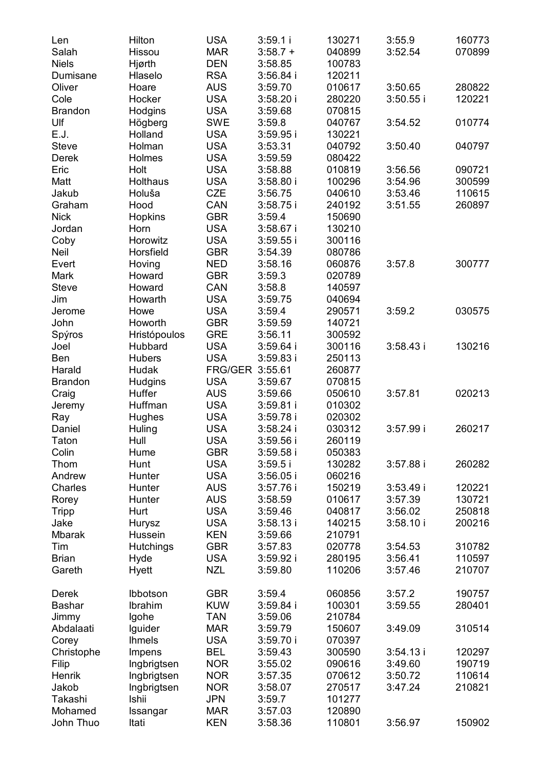| Len<br>Salah   | Hilton<br>Hissou | <b>USA</b><br><b>MAR</b> | 3:59.1 i<br>$3:58.7 +$ | 130271<br>040899 | 3:55.9<br>3:52.54 | 160773<br>070899 |
|----------------|------------------|--------------------------|------------------------|------------------|-------------------|------------------|
| Niels          | Hjørth           | <b>DEN</b>               | 3:58.85                | 100783           |                   |                  |
| Dumisane       | Hlaselo          | <b>RSA</b>               | $3:56.84$ i            | 120211           |                   |                  |
| Oliver         | Hoare            | AUS                      | 3:59.70                | 010617           | 3:50.65           | 280822           |
| Cole           | Hocker           | <b>USA</b>               | 3:58.20i               | 280220           | $3:50.55$ i       | 120221           |
| <b>Brandon</b> | Hodgins          | USA                      | 3:59.68                | 070815           |                   |                  |
| Ulf            | Högberg          | SWE                      | 3:59.8                 | 040767           | 3:54.52           | 010774           |
| E.J.           | Holland          | USA                      | 3:59.95i               | 130221           |                   |                  |
| <b>Steve</b>   | Holman           | <b>USA</b>               | 3:53.31                | 040792           | 3:50.40           | 040797           |
| Derek          | Holmes           | USA                      | 3:59.59                | 080422           |                   |                  |
| Eric           | Holt             | USA                      | 3:58.88                | 010819           | 3:56.56           | 090721           |
| Matt           | Holthaus         | USA                      | 3:58.80i               | 100296           | 3:54.96           | 300599           |
| Jakub          | Holuša           | CZE                      | 3:56.75                | 040610           | 3:53.46           | 110615           |
| Graham         | Hood             | CAN                      | 3:58.75i               | 240192           | 3:51.55           | 260897           |
| <b>Nick</b>    | Hopkins          | GBR                      | 3:59.4                 | 150690           |                   |                  |
| Jordan         | Horn             | <b>USA</b>               | $3:58.67$ i            | 130210           |                   |                  |
| Coby           | Horowitz         | <b>USA</b>               | $3:59.55$ i            | 300116           |                   |                  |
| Neil           | Horsfield        | <b>GBR</b>               | 3:54.39                | 080786           |                   |                  |
| Evert          | Hoving           | NED                      | 3:58.16                | 060876           | 3:57.8            | 300777           |
| Mark           | Howard           | <b>GBR</b>               | 3:59.3                 | 020789           |                   |                  |
| Steve          | Howard           | CAN                      | 3:58.8                 | 140597           |                   |                  |
| Jim            | Howarth          | <b>USA</b>               | 3:59.75                | 040694           |                   |                  |
| Jerome         | Howe             | <b>USA</b>               | 3:59.4                 | 290571           | 3:59.2            | 030575           |
| John           | Howorth          | <b>GBR</b>               | 3:59.59                | 140721           |                   |                  |
| Spýros         | Hristópoulos     | <b>GRE</b>               | 3:56.11                | 300592           |                   |                  |
| Joel           | Hubbard          | <b>USA</b>               | $3:59.64$ i            | 300116           | 3:58.43i          | 130216           |
| Ben            | <b>Hubers</b>    | <b>USA</b>               | $3:59.83$ i            | 250113           |                   |                  |
| Harald         | Hudak            | FRG/GER 3:55.61          |                        | 260877           |                   |                  |
| Brandon        | Hudgins          | <b>USA</b>               | 3:59.67                | 070815           |                   |                  |
| Craig          | Huffer           | AUS                      | 3:59.66                | 050610           | 3:57.81           | 020213           |
| Jeremy         | Huffman          | USA                      | 3:59.81 i              | 010302           |                   |                  |
| Ray            | Hughes           | <b>USA</b>               | 3:59.78i               | 020302           |                   |                  |
| Daniel         | Huling           | USA                      | $3:58.24$ i            | 030312           | 3:57.99i          | 260217           |
| Taton          | Hull             | USA                      | $3:59.56$ i            | 260119           |                   |                  |
| Colin          | Hume             | GBR                      | $3:59.58$ i            | 050383           |                   |                  |
| Thom           | Hunt             | <b>USA</b>               | 3:59.5i                | 130282           | 3:57.88 i         | 260282           |
| Andrew         | Hunter           | USA                      | $3:56.05$ i            | 060216           |                   |                  |
| Charles        | Hunter           | AUS                      | 3:57.76i               | 150219           | 3:53.49i          | 120221           |
| Rorey          | Hunter           | AUS                      | 3:58.59                | 010617           | 3:57.39           | 130721           |
| <b>Tripp</b>   | Hurt             | <b>USA</b>               | 3:59.46                | 040817           | 3:56.02           | 250818           |
| Jake           | Hurysz           | USA                      | 3:58.13i               | 140215           | 3:58.10i          | 200216           |
| Mbarak         | Hussein          | <b>KEN</b>               | 3:59.66                | 210791           |                   |                  |
| Tim            | Hutchings        | <b>GBR</b>               | 3:57.83                | 020778           | 3:54.53           | 310782           |
| Brian          | Hyde             | <b>USA</b>               | 3:59.92i               | 280195           | 3:56.41           | 110597           |
| Gareth         | Hyett            | <b>NZL</b>               | 3:59.80                | 110206           | 3:57.46           | 210707           |
|                |                  |                          |                        |                  |                   |                  |
| Derek          | Ibbotson         | GBR                      | 3:59.4                 | 060856           | 3:57.2            | 190757           |
| Bashar         | Ibrahim          | <b>KUW</b>               | 3:59.84 i              | 100301           | 3:59.55           | 280401           |
| Jimmy          | Igohe            | <b>TAN</b>               | 3:59.06                | 210784           |                   |                  |
| Abdalaati      | Iguider          | <b>MAR</b>               | 3:59.79                | 150607           | 3:49.09           | 310514           |
| Corey          | <b>Ihmels</b>    | <b>USA</b>               | 3:59.70i               | 070397           |                   |                  |
| Christophe     | Impens           | BEL                      | 3:59.43                | 300590           | 3:54.13i          | 120297           |
| Filip          | Ingbrigtsen      | <b>NOR</b>               | 3:55.02                | 090616           | 3:49.60           | 190719           |
| Henrik         | Ingbrigtsen      | <b>NOR</b>               | 3:57.35                | 070612           | 3:50.72           | 110614           |
| Jakob          | Ingbrigtsen      | NOR.                     | 3:58.07                | 270517           | 3:47.24           | 210821           |
| Takashi        | Ishii            | JPN                      | 3:59.7                 | 101277           |                   |                  |
| Mohamed        | Issangar         | MAR                      | 3:57.03                | 120890           |                   |                  |
| John Thuo      | Itati            | KEN                      | 3:58.36                | 110801           | 3:56.97           | 150902           |
|                |                  |                          |                        |                  |                   |                  |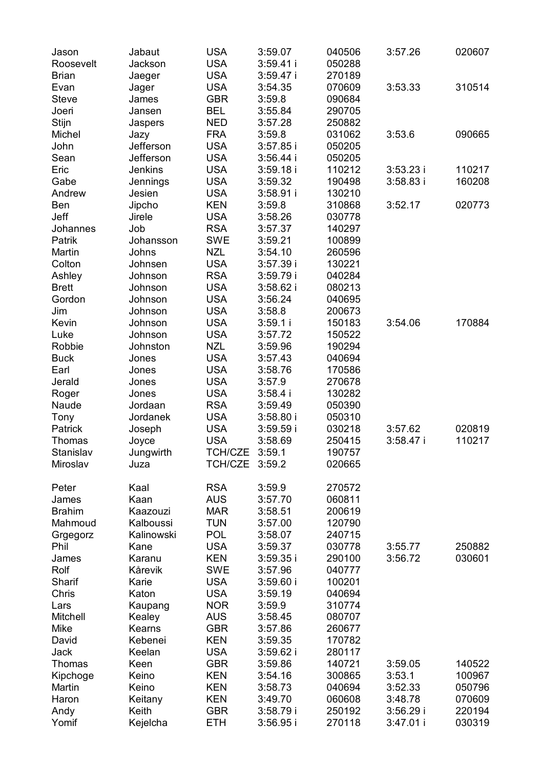| Jason<br>Roosevelt<br>Brian | Jabaut<br>Jackson<br>Jaeger | USA<br>USA<br>USA        | 3:59.07<br>3:59.41 i<br>3:59.47 i | 040506<br>050288<br>270189 | 3:57.26              | 020607           |
|-----------------------------|-----------------------------|--------------------------|-----------------------------------|----------------------------|----------------------|------------------|
| Evan<br>Steve<br>Joeri      | Jager<br>James<br>Jansen    | <b>USA</b><br>GBR<br>BEL | 3:54.35<br>3:59.8<br>3:55.84      | 070609<br>090684<br>290705 | 3:53.33              | 310514           |
| Stijn<br>Michel             | Jaspers<br>Jazy             | NED<br>FRA               | 3:57.28<br>3:59.8                 | 250882<br>031062           | 3:53.6               | 090665           |
| John<br>Sean                | Jefferson<br>Jefferson      | USA<br>USA               | $3:57.85$ i<br>3:56.44 i          | 050205<br>050205           |                      |                  |
| Eric                        | Jenkins                     | USA                      | $3:59.18$ i                       | 110212                     | $3:53.23$ i          | 110217           |
| Gabe                        | Jennings                    | USA                      | 3:59.32                           | 190498                     | 3:58.83 i            | 160208           |
| Andrew                      | Jesien                      | USA                      | 3:58.91 i                         | 130210                     |                      |                  |
| Ben                         | Jipcho                      | KEN                      | 3:59.8                            | 310868                     | 3:52.17              | 020773           |
| Jeff                        | Jirele                      | USA                      | 3:58.26                           | 030778                     |                      |                  |
| Johannes                    | Job                         | <b>RSA</b>               | 3:57.37                           | 140297                     |                      |                  |
| Patrik                      | Johansson                   | SWE                      | 3:59.21                           | 100899                     |                      |                  |
| Martin                      | Johns                       | NZL                      | 3:54.10                           | 260596                     |                      |                  |
| Colton                      | Johnsen                     | USA                      | 3:57.39 i                         | 130221                     |                      |                  |
| Ashley                      | Johnson                     | <b>RSA</b>               | 3:59.79 i                         | 040284                     |                      |                  |
| <b>Brett</b>                | Johnson                     | USA                      | $3:58.62$ i                       | 080213                     |                      |                  |
| Gordon                      | Johnson                     | USA                      | 3:56.24                           | 040695                     |                      |                  |
| Jim                         | Johnson                     | USA                      | 3:58.8                            | 200673                     |                      |                  |
| Kevin                       | Johnson                     | USA                      | 3:59.1 i                          | 150183                     | 3:54.06              | 170884           |
| Luke                        | Johnson                     | <b>USA</b>               | 3:57.72                           | 150522                     |                      |                  |
| Robbie                      | Johnston                    | NZL                      | 3:59.96                           | 190294                     |                      |                  |
| <b>Buck</b>                 | Jones                       | USA                      | 3:57.43                           | 040694                     |                      |                  |
| Earl                        | Jones                       | USA                      | 3:58.76                           | 170586                     |                      |                  |
| Jerald                      | Jones                       | USA                      | 3:57.9                            | 270678                     |                      |                  |
| Roger                       | Jones                       | USA                      | $3:58.4$ i                        | 130282                     |                      |                  |
| Naude                       | Jordaan                     | RSA                      | 3:59.49                           | 050390                     |                      |                  |
| Tony                        | Jordanek                    | USA                      | 3:58.80 i                         | 050310                     |                      |                  |
| Patrick                     | Joseph                      | USA<br>USA               | 3:59.59i<br>3:58.69               | 030218<br>250415           | 3:57.62<br>3:58.47 i | 020819<br>110217 |
| Thomas<br>Stanislav         | Joyce<br>Jungwirth          | TCH/CZE                  | 3:59.1                            | 190757                     |                      |                  |
| Miroslav                    | Juza                        | TCH/CZE                  | 3:59.2                            | 020665                     |                      |                  |
| Peter                       | Kaal                        | <b>RSA</b>               | 3:59.9                            | 270572                     |                      |                  |
| James                       | Kaan                        | AUS                      | 3:57.70                           | 060811                     |                      |                  |
| <b>Brahim</b>               | Kaazouzi                    | <b>MAR</b>               | 3:58.51                           | 200619                     |                      |                  |
| Mahmoud                     | Kalboussi                   | TUN                      | 3:57.00                           | 120790                     |                      |                  |
| Grgegorz                    | Kalinowski                  | POL                      | 3:58.07                           | 240715                     |                      |                  |
| Phil                        | Kane                        | USA                      | 3:59.37                           | 030778                     | 3:55.77              | 250882           |
| James<br>Rolf               | Karanu<br>Kårevik           | KEN<br>SWE               | 3:59.35 i                         | 290100                     | 3:56.72              | 030601           |
| Sharif                      | Karie                       | USA                      | 3:57.96<br>3:59.60 i              | 040777<br>100201           |                      |                  |
| Chris                       | Katon                       | <b>USA</b>               | 3:59.19                           | 040694                     |                      |                  |
| Lars                        | Kaupang                     | <b>NOR</b>               | 3:59.9                            | 310774                     |                      |                  |
| Mitchell                    | Kealey                      | AUS                      | 3:58.45                           | 080707                     |                      |                  |
| Mike                        | Kearns                      | GBR                      | 3:57.86                           | 260677                     |                      |                  |
| David                       | Kebenei                     | KEN                      | 3:59.35                           | 170782                     |                      |                  |
| Jack                        | Keelan                      | USA                      | 3:59.62 i                         | 280117                     |                      |                  |
| Thomas                      | Keen                        | GBR                      | 3:59.86                           | 140721                     | 3:59.05              | 140522           |
| Kipchoge                    | Keino                       | KEN                      | 3:54.16                           | 300865                     | 3:53.1               | 100967           |
| Martin                      | Keino                       | KEN                      | 3:58.73                           | 040694                     | 3:52.33              | 050796           |
| Haron                       | Keitany                     | KEN                      | 3:49.70                           | 060608                     | 3:48.78              | 070609           |
| Andy                        | Keith                       | GBR                      | 3:58.79 i                         | 250192                     | 3:56.29 i            | 220194           |
| Yomif                       | Kejelcha                    | ETH                      | 3:56.95 i                         | 270118                     | 3:47.01 i            | 030319           |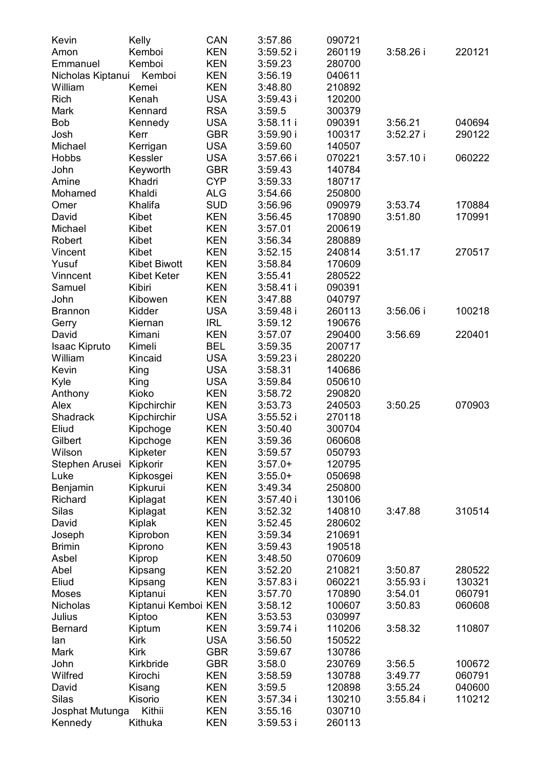| Kevin             | Kelly               | CAN        | 3:57.86     | 090721 |             |        |
|-------------------|---------------------|------------|-------------|--------|-------------|--------|
| Amon              | Kemboi              | KEN        | 3:59.52 i   | 260119 | 3:58.26 i   | 220121 |
| Emmanuel          | Kemboi              | KEN        | 3:59.23     | 280700 |             |        |
| Nicholas Kiptanui | Kemboi              | KEN        | 3:56.19     | 040611 |             |        |
| William           | Kemei               | KEN        | 3:48.80     | 210892 |             |        |
| Rich              | Kenah               | USA        | 3:59.43 i   | 120200 |             |        |
| Mark              | Kennard             | <b>RSA</b> | 3:59.5      | 300379 |             |        |
| Bob               | Kennedy             | <b>USA</b> | 3:58.11i    | 090391 | 3:56.21     | 040694 |
| Josh              | Kerr                | GBR        | 3:59.90 i   | 100317 | $3:52.27$ i | 290122 |
| Michael           | Kerrigan            | <b>USA</b> | 3:59.60     | 140507 |             |        |
| Hobbs             | Kessler             | <b>USA</b> | 3:57.66 i   | 070221 | 3:57.10i    | 060222 |
| John              | Keyworth            | GBR        | 3:59.43     | 140784 |             |        |
| Amine             | Khadri              | <b>CYP</b> | 3:59.33     | 180717 |             |        |
| Mohamed           | Khaldi              | ALG        | 3:54.66     | 250800 |             |        |
| Omer              | Khalifa             | SUD        | 3:56.96     | 090979 | 3:53.74     | 170884 |
| David             | Kibet               | KEN        | 3:56.45     | 170890 | 3:51.80     | 170991 |
| Michael           | Kibet               | KEN        | 3:57.01     | 200619 |             |        |
| Robert            | Kibet               | KEN        | 3:56.34     | 280889 |             |        |
| Vincent           | Kibet               | KEN        | 3:52.15     | 240814 | 3:51.17     | 270517 |
| Yusuf             | Kibet Biwott        | KEN        | 3:58.84     | 170609 |             |        |
| Vinncent          | Kibet Keter         | KEN        | 3:55.41     | 280522 |             |        |
| Samuel            | Kibiri              | KEN        | 3:58.41 i   | 090391 |             |        |
| John              | Kibowen             | KEN        | 3:47.88     | 040797 |             |        |
| Brannon           | Kidder              | <b>USA</b> | 3:59.48 i   | 260113 | 3:56.06i    | 100218 |
| Gerry             | Kiernan             | IRL        | 3:59.12     | 190676 |             |        |
| David             | Kimani              | KEN        | 3:57.07     | 290400 | 3:56.69     | 220401 |
| Isaac Kipruto     | Kimeli              | BEL        | 3:59.35     | 200717 |             |        |
| William           | Kincaid             | USA        | 3:59.23 i   | 280220 |             |        |
| Kevin             | King                | USA        | 3:58.31     | 140686 |             |        |
| Kyle              | King                | USA        | 3:59.84     | 050610 |             |        |
| Anthony           | Kioko               | KEN        | 3:58.72     | 290820 |             |        |
| Alex              | Kipchirchir         | KEN        | 3:53.73     | 240503 | 3:50.25     | 070903 |
| Shadrack          | Kipchirchir         | USA        | $3:55.52$ i | 270118 |             |        |
| Eliud             | Kipchoge            | KEN        | 3:50.40     | 300704 |             |        |
| Gilbert           | Kipchoge            | KEN        | 3:59.36     | 060608 |             |        |
| Wilson            | Kipketer            | KEN        | 3:59.57     | 050793 |             |        |
| Stephen Arusei    | Kipkorir            | KEN        | $3:57.0+$   | 120795 |             |        |
| Luke              | Kipkosgei           | KEN        | $3:55.0+$   | 050698 |             |        |
| Benjamin          | Kipkurui            | KEN        | 3:49.34     | 250800 |             |        |
| Richard           | Kiplagat            | KEN        | 3:57.40i    | 130106 |             |        |
| Silas             | Kiplagat            | KEN        | 3:52.32     | 140810 | 3:47.88     | 310514 |
| David             | Kiplak              | KEN        | 3:52.45     | 280602 |             |        |
| Joseph            | Kiprobon            | KEN        | 3:59.34     | 210691 |             |        |
| <b>Brimin</b>     | Kiprono             | KEN        | 3:59.43     | 190518 |             |        |
| Asbel             | Kiprop              | KEN        | 3:48.50     | 070609 |             |        |
| Abel              | Kipsang             | KEN        | 3:52.20     | 210821 | 3:50.87     | 280522 |
| Eliud             | Kipsang             | KEN        | 3:57.83 i   | 060221 | $3:55.93$ i | 130321 |
| Moses             | Kiptanui            | KEN        | 3:57.70     | 170890 | 3:54.01     | 060791 |
| Nicholas          | Kiptanui Kemboi KEN |            | 3:58.12     | 100607 | 3:50.83     | 060608 |
| Julius            | Kiptoo              | <b>KEN</b> | 3:53.53     | 030997 |             |        |
| Bernard           | Kiptum              | <b>KEN</b> | 3:59.74 i   | 110206 | 3:58.32     | 110807 |
| lan               | Kirk                | <b>USA</b> | 3:56.50     | 150522 |             |        |
| Mark              | Kirk                | <b>GBR</b> | 3:59.67     | 130786 |             |        |
| John              | Kirkbride           | <b>GBR</b> | 3:58.0      | 230769 | 3:56.5      | 100672 |
| Wilfred           | Kirochi             | <b>KEN</b> | 3:58.59     | 130788 | 3:49.77     | 060791 |
| David             | Kisang              | <b>KEN</b> | 3:59.5      | 120898 | 3:55.24     | 040600 |
| Silas             | Kisorio             | KEN        | 3:57.34 i   | 130210 | 3:55.84 i   | 110212 |
| Josphat Mutunga   | Kithii              | <b>KEN</b> | 3:55.16     | 030710 |             |        |
| Kennedy           | Kithuka             | <b>KEN</b> | 3:59.53 i   | 260113 |             |        |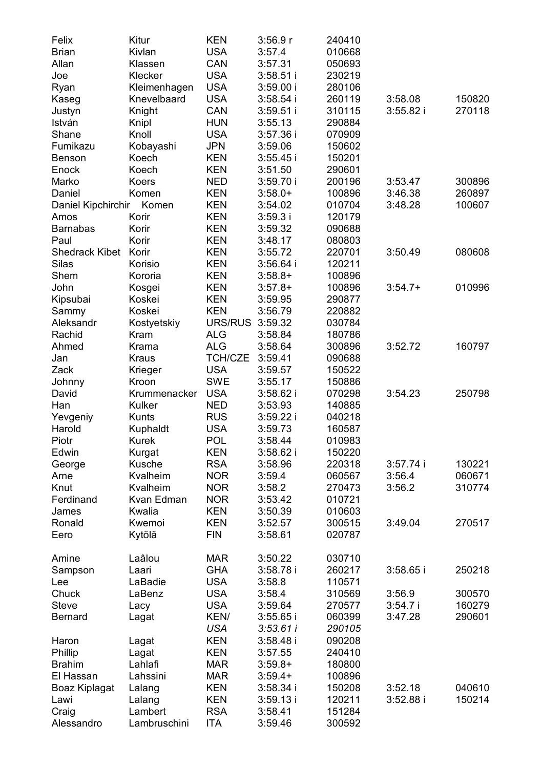| Felix              | Kitur        | <b>KEN</b> | 3:56.9r     | 240410 |             |        |
|--------------------|--------------|------------|-------------|--------|-------------|--------|
| <b>Brian</b>       | Kivlan       | <b>USA</b> | 3:57.4      | 010668 |             |        |
| Allan              | Klassen      | CAN        | 3:57.31     | 050693 |             |        |
| Joe                | Klecker      | <b>USA</b> | $3:58.51$ i | 230219 |             |        |
| Ryan               | Kleimenhagen | <b>USA</b> | 3:59.00i    | 280106 |             |        |
| Kaseg              | Knevelbaard  | <b>USA</b> | 3:58.54 i   | 260119 | 3:58.08     | 150820 |
| Justyn             | Knight       | CAN        | $3:59.51$ i | 310115 | $3:55.82$ i | 270118 |
| István             | Knipl        | HUN        | 3:55.13     | 290884 |             |        |
| Shane              | Knoll        | USA        | 3:57.36 i   | 070909 |             |        |
| Fumikazu           | Kobayashi    | JPN        | 3:59.06     | 150602 |             |        |
| Benson             | Koech        | KEN        | 3:55.45     | 150201 |             |        |
| Enock              | Koech        | KEN        | 3:51.50     | 290601 |             |        |
| Marko              | Koers        | NED        | 3:59.70 i   | 200196 | 3:53.47     | 300896 |
| Daniel             | Komen        | <b>KEN</b> | $3:58.0+$   | 100896 | 3:46.38     | 260897 |
| Daniel Kipchirchir | Komen        | KEN        | 3:54.02     | 010704 | 3:48.28     | 100607 |
| Amos               | Korir        | KEN        | 3:59.3 i    | 120179 |             |        |
| <b>Barnabas</b>    | Korir        | KEN        | 3:59.32     | 090688 |             |        |
| Paul               | Korir        | KEN        |             |        |             |        |
|                    |              |            | 3:48.17     | 080803 |             |        |
| Shedrack Kibet     | Korir        | KEN        | 3:55.72     | 220701 | 3:50.49     | 080608 |
| Silas              | Korisio      | KEN        | 3:56.64 i   | 120211 |             |        |
| Shem               | Kororia      | KEN        | $3:58.8+$   | 100896 |             |        |
| John               | Kosgei       | KEN        | $3:57.8+$   | 100896 | $3:54.7+$   | 010996 |
| Kipsubai           | Koskei       | KEN        | 3:59.95     | 290877 |             |        |
| Sammy              | Koskei       | KEN        | 3:56.79     | 220882 |             |        |
| Aleksandr          | Kostyetskiy  | URS/RUS    | 3:59.32     | 030784 |             |        |
| Rachid             | Kram         | ALG        | 3:58.84     | 180786 |             |        |
| Ahmed              | Krama        | ALG        | 3:58.64     | 300896 | 3:52.72     | 160797 |
| Jan                | Kraus        | TCH/CZE    | 3:59.41     | 090688 |             |        |
| Zack               | Krieger      | USA        | 3:59.57     | 150522 |             |        |
| Johnny             | Kroon        | SWE        | 3:55.17     | 150886 |             |        |
| David              | Krummenacker | <b>USA</b> | $3:58.62$ i | 070298 | 3:54.23     | 250798 |
| Han                | Kulker       | NED        | 3:53.93     | 140885 |             |        |
| Yevgeniy           | Kunts        | RUS        | 3:59.22 i   | 040218 |             |        |
| Harold             | Kuphaldt     | <b>USA</b> | 3:59.73     | 160587 |             |        |
| Piotr              | Kurek        | <b>POL</b> | 3:58.44     | 010983 |             |        |
| Edwin              | Kurgat       | KEN        | $3:58.62$ i | 150220 |             |        |
| George             | Kusche       | <b>RSA</b> | 3:58.96     | 220318 | 3:57.74i    | 130221 |
| Arne               | Kvalheim     | <b>NOR</b> | 3:59.4      | 060567 | 3:56.4      | 060671 |
| Knut               | Kvalheim     | <b>NOR</b> | 3:58.2      | 270473 | 3:56.2      | 310774 |
| Ferdinand          | Kvan Edman   | <b>NOR</b> | 3:53.42     | 010721 |             |        |
| James              | Kwalia       | KEN        | 3:50.39     | 010603 |             |        |
| Ronald             | Kwemoi       | KEN        | 3:52.57     | 300515 | 3:49.04     | 270517 |
| Eero               | Kytölä       | FIN        | 3:58.61     | 020787 |             |        |
| Amine              | Laâlou       | MAR        | 3:50.22     | 030710 |             |        |
| Sampson            | Laari        | GHA        | 3:58.78 i   | 260217 | $3:58.65$ i | 250218 |
| Lee                | LaBadie      | USA        | 3:58.8      | 110571 |             |        |
| Chuck              | LaBenz       | USA        | 3:58.4      | 310569 | 3:56.9      | 300570 |
| Steve              | Lacy         | <b>USA</b> | 3:59.64     | 270577 | 3:54.7i     | 160279 |
| Bernard            | Lagat        | KEN/       | 3:55.65 i   | 060399 | 3:47.28     | 290601 |
|                    |              | USA        | 3.53.61 i   | 290105 |             |        |
| Haron              | Lagat        | KEN        | 3:58.48 i   | 090208 |             |        |
| Phillip            | Lagat        | KEN        | 3:57.55     | 240410 |             |        |
| Brahim             | Lahlafi      | MAR        | $3:59.8+$   | 180800 |             |        |
| El Hassan          | Lahssini     | <b>MAR</b> | $3:59.4+$   | 100896 |             |        |
| Boaz Kiplagat      | Lalang       | KEN        | 3:58.34i    | 150208 | 3:52.18     | 040610 |
| Lawi               | Lalang       | <b>KEN</b> | 3:59.13 i   | 120211 | $3:52.88$ i | 150214 |
| Craig              | Lambert      | <b>RSA</b> | 3:58.41     | 151284 |             |        |
| Alessandro         | Lambruschini | <b>ITA</b> | 3:59.46     | 300592 |             |        |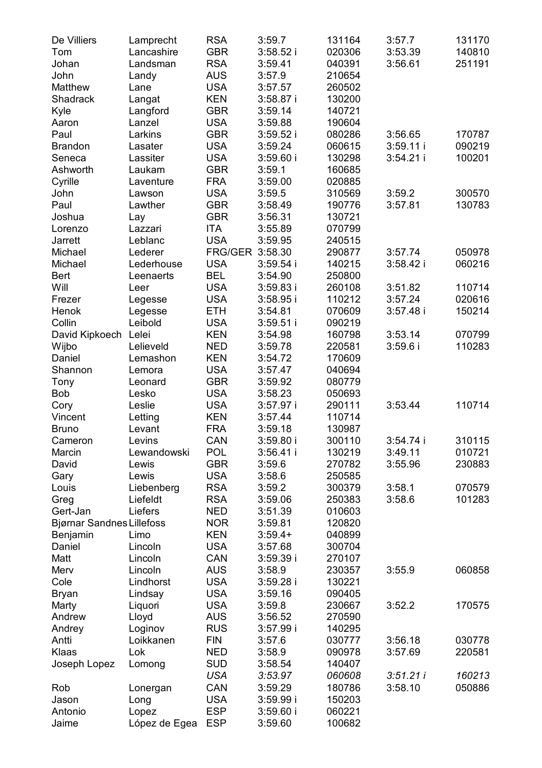| De Villiers                      | Lamprecht     | <b>RSA</b>      | 3:59.7      | 131164 | 3:57.7     | 131170 |
|----------------------------------|---------------|-----------------|-------------|--------|------------|--------|
| Tom                              | Lancashire    | <b>GBR</b>      | 3:58.52i    | 020306 | 3:53.39    | 140810 |
| Johan                            | Landsman      | RSA             | 3:59.41     | 040391 | 3:56.61    | 251191 |
| John                             | Landy         | AUS             | 3:57.9      | 210654 |            |        |
| Matthew                          | Lane          | <b>USA</b>      | 3:57.57     | 260502 |            |        |
| Shadrack                         | Langat        | <b>KEN</b>      | 3:58.87 i   | 130200 |            |        |
| Kyle                             | Langford      | GBR             | 3:59.14     | 140721 |            |        |
| Aaron                            | Lanzel        | <b>USA</b>      | 3:59.88     | 190604 |            |        |
| Paul                             | Larkins       | GBR             | 3:59.52 i   | 080286 | 3:56.65    | 170787 |
| <b>Brandon</b>                   | Lasater       | <b>USA</b>      | 3:59.24     | 060615 | 3:59.11 i  | 090219 |
| Seneca                           | Lassiter      | USA             | 3:59.60i    | 130298 | 3:54.21 i  | 100201 |
| Ashworth                         | Laukam        | GBR             | 3:59.1      | 160685 |            |        |
| Cyrille                          | Laventure     | FRA             | 3:59.00     | 020885 |            |        |
| John                             | Lawson        | USA             | 3:59.5      | 310569 | 3:59.2     | 300570 |
| Paul                             | Lawther       | GBR             | 3:58.49     | 190776 | 3:57.81    | 130783 |
| Joshua                           | Lay           | GBR             | 3:56.31     | 130721 |            |        |
| Lorenzo                          | Lazzari       | ITA             | 3:55.89     | 070799 |            |        |
|                                  | Leblanc       | USA             |             | 240515 |            |        |
| Jarrett                          |               |                 | 3:59.95     |        |            |        |
| Michael                          | Lederer       | FRG/GER 3:58.30 |             | 290877 | 3:57.74    | 050978 |
| Michael                          | Lederhouse    | <b>USA</b>      | 3:59.54     | 140215 | 3:58.42 i  | 060216 |
| Bert                             | Leenaerts     | <b>BEL</b>      | 3:54.90     | 250800 |            |        |
| Will                             | Leer          | <b>USA</b>      | $3:59.83$ i | 260108 | 3:51.82    | 110714 |
| Frezer                           | Legesse       | <b>USA</b>      | $3:58.95$ i | 110212 | 3:57.24    | 020616 |
| Henok                            | Legesse       | ETH             | 3:54.81     | 070609 | 3:57.48 i  | 150214 |
| Collin                           | Leibold       | USA             | $3:59.51$ i | 090219 |            |        |
| David Kipkoech Lelei             |               | KEN             | 3:54.98     | 160798 | 3:53.14    | 070799 |
| Wijbo                            | Lelieveld     | NED             | 3:59.78     | 220581 | $3:59.6$ i | 110283 |
| Daniel                           | Lemashon      | KEN             | 3:54.72     | 170609 |            |        |
| Shannon                          | Lemora        | <b>USA</b>      | 3:57.47     | 040694 |            |        |
| Tony                             | Leonard       | GBR             | 3:59.92     | 080779 |            |        |
| Bob                              | Lesko         | <b>USA</b>      | 3:58.23     | 050693 |            |        |
| Cory                             | Leslie        | USA             | $3:57.97$ i | 290111 | 3:53.44    | 110714 |
| Vincent                          | Letting       | <b>KEN</b>      | 3:57.44     | 110714 |            |        |
| Bruno                            | Levant        | FRA             | 3:59.18     | 130987 |            |        |
| Cameron                          | Levins        | CAN             | $3:59.80$ i | 300110 | 3:54.74 i  | 310115 |
| Marcin                           | Lewandowski   | POL             | 3:56.41 i   | 130219 | 3:49.11    | 010721 |
| David                            | Lewis         | GBR             | 3:59.6      | 270782 | 3:55.96    | 230883 |
| Gary                             | Lewis         | USA             | 3:58.6      | 250585 |            |        |
| Louis                            | Liebenberg    | RSA             | 3:59.2      | 300379 | 3:58.1     | 070579 |
| Greg                             | Liefeldt      | RSA             | 3:59.06     | 250383 | 3:58.6     | 101283 |
| Gert-Jan                         | Liefers       | NED             | 3:51.39     | 010603 |            |        |
| <b>Bjørnar Sandnes Lillefoss</b> |               | <b>NOR</b>      | 3:59.81     | 120820 |            |        |
| Benjamin                         | Limo          | <b>KEN</b>      | $3:59.4+$   | 040899 |            |        |
| Daniel                           | Lincoln       | USA             | 3:57.68     | 300704 |            |        |
| Matt                             | Lincoln       | CAN             | 3:59.39i    | 270107 |            |        |
|                                  |               |                 |             |        |            |        |
| Merv                             | Lincoln       | AUS             | 3:58.9      | 230357 | 3:55.9     | 060858 |
| Cole                             | Lindhorst     | <b>USA</b>      | 3:59.28 i   | 130221 |            |        |
| <b>Bryan</b>                     | Lindsay       | USA             | 3:59.16     | 090405 |            |        |
| Marty                            | Liquori       | USA             | 3:59.8      | 230667 | 3:52.2     | 170575 |
| Andrew                           | Lloyd         | AUS             | 3:56.52     | 270590 |            |        |
| Andrey                           | Loginov       | <b>RUS</b>      | 3:57.99i    | 140295 |            |        |
| Antti                            | Loikkanen     | <b>FIN</b>      | 3:57.6      | 030777 | 3:56.18    | 030778 |
| Klaas                            | Lok           | NED             | 3:58.9      | 090978 | 3:57.69    | 220581 |
| Joseph Lopez                     | Lomong        | <b>SUD</b>      | 3:58.54     | 140407 |            |        |
|                                  |               | USA             | 3:53.97     | 060608 | 3:51.21i   | 160213 |
| Rob                              | Lonergan      | CAN             | 3:59.29     | 180786 | 3:58.10    | 050886 |
| Jason                            | Long          | USA             | 3:59.99i    | 150203 |            |        |
| Antonio                          | Lopez         | <b>ESP</b>      | 3:59.60i    | 060221 |            |        |
| Jaime                            | López de Egea | ESP             | 3:59.60     | 100682 |            |        |
|                                  |               |                 |             |        |            |        |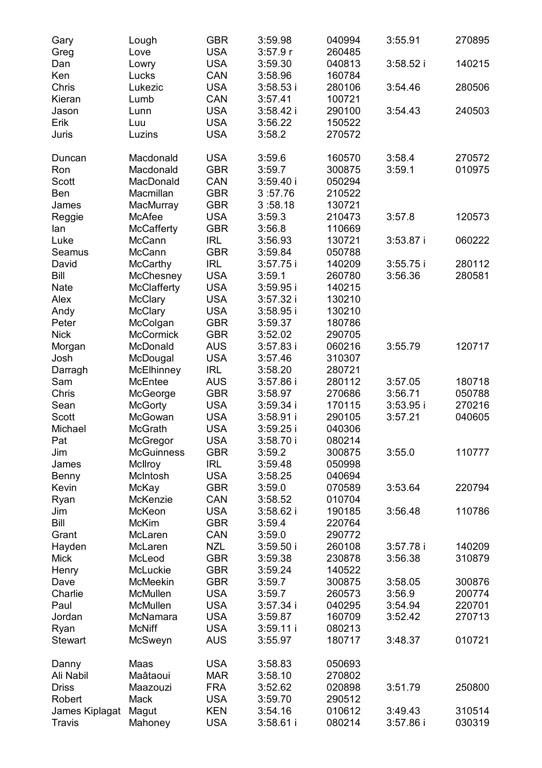| Gary<br>Greg    | Lough<br>Love               | GBR<br><b>USA</b> | 3:59.98<br>3:57.9r       | 040994<br>260485 | 3:55.91                | 270895           |
|-----------------|-----------------------------|-------------------|--------------------------|------------------|------------------------|------------------|
| Dan<br>Ken      | Lowry<br>Lucks              | <b>USA</b><br>CAN | 3:59.30<br>3:58.96       | 040813<br>160784 | 3:58.52i               | 140215           |
| Chris<br>Kieran | Lukezic                     | <b>USA</b><br>CAN | $3:58.53$ i              | 280106           | 3:54.46                | 280506           |
| Jason           | Lumb<br>Lunn                | USA               | 3:57.41<br>3:58.42 i     | 100721<br>290100 | 3:54.43                | 240503           |
| Erik            | Luu                         | <b>USA</b>        | 3:56.22                  | 150522           |                        |                  |
| Juris           | Luzins                      | USA               | 3:58.2                   | 270572           |                        |                  |
| Duncan          | Macdonald                   | USA               | 3:59.6                   | 160570           | 3:58.4                 | 270572           |
| Ron             | Macdonald                   | GBR               | 3:59.7                   | 300875           | 3:59.1                 | 010975           |
| Scott           | MacDonald                   | CAN               | 3:59.40i                 | 050294           |                        |                  |
| Ben<br>James    | Macmillan<br>MacMurray      | GBR<br>GBR        | 3:57.76<br>3:58.18       | 210522<br>130721 |                        |                  |
|                 | McAfee                      | <b>USA</b>        | 3:59.3                   | 210473           | 3:57.8                 | 120573           |
| Reggie<br>lan   | McCafferty                  | <b>GBR</b>        | 3:56.8                   | 110669           |                        |                  |
| Luke            | McCann                      | IRL               | 3:56.93                  | 130721           | $3:53.87$ i            | 060222           |
| Seamus          | McCann                      | GBR               | 3:59.84                  | 050788           |                        |                  |
| David           | McCarthy                    | IRL               | 3:57.75                  | 140209           | 3:55.75i               | 280112           |
| Bill            | McChesney                   | <b>USA</b>        | 3:59.1                   | 260780           | 3:56.36                | 280581           |
| Nate            | McClafferty                 | <b>USA</b>        | $3:59.95$ i              | 140215           |                        |                  |
| Alex            | McClary                     | <b>USA</b>        | 3:57.32i                 | 130210           |                        |                  |
| Andy            | McClary                     | USA               | $3:58.95$ i              | 130210           |                        |                  |
| Peter           | McColgan                    | <b>GBR</b>        | 3:59.37                  | 180786           |                        |                  |
| Nick            | McCormick                   | GBR               | 3:52.02                  | 290705           |                        |                  |
| Morgan          | McDonald                    | AUS               | $3:57.83$ i              | 060216           | 3:55.79                | 120717           |
| Josh            | McDougal                    | <b>USA</b>        | 3:57.46                  | 310307           |                        |                  |
| Darragh         | McElhinney                  | <b>IRL</b>        | 3:58.20                  | 280721           |                        |                  |
| Sam             | McEntee                     | AUS               | $3:57.86$ i              | 280112           | 3:57.05                | 180718           |
| Chris           | McGeorge                    | <b>GBR</b>        | 3:58.97                  | 270686           | 3:56.71                | 050788           |
| Sean<br>Scott   | McGorty<br>McGowan          | USA<br><b>USA</b> | $3:59.34$ i<br>3:58.91 i | 170115<br>290105 | $3:53.95$ i<br>3:57.21 | 270216<br>040605 |
| Michael         | McGrath                     | USA               | 3:59.25i                 | 040306           |                        |                  |
| Pat             | McGregor                    | USA               | 3:58.70i                 | 080214           |                        |                  |
| Jim             | <b>McGuinness</b>           | GBR               | 3:59.2                   | 300875           | 3:55.0                 | 110777           |
| James           | McIlroy                     | <b>IRL</b>        | 3:59.48                  | 050998           |                        |                  |
| Benny           | McIntosh                    | USA               | 3:58.25                  | 040694           |                        |                  |
| Kevin           | McKay                       | GBR               | 3:59.0                   | 070589           | 3:53.64                | 220794           |
| Ryan            | McKenzie                    | CAN               | 3:58.52                  | 010704           |                        |                  |
| Jim             | McKeon                      | <b>USA</b>        | $3:58.62$ i              | 190185           | 3:56.48                | 110786           |
| Bill            | <b>McKim</b>                | GBR               | 3:59.4                   | 220764           |                        |                  |
| Grant           | McLaren                     | CAN               | 3:59.0                   | 290772           |                        |                  |
| Hayden          | McLaren                     | NZL               | 3:59.50i                 | 260108           | 3:57.78 i              | 140209           |
| Mick            | McLeod                      | GBR               | 3:59.38                  | 230878           | 3:56.38                | 310879           |
| Henry           | McLuckie                    | GBR               | 3:59.24                  | 140522           |                        |                  |
| Dave            | <b>McMeekin</b><br>McMullen | <b>GBR</b>        | 3:59.7                   | 300875           | 3:58.05                | 300876           |
| Charlie<br>Paul |                             | USA<br><b>USA</b> | 3:59.7                   | 260573<br>040295 | 3:56.9                 | 200774           |
| Jordan          | McMullen<br>McNamara        | <b>USA</b>        | 3:57.34 i<br>3:59.87     | 160709           | 3:54.94<br>3:52.42     | 220701<br>270713 |
| Ryan            | McNiff                      | <b>USA</b>        | 3:59.11i                 | 080213           |                        |                  |
| Stewart         | McSweyn                     | <b>AUS</b>        | 3:55.97                  | 180717           | 3:48.37                | 010721           |
| Danny           | Maas                        | <b>USA</b>        | 3:58.83                  | 050693           |                        |                  |
| Ali Nabil       | Maâtaoui                    | MAR               | 3:58.10                  | 270802           |                        |                  |
| Driss           | Maazouzi                    | FRA               | 3:52.62                  | 020898           | 3:51.79                | 250800           |
| Robert          | Mack                        | USA               | 3:59.70                  | 290512           |                        |                  |
| James Kiplagat  | Magut                       | KEN               | 3:54.16                  | 010612           | 3:49.43                | 310514           |
| Travis          | Mahoney                     | USA               | $3:58.61$ i              | 080214           | $3:57.86$ i            | 030319           |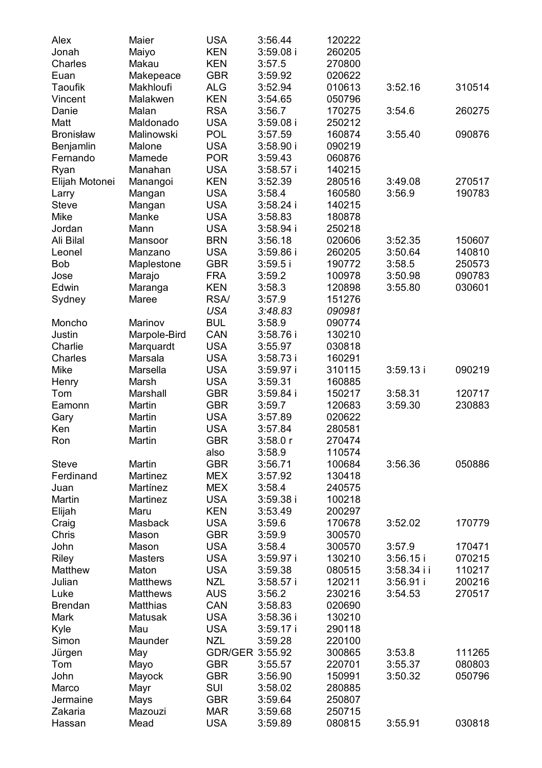| Alex             | Maier            | USA                | 3:56.44            | 120222           |             |                  |
|------------------|------------------|--------------------|--------------------|------------------|-------------|------------------|
| Jonah            | Maiyo            | KEN                | $3:59.08$ i        | 260205           |             |                  |
| Charles          | Makau            | KEN                | 3:57.5             | 270800           |             |                  |
| Euan             | Makepeace        | GBR                | 3:59.92            | 020622           |             |                  |
| Taoufik          | Makhloufi        | ALG                | 3:52.94            | 010613           | 3:52.16     | 310514           |
| Vincent          | Malakwen         | KEN                | 3:54.65            | 050796           |             |                  |
| Danie            | Malan            | <b>RSA</b>         | 3:56.7             | 170275           | 3:54.6      | 260275           |
| Matt             | Maldonado        | <b>USA</b>         | $3:59.08$ i        | 250212           |             |                  |
| <b>Bronisław</b> | Malinowski       | <b>POL</b>         | 3:57.59            | 160874           | 3:55.40     | 090876           |
| Benjamlin        | Malone           | <b>USA</b>         | 3:58.90i           | 090219           |             |                  |
| Fernando         | Mamede           | <b>POR</b>         | 3:59.43            | 060876           |             |                  |
| Ryan             | Manahan          | USA                | $3:58.57$ i        | 140215           |             |                  |
| Elijah Motonei   | Manangoi         | <b>KEN</b>         | 3:52.39            | 280516           | 3:49.08     | 270517           |
| Larry            | Mangan           | <b>USA</b>         | 3:58.4             | 160580           | 3:56.9      | 190783           |
| Steve            | Mangan           | <b>USA</b>         | $3:58.24$ i        | 140215           |             |                  |
| Mike             | Manke            | <b>USA</b>         | 3:58.83            | 180878           |             |                  |
| Jordan           | Mann             | <b>USA</b>         | $3:58.94$ i        | 250218           |             |                  |
| Ali Bilal        | Mansoor          | <b>BRN</b>         | 3:56.18            | 020606           | 3:52.35     | 150607           |
| Leonel           | Manzano          | USA                |                    |                  | 3:50.64     |                  |
| Bob              |                  | GBR                | 3:59.86 i          | 260205<br>190772 |             | 140810<br>250573 |
|                  | Maplestone       | FRA                | 3:59.5i            |                  | 3:58.5      |                  |
| Jose             | Marajo           |                    | 3:59.2             | 100978           | 3:50.98     | 090783<br>030601 |
| Edwin            | Maranga<br>Maree | KEN<br><b>RSA/</b> | 3:58.3<br>3:57.9   | 120898           | 3:55.80     |                  |
| Sydney           |                  |                    | 3:48.83            | 151276           |             |                  |
|                  |                  | USA                |                    | 090981           |             |                  |
| Moncho           | Marinov          | BUL                | 3:58.9             | 090774           |             |                  |
| Justin           | Marpole-Bird     | CAN                | 3:58.76i           | 130210           |             |                  |
| Charlie          | Marquardt        | <b>USA</b>         | 3:55.97            | 030818           |             |                  |
| Charles          | Marsala          | <b>USA</b>         | 3:58.73i           | 160291           |             |                  |
| Mike             | Marsella         | <b>USA</b>         | 3:59.97i           | 310115           | 3:59.13i    | 090219           |
| Henry            | Marsh            | <b>USA</b>         | 3:59.31            | 160885           |             |                  |
| Tom              | Marshall         | GBR                | $3:59.84$ i        | 150217           | 3:58.31     | 120717<br>230883 |
| Eamonn           | Martin           | GBR<br><b>USA</b>  | 3:59.7             | 120683           | 3:59.30     |                  |
| Gary<br>Ken      | Martin<br>Martin | USA                | 3:57.89<br>3:57.84 | 020622<br>280581 |             |                  |
| Ron              | Martin           | GBR                | 3:58.0r            | 270474           |             |                  |
|                  |                  | also               | 3:58.9             | 110574           |             |                  |
| Steve            | Martin           | GBR                | 3:56.71            | 100684           | 3:56.36     | 050886           |
| Ferdinand        | Martinez         | MEX                | 3:57.92            | 130418           |             |                  |
| Juan             | Martínez         | <b>MEX</b>         | 3:58.4             | 240575           |             |                  |
| Martin           | Martinez         | USA                | 3:59.38i           | 100218           |             |                  |
| Elijah           | Maru             | <b>KEN</b>         | 3:53.49            | 200297           |             |                  |
| Craig            | Masback          | USA                | 3:59.6             | 170678           | 3:52.02     | 170779           |
| Chris            | Mason            | GBR                | 3:59.9             | 300570           |             |                  |
| John             | Mason            | USA                | 3:58.4             | 300570           | 3:57.9      | 170471           |
| Riley            | Masters          | USA                | 3:59.97 i          | 130210           | 3:56.15i    | 070215           |
| Matthew          | Maton            | USA                | 3:59.38            | 080515           | 3:58.34 i i | 110217           |
| Julian           | Matthews         | NZL                | $3:58.57$ i        | 120211           | $3:56.91$ i | 200216           |
| Luke             | <b>Matthews</b>  | AUS                | 3:56.2             | 230216           | 3:54.53     | 270517           |
| <b>Brendan</b>   | Matthias         | CAN                | 3:58.83            | 020690           |             |                  |
| Mark             | Matusak          | USA                | 3:58.36 i          | 130210           |             |                  |
| Kyle             | Mau              | <b>USA</b>         | 3:59.17i           | 290118           |             |                  |
| Simon            | Maunder          | NZL                | 3:59.28            | 220100           |             |                  |
| Jürgen           | May              | GDR/GER 3:55.92    |                    | 300865           | 3:53.8      | 111265           |
| Tom              | Mayo             | GBR                | 3:55.57            | 220701           | 3:55.37     | 080803           |
| John             | Mayock           | <b>GBR</b>         | 3:56.90            | 150991           | 3:50.32     | 050796           |
| Marco            | Mayr             | SUI                | 3:58.02            | 280885           |             |                  |
| Jermaine         | Mays             | <b>GBR</b>         | 3:59.64            | 250807           |             |                  |
| Zakaria          | Mazouzi          | <b>MAR</b>         | 3:59.68            | 250715           |             |                  |
| Hassan           | Mead             | USA                | 3:59.89            | 080815           | 3:55.91     | 030818           |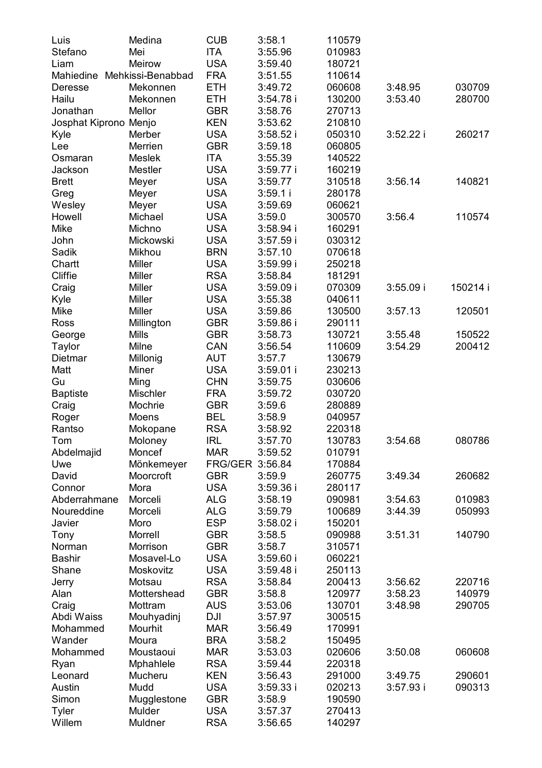| Luis                        | Medina                 | CUB               | 3:58.1               | 110579           |             |          |
|-----------------------------|------------------------|-------------------|----------------------|------------------|-------------|----------|
| Stefano                     | Mei                    | <b>ITA</b>        | 3:55.96              | 010983           |             |          |
| Liam                        | Meirow                 | <b>USA</b>        | 3:59.40              | 180721           |             |          |
| Mahiedine Mehkissi-Benabbad |                        | FRA               | 3:51.55              | 110614           |             |          |
| Deresse                     | Mekonnen               | ETH               | 3:49.72              | 060608           | 3:48.95     | 030709   |
| Hailu                       | Mekonnen               | ETH               | 3:54.78 i            | 130200           | 3:53.40     | 280700   |
| Jonathan                    | Mellor                 | GBR               | 3:58.76              | 270713           |             |          |
| Josphat Kiprono Menjo       |                        | KEN               | 3:53.62              | 210810           |             |          |
| Kyle                        | Merber                 | USA               | 3:58.52i             | 050310           | $3:52.22$ i | 260217   |
| Lee                         | Merrien                | GBR               | 3:59.18              | 060805           |             |          |
| Osmaran                     | Meslek                 | <b>ITA</b>        | 3:55.39              | 140522           |             |          |
| Jackson                     | Mestler                | <b>USA</b>        | 3:59.77 i            | 160219           |             |          |
| <b>Brett</b>                | Meyer                  | USA               | 3:59.77              | 310518           | 3:56.14     | 140821   |
| Greg                        | Meyer                  | USA               | 3:59.1 i             | 280178           |             |          |
| Wesley                      | Meyer                  | USA               | 3:59.69              | 060621           |             |          |
| Howell                      | Michael                | USA               | 3:59.0               | 300570           | 3:56.4      | 110574   |
| Mike                        | Michno                 | USA               | 3:58.94 i            | 160291           |             |          |
| John                        | Mickowski              | USA               | 3:57.59 i            | 030312           |             |          |
| Sadik                       | Mikhou                 | BRN               | 3:57.10              | 070618           |             |          |
| Chartt                      | Miller                 | USA               | 3:59.99 i            | 250218           |             |          |
| Cliffie                     | Miller                 | <b>RSA</b>        | 3:58.84              | 181291           |             |          |
| Craig                       | Miller                 | <b>USA</b>        | 3:59.09 i            | 070309           | $3:55.09$ i | 150214 i |
| Kyle                        | Miller                 | <b>USA</b>        | 3:55.38              | 040611           |             |          |
| Mike                        | Miller                 | <b>USA</b>        | 3:59.86              | 130500           | 3:57.13     | 120501   |
| Ross                        | Millington             | GBR               | 3:59.86 i            | 290111           |             |          |
| George                      | Mills                  | GBR               | 3:58.73              | 130721           | 3:55.48     | 150522   |
| Taylor                      | Milne                  | CAN               | 3:56.54              | 110609           | 3:54.29     | 200412   |
| Dietmar                     | Millonig               | AUT               | 3:57.7               | 130679           |             |          |
| Matt                        | Miner                  | USA               | 3:59.01 i            | 230213           |             |          |
| Gu                          | Ming                   | CHN               | 3:59.75              | 030606           |             |          |
| <b>Baptiste</b>             | Mischler               | <b>FRA</b>        | 3:59.72              | 030720           |             |          |
| Craig                       | Mochrie                | GBR               | 3:59.6               | 280889           |             |          |
| Roger                       | Moens                  | BEL               | 3:58.9               | 040957           |             |          |
| Rantso                      | Mokopane               | RSA               | 3:58.92              | 220318           |             |          |
| Tom                         | Moloney                | IRL               | 3:57.70              | 130783           | 3:54.68     | 080786   |
| Abdelmajid                  | Moncef                 | <b>MAR</b>        | 3:59.52              | 010791           |             |          |
| Uwe                         | Mönkemeyer             | FRG/GER 3:56.84   |                      | 170884           |             |          |
| David                       | Moorcroft              | GBR               | 3:59.9               | 260775           | 3:49.34     | 260682   |
| Connor                      | Mora                   | USA               | 3:59.36 i            | 280117           |             |          |
| Abderrahmane                | Morceli                | ALG               | 3:58.19              | 090981           | 3:54.63     | 010983   |
| Noureddine                  | Morceli                | ALG               | 3:59.79              | 100689           | 3:44.39     | 050993   |
| Javier                      | Moro                   | ESP<br><b>GBR</b> | 3:58.02 i            | 150201           |             | 140790   |
| Tony                        | Morrell                | GBR               | 3:58.5<br>3:58.7     | 090988           | 3:51.31     |          |
| Norman<br>Bashir            | Morrison<br>Mosavel-Lo | USA               |                      | 310571<br>060221 |             |          |
| Shane                       | Moskovitz              | USA               | 3:59.60 i            | 250113           |             |          |
| Jerry                       | Motsau                 | <b>RSA</b>        | 3:59.48 i<br>3:58.84 | 200413           | 3:56.62     | 220716   |
| Alan                        | Mottershead            | GBR               | 3:58.8               | 120977           | 3:58.23     | 140979   |
| Craig                       | Mottram                | AUS               | 3:53.06              | 130701           | 3:48.98     | 290705   |
| Abdi Waiss                  | Mouhyadinj             | DJI               | 3:57.97              | 300515           |             |          |
| Mohammed                    | Mourhit                | <b>MAR</b>        | 3:56.49              | 170991           |             |          |
| Wander                      | Moura                  | <b>BRA</b>        | 3:58.2               | 150495           |             |          |
| Mohammed                    | Moustaoui              | <b>MAR</b>        | 3:53.03              | 020606           | 3:50.08     | 060608   |
| Ryan                        | Mphahlele              | <b>RSA</b>        | 3:59.44              | 220318           |             |          |
| Leonard                     | Mucheru                | KEN               | 3:56.43              | 291000           | 3:49.75     | 290601   |
| Austin                      | Mudd                   | <b>USA</b>        | 3:59.33 i            | 020213           | 3:57.93 i   | 090313   |
| Simon                       | Mugglestone            | <b>GBR</b>        | 3:58.9               | 190590           |             |          |
| Tyler                       | Mulder                 | <b>USA</b>        | 3:57.37              | 270413           |             |          |
| Willem                      | Muldner                | <b>RSA</b>        | 3:56.65              | 140297           |             |          |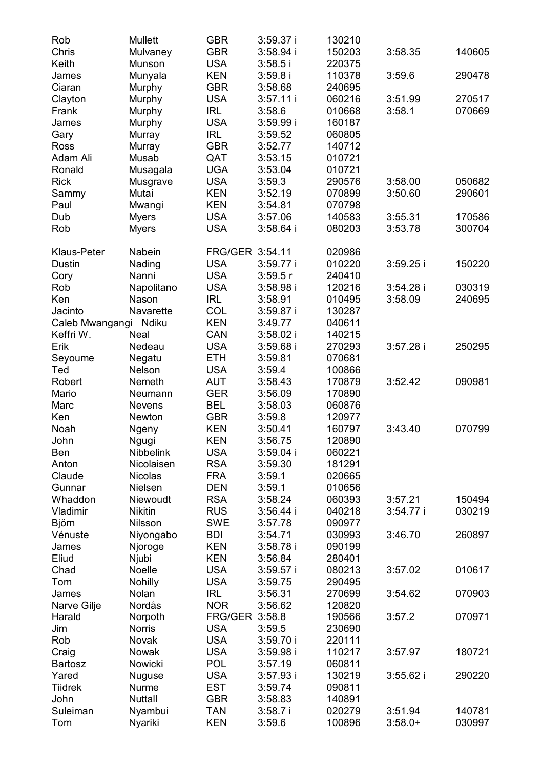| Rob             | Mullett       | GBR             | 3:59.37 i   | 130210 |           |        |
|-----------------|---------------|-----------------|-------------|--------|-----------|--------|
| Chris           | Mulvaney      | GBR             | $3:58.94$ i | 150203 | 3:58.35   | 140605 |
| Keith           | Munson        | <b>USA</b>      | 3:58.5 i    | 220375 |           |        |
| James           | Munyala       | KEN             | 3:59.8i     | 110378 | 3:59.6    | 290478 |
| Ciaran          | Murphy        | GBR             | 3:58.68     | 240695 |           |        |
| Clayton         | Murphy        | <b>USA</b>      | $3:57.11$ i | 060216 | 3:51.99   | 270517 |
| Frank           | Murphy        | IRL             | 3:58.6      | 010668 | 3:58.1    | 070669 |
| James           | Murphy        | <b>USA</b>      | 3:59.99i    | 160187 |           |        |
| Gary            | Murray        | <b>IRL</b>      | 3:59.52     | 060805 |           |        |
| Ross            | Murray        | GBR             | 3:52.77     | 140712 |           |        |
| Adam Ali        | Musab         | QAT             | 3:53.15     | 010721 |           |        |
| Ronald          |               | UGA             |             |        |           |        |
|                 | Musagala      |                 | 3:53.04     | 010721 |           |        |
| Rick            | Musgrave      | USA             | 3:59.3      | 290576 | 3:58.00   | 050682 |
| Sammy           | Mutai         | KEN             | 3:52.19     | 070899 | 3:50.60   | 290601 |
| Paul            | Mwangi        | KEN             | 3:54.81     | 070798 |           |        |
| Dub             | Myers         | USA             | 3:57.06     | 140583 | 3:55.31   | 170586 |
| Rob             | Myers         | USA             | $3:58.64$ i | 080203 | 3:53.78   | 300704 |
| Klaus-Peter     | Nabein        | FRG/GER 3:54.11 |             | 020986 |           |        |
| Dustin          | Nading        | <b>USA</b>      | $3:59.77$ i | 010220 | 3:59.25i  | 150220 |
| Cory            | Nanni         | <b>USA</b>      | 3:59.5r     | 240410 |           |        |
| Rob             | Napolitano    | <b>USA</b>      | 3:58.98 i   | 120216 | 3:54.28 i | 030319 |
| Ken             | Nason         | IRL             | 3:58.91     | 010495 | 3:58.09   | 240695 |
| Jacinto         | Navarette     | COL             | $3:59.87$ i | 130287 |           |        |
| Caleb Mwangangi | Ndiku         | <b>KEN</b>      | 3:49.77     | 040611 |           |        |
| Keffri W.       | Neal          | CAN             | $3:58.02$ i | 140215 |           |        |
| Erik            | Nedeau        | <b>USA</b>      | $3:59.68$ i | 270293 | 3:57.28i  | 250295 |
| Seyoume         | Negatu        | ETH             | 3:59.81     | 070681 |           |        |
| Ted             | Nelson        | <b>USA</b>      | 3:59.4      | 100866 |           |        |
| Robert          | Nemeth        | AUT             | 3:58.43     | 170879 | 3:52.42   | 090981 |
| Mario           | Neumann       | GER             | 3:56.09     | 170890 |           |        |
| Marc            | <b>Nevens</b> | BEL             | 3:58.03     | 060876 |           |        |
| Ken             | Newton        | GBR             | 3:59.8      | 120977 |           |        |
| Noah            | Ngeny         | KEN             | 3:50.41     | 160797 | 3:43.40   | 070799 |
| John            | Ngugi         | KEN             | 3:56.75     | 120890 |           |        |
| Ben             | Nibbelink     | USA             | $3:59.04$ i | 060221 |           |        |
| Anton           | Nicolaisen    | <b>RSA</b>      | 3:59.30     | 181291 |           |        |
| Claude          | Nicolas       | FRA             | 3:59.1      | 020665 |           |        |
| Gunnar          | Nielsen       | DEN             | 3:59.1      | 010656 |           |        |
|                 |               |                 |             |        |           |        |
| Whaddon         | Niewoudt      | <b>RSA</b>      | 3:58.24     | 060393 | 3:57.21   | 150494 |
| Vladimir        | Nikitin       | RUS             | $3:56.44$ i | 040218 | 3:54.77 i | 030219 |
| Björn           | Nilsson       | SWE             | 3:57.78     | 090977 |           |        |
| Vénuste         | Niyongabo     | <b>BDI</b>      | 3:54.71     | 030993 | 3:46.70   | 260897 |
| James           | Njoroge       | KEN             | 3:58.78i    | 090199 |           |        |
| Eliud           | Njubi         | KEN             | 3:56.84     | 280401 |           |        |
| Chad            | Noelle        | USA             | $3:59.57$ i | 080213 | 3:57.02   | 010617 |
| Tom             | Nohilly       | <b>USA</b>      | 3:59.75     | 290495 |           |        |
| James           | Nolan         | <b>IRL</b>      | 3:56.31     | 270699 | 3:54.62   | 070903 |
| Narve Gilje     | Nordås        | <b>NOR</b>      | 3:56.62     | 120820 |           |        |
| Harald          | Norpoth       | FRG/GER 3:58.8  |             | 190566 | 3:57.2    | 070971 |
| Jim             | Norris        | <b>USA</b>      | 3:59.5      | 230690 |           |        |
| Rob             | Novak         | <b>USA</b>      | 3:59.70 i   | 220111 |           |        |
| Craig           | Nowak         | <b>USA</b>      | 3:59.98i    | 110217 | 3:57.97   | 180721 |
| Bartosz         | Nowicki       | <b>POL</b>      | 3:57.19     | 060811 |           |        |
| Yared           | Nuguse        | <b>USA</b>      | $3:57.93$ i | 130219 | 3:55.62i  | 290220 |
| Tiidrek         | Nurme         | EST             | 3:59.74     | 090811 |           |        |
| John            | Nuttall       | GBR             | 3:58.83     | 140891 |           |        |
| Suleiman        | Nyambui       | <b>TAN</b>      | 3:58.7i     | 020279 | 3:51.94   | 140781 |
| Tom             | Nyariki       | <b>KEN</b>      | 3:59.6      | 100896 | $3:58.0+$ | 030997 |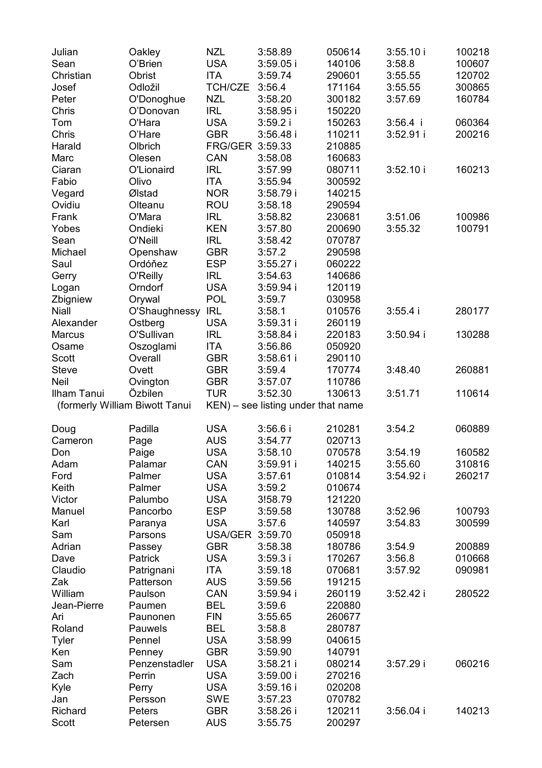| Julian                         | Oakley        | <b>NZL</b>      | 3:58.89                            | 050614 | 3:55.10 i  | 100218 |
|--------------------------------|---------------|-----------------|------------------------------------|--------|------------|--------|
| Sean                           | O'Brien       | USA             | $3:59.05$ i                        | 140106 | 3:58.8     | 100607 |
| Christian                      | Obrist        | ITA             | 3:59.74                            | 290601 | 3:55.55    | 120702 |
| Josef                          | Odložil       | TCH/CZE         | 3:56.4                             | 171164 | 3:55.55    | 300865 |
| Peter                          | O'Donoghue    | <b>NZL</b>      | 3:58.20                            | 300182 | 3:57.69    | 160784 |
| Chris                          | O'Donovan     | <b>IRL</b>      | $3:58.95$ i                        | 150220 |            |        |
| Tom                            | O'Hara        | USA             | 3:59.2 i                           | 150263 | $3:56.4$ i | 060364 |
| Chris                          | O'Hare        | <b>GBR</b>      | 3:56.48 i                          | 110211 | 3:52.91 i  | 200216 |
| Harald                         | Olbrich       | FRG/GER 3:59.33 |                                    | 210885 |            |        |
| Marc                           | Olesen        | CAN             | 3:58.08                            | 160683 |            |        |
| Ciaran                         | O'Lionaird    | IRL             | 3:57.99                            | 080711 | 3:52.10i   | 160213 |
| Fabio                          | Olivo         | ITA             | 3:55.94                            | 300592 |            |        |
| Vegard                         | Ølstad        | <b>NOR</b>      | 3:58.79 i                          | 140215 |            |        |
| Ovidiu                         | Olteanu       | ROU             | 3:58.18                            | 290594 |            |        |
| Frank                          | O'Mara        | IRL             | 3:58.82                            | 230681 | 3:51.06    | 100986 |
| Yobes                          | Ondieki       | KEN             | 3:57.80                            | 200690 | 3:55.32    | 100791 |
| Sean                           | O'Neill       | IRL             | 3:58.42                            | 070787 |            |        |
| Michael                        | Openshaw      | <b>GBR</b>      | 3:57.2                             | 290598 |            |        |
| Saul                           | Ordóňez       | <b>ESP</b>      | $3:55.27$ i                        | 060222 |            |        |
| Gerry                          | O'Reilly      | <b>IRL</b>      | 3:54.63                            | 140686 |            |        |
| Logan                          | Orndorf       | <b>USA</b>      | 3:59.94 i                          | 120119 |            |        |
| Zbigniew                       | Orywal        | <b>POL</b>      | 3:59.7                             | 030958 |            |        |
| Niall                          | O'Shaughnessy | <b>IRL</b>      | 3:58.1                             | 010576 | $3:55.4$ i | 280177 |
| Alexander                      | Ostberg       | USA             | $3:59.31$ i                        | 260119 |            |        |
| Marcus                         | O'Sullivan    | <b>IRL</b>      | $3:58.84$ i                        | 220183 | 3:50.94 i  | 130288 |
| Osame                          | Oszoglami     | ITA             | 3:56.86                            | 050920 |            |        |
| Scott                          | Overall       | <b>GBR</b>      | $3:58.61$ i                        | 290110 |            |        |
| Steve                          | Ovett         | <b>GBR</b>      | 3:59.4                             | 170774 | 3:48.40    | 260881 |
| Neil                           | Ovington      | <b>GBR</b>      | 3:57.07                            | 110786 |            |        |
| Ilham Tanui                    | Özbilen       | <b>TUR</b>      | 3:52.30                            | 130613 | 3:51.71    | 110614 |
| (formerly William Biwott Tanui |               |                 | KEN) - see listing under that name |        |            |        |
| Doug                           | Padilla       | <b>USA</b>      | 3:56.6 i                           | 210281 | 3:54.2     | 060889 |
| Cameron                        | Page          | AUS             | 3:54.77                            | 020713 |            |        |
| Don                            | Paige         | <b>USA</b>      | 3:58.10                            | 070578 | 3:54.19    | 160582 |
| Adam                           | Palamar       | CAN             | $3:59.91$ i                        | 140215 | 3:55.60    | 310816 |
| Ford                           | Palmer        | USA             | 3:57.61                            | 010814 | 3:54.92 i  | 260217 |
| Keith                          | Palmer        | USA             | 3:59.2                             | 010674 |            |        |
| Victor                         | Palumbo       | USA             | 3!58.79                            | 121220 |            |        |
| Manuel                         | Pancorbo      | <b>ESP</b>      | 3:59.58                            | 130788 | 3:52.96    | 100793 |
| Karl                           | Paranya       | USA             | 3:57.6                             | 140597 | 3:54.83    | 300599 |
| Sam                            | Parsons       | USA/GER 3:59.70 |                                    | 050918 |            |        |
| Adrian                         | Passey        | <b>GBR</b>      | 3:58.38                            | 180786 | 3:54.9     | 200889 |
| Dave                           | Patrick       | USA             | 3:59.3i                            | 170267 | 3:56.8     | 010668 |
| Claudio                        | Patrignani    | ITA             | 3:59.18                            | 070681 | 3:57.92    | 090981 |
| Zak                            | Patterson     | AUS             | 3:59.56                            | 191215 |            |        |
| William                        | Paulson       | CAN             | 3:59.94 i                          | 260119 | 3:52.42i   | 280522 |
| Jean-Pierre                    | Paumen        | BEL             | 3:59.6                             | 220880 |            |        |
| Ari                            | Paunonen      | FIN             | 3:55.65                            | 260677 |            |        |
| Roland                         | Pauwels       | BEL             | 3:58.8                             | 280787 |            |        |
| Tyler                          | Pennel        | <b>USA</b>      | 3:58.99                            | 040615 |            |        |
| Ken                            | Penney        | <b>GBR</b>      | 3:59.90                            | 140791 |            |        |
| Sam                            | Penzenstadler | <b>USA</b>      | $3:58.21$ i                        | 080214 | 3:57.29i   | 060216 |
| Zach                           | Perrin        | <b>USA</b>      | 3:59.00 i                          | 270216 |            |        |
| Kyle                           | Perry         | <b>USA</b>      | 3:59.16 i                          | 020208 |            |        |
| Jan                            | Persson       | SWE             | 3:57.23                            | 070782 |            |        |
|                                |               |                 |                                    |        |            |        |
| Richard                        | Peters        | GBR             | 3:58.26 i                          | 120211 | 3:56.04 i  | 140213 |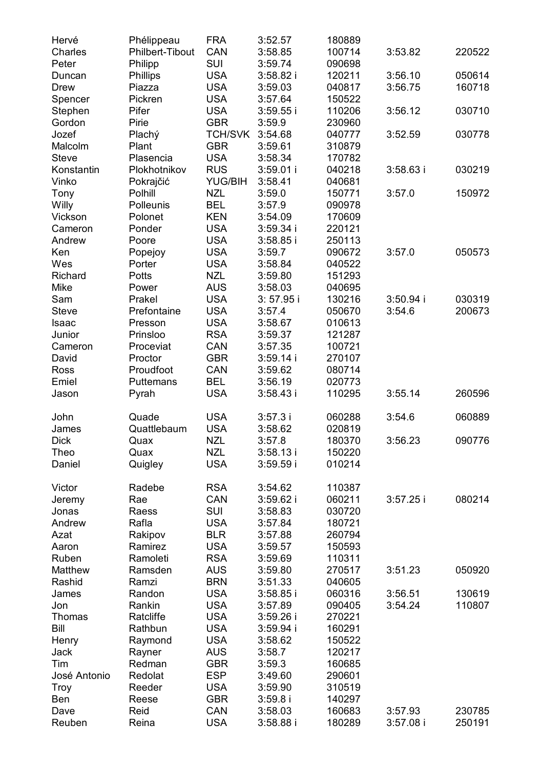| Hervé        | Phélippeau      | <b>FRA</b> | 3:52.57     | 180889 |             |        |
|--------------|-----------------|------------|-------------|--------|-------------|--------|
| Charles      | Philbert-Tibout | CAN        | 3:58.85     | 100714 | 3:53.82     | 220522 |
| Peter        | Philipp         | SUI        | 3:59.74     | 090698 |             |        |
| Duncan       | Phillips        | <b>USA</b> | $3:58.82$ i | 120211 | 3:56.10     | 050614 |
| Drew         | Piazza          | USA        | 3:59.03     | 040817 | 3:56.75     | 160718 |
|              |                 |            |             |        |             |        |
| Spencer      | Pickren         | USA        | 3:57.64     | 150522 |             |        |
| Stephen      | Pifer           | USA        | $3:59.55$ i | 110206 | 3:56.12     | 030710 |
| Gordon       | Pirie           | GBR        | 3:59.9      | 230960 |             |        |
| Jozef        | Plachý          | TCH/SVK    | 3:54.68     | 040777 | 3:52.59     | 030778 |
| Malcolm      | Plant           | GBR        | 3:59.61     | 310879 |             |        |
| Steve        | Plasencia       | USA        | 3:58.34     | 170782 |             |        |
| Konstantin   | Plokhotnikov    | <b>RUS</b> | 3:59.01 i   | 040218 | $3:58.63$ i | 030219 |
| Vinko        | Pokrajčić       | YUG/BIH    | 3:58.41     | 040681 |             |        |
| Tony         | Polhill         | <b>NZL</b> | 3:59.0      | 150771 | 3:57.0      | 150972 |
| Willy        | Polleunis       | BEL        | 3:57.9      | 090978 |             |        |
| Vickson      | Polonet         | <b>KEN</b> | 3:54.09     | 170609 |             |        |
| Cameron      | Ponder          |            |             |        |             |        |
|              |                 | USA        | 3:59.34 i   | 220121 |             |        |
| Andrew       | Poore           | USA        | 3:58.85 i   | 250113 |             |        |
| Ken          | Popejoy         | USA        | 3:59.7      | 090672 | 3:57.0      | 050573 |
| Wes          | Porter          | USA        | 3:58.84     | 040522 |             |        |
| Richard      | Potts           | NZL        | 3:59.80     | 151293 |             |        |
| Mike         | Power           | AUS        | 3:58.03     | 040695 |             |        |
| Sam          | Prakel          | USA        | $3:57.95$ i | 130216 | 3:50.94 i   | 030319 |
| Steve        | Prefontaine     | USA        | 3:57.4      | 050670 | 3:54.6      | 200673 |
| Isaac        | Presson         | <b>USA</b> | 3:58.67     | 010613 |             |        |
| Junior       | Prinsloo        | <b>RSA</b> | 3:59.37     | 121287 |             |        |
| Cameron      | Proceviat       | CAN        | 3:57.35     | 100721 |             |        |
| David        | Proctor         | GBR        | 3:59.14 i   | 270107 |             |        |
| Ross         |                 |            |             | 080714 |             |        |
|              | Proudfoot       | CAN        | 3:59.62     |        |             |        |
| Emiel        | Puttemans       | BEL        | 3:56.19     | 020773 |             |        |
| Jason        | Pyrah           | <b>USA</b> | 3:58.43 i   | 110295 | 3:55.14     | 260596 |
| John         | Quade           | USA        | 3:57.3 i    | 060288 | 3:54.6      | 060889 |
| James        | Quattlebaum     | <b>USA</b> | 3:58.62     | 020819 |             |        |
| <b>Dick</b>  |                 | <b>NZL</b> |             |        |             | 090776 |
|              | Quax            |            | 3:57.8      | 180370 | 3:56.23     |        |
| Theo         | Quax            | NZL        | $3:58.13$ i | 150220 |             |        |
| Daniel       | Quigley         | <b>USA</b> | 3:59.59 i   | 010214 |             |        |
| Victor       | Radebe          | <b>RSA</b> | 3:54.62     | 110387 |             |        |
| Jeremy       | Rae             | CAN        | 3:59.62 i   | 060211 | $3:57.25$ i | 080214 |
| Jonas        | Raess           | SUI        | 3:58.83     | 030720 |             |        |
|              |                 |            |             |        |             |        |
| Andrew       | Rafla           | USA        | 3:57.84     | 180721 |             |        |
| Azat         | Rakipov         | <b>BLR</b> | 3:57.88     | 260794 |             |        |
| Aaron        | Ramirez         | USA        | 3:59.57     | 150593 |             |        |
| Ruben        | Ramoleti        | RSA        | 3:59.69     | 110311 |             |        |
| Matthew      | Ramsden         | AUS        | 3:59.80     | 270517 | 3:51.23     | 050920 |
| Rashid       | Ramzi           | <b>BRN</b> | 3:51.33     | 040605 |             |        |
| James        | Randon          | USA        | $3:58.85$ i | 060316 | 3:56.51     | 130619 |
| Jon          | Rankin          | USA        | 3:57.89     | 090405 | 3:54.24     | 110807 |
| Thomas       | Ratcliffe       | <b>USA</b> | 3:59.26 i   | 270221 |             |        |
| Bill         | Rathbun         | <b>USA</b> | 3:59.94 i   | 160291 |             |        |
| Henry        | Raymond         | <b>USA</b> | 3:58.62     | 150522 |             |        |
|              | Rayner          | <b>AUS</b> | 3:58.7      | 120217 |             |        |
| Jack<br>Tim  | Redman          | <b>GBR</b> | 3:59.3      |        |             |        |
|              |                 |            |             | 160685 |             |        |
| José Antonio | Redolat         | ESP        | 3:49.60     | 290601 |             |        |
| Troy         | Reeder          | <b>USA</b> | 3:59.90     | 310519 |             |        |
| Ben          | Reese           | GBR        | $3:59.8$ i  | 140297 |             |        |
| Dave         | Reid            | CAN        | 3:58.03     | 160683 | 3:57.93     | 230785 |
| Reuben       | Reina           | <b>USA</b> | 3:58.88 i   | 180289 | 3:57.08 i   | 250191 |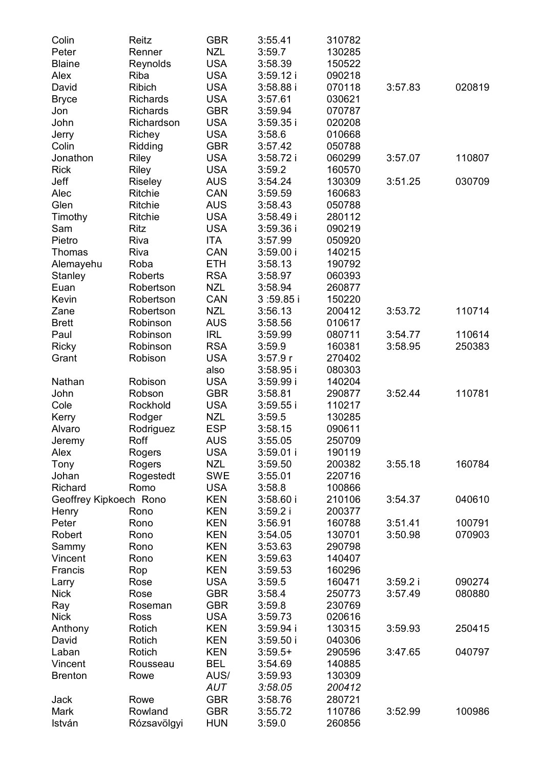| Colin                  | Reitz           | <b>GBR</b> | 3:55.41     | 310782 |         |        |
|------------------------|-----------------|------------|-------------|--------|---------|--------|
| Peter                  | Renner          | NZL        | 3:59.7      | 130285 |         |        |
| <b>Blaine</b>          | Reynolds        | <b>USA</b> | 3:58.39     | 150522 |         |        |
| Alex                   | Riba            | <b>USA</b> | 3:59.12 i   | 090218 |         |        |
| David                  | Ribich          | <b>USA</b> | $3:58.88$ i | 070118 | 3:57.83 | 020819 |
| Bryce                  | Richards        | <b>USA</b> | 3:57.61     | 030621 |         |        |
| Jon                    | <b>Richards</b> | <b>GBR</b> | 3:59.94     | 070787 |         |        |
| John                   | Richardson      | <b>USA</b> | 3:59.35     | 020208 |         |        |
| Jerry                  | Richey          | <b>USA</b> | 3:58.6      | 010668 |         |        |
| Colin                  | Ridding         | <b>GBR</b> | 3:57.42     | 050788 |         |        |
| Jonathon               | Riley           | <b>USA</b> | 3:58.72i    | 060299 | 3:57.07 | 110807 |
| Rick                   | Riley           | <b>USA</b> | 3:59.2      | 160570 |         |        |
| Jeff                   | Riseley         | AUS        | 3:54.24     | 130309 | 3:51.25 | 030709 |
| Alec                   | Ritchie         | CAN        | 3:59.59     | 160683 |         |        |
| Glen                   | Ritchie         | AUS        | 3:58.43     | 050788 |         |        |
| Timothy                | Ritchie         | <b>USA</b> | $3:58.49$ i | 280112 |         |        |
| Sam                    | Ritz            | <b>USA</b> | 3:59.36 i   | 090219 |         |        |
| Pietro                 | Riva            | ITA        | 3:57.99     | 050920 |         |        |
| Thomas                 | Riva            | CAN        | 3:59.00i    | 140215 |         |        |
| Alemayehu              | Roba            | ETH        | 3:58.13     | 190792 |         |        |
| Stanley                | Roberts         | RSA        | 3:58.97     | 060393 |         |        |
| Euan                   | Robertson       | <b>NZL</b> | 3:58.94     | 260877 |         |        |
| Kevin                  | Robertson       | CAN        | 3:59.85i    | 150220 |         |        |
| Zane                   | Robertson       | <b>NZL</b> | 3:56.13     | 200412 | 3:53.72 | 110714 |
| <b>Brett</b>           | Robinson        | AUS        | 3:58.56     | 010617 |         |        |
| Paul                   | Robinson        | IRL        | 3:59.99     | 080711 | 3:54.77 | 110614 |
| Ricky                  | Robinson        | <b>RSA</b> | 3:59.9      | 160381 | 3:58.95 | 250383 |
| Grant                  | Robison         | <b>USA</b> | 3:57.9r     | 270402 |         |        |
|                        |                 | also       | $3:58.95$ i | 080303 |         |        |
| Nathan                 | Robison         | USA        | 3:59.99 i   | 140204 |         |        |
| John                   | Robson          | <b>GBR</b> | 3:58.81     | 290877 | 3:52.44 | 110781 |
| Cole                   | Rockhold        | <b>USA</b> | $3:59.55$ i | 110217 |         |        |
| Kerry                  | Rodger          | <b>NZL</b> | 3:59.5      | 130285 |         |        |
| Alvaro                 | Rodriguez       | <b>ESP</b> | 3:58.15     | 090611 |         |        |
| Jeremy                 | Roff            | AUS        | 3:55.05     | 250709 |         |        |
| Alex                   | Rogers          | USA        | $3:59.01$ i | 190119 |         |        |
| Tony                   | Rogers          | <b>NZL</b> | 3:59.50     | 200382 | 3:55.18 | 160784 |
| Johan                  | Rogestedt       | SWE        | 3:55.01     | 220716 |         |        |
| Richard                | Romo            | <b>USA</b> | 3:58.8      | 100866 |         |        |
| Geoffrey Kipkoech Rono |                 | KEN        | 3:58.60i    | 210106 | 3:54.37 | 040610 |
| Henry                  | Rono            | KEN        | 3:59.2i     | 200377 |         |        |
| Peter                  | Rono            | KEN        | 3:56.91     | 160788 | 3:51.41 | 100791 |
| Robert                 | Rono            | KEN        | 3:54.05     | 130701 | 3:50.98 | 070903 |
| Sammy                  | Rono            | KEN        | 3:53.63     | 290798 |         |        |
| Vincent                | Rono            | KEN        | 3:59.63     | 140407 |         |        |
| Francis                | Rop             | KEN        | 3:59.53     | 160296 |         |        |
| Larry                  | Rose            | USA        | 3:59.5      | 160471 | 3:59.2i | 090274 |
| Nick                   | Rose            | GBR        | 3:58.4      | 250773 | 3:57.49 | 080880 |
| Ray                    | Roseman         | GBR        | 3:59.8      | 230769 |         |        |
| Nick                   | Ross            | <b>USA</b> | 3:59.73     | 020616 |         |        |
| Anthony                | Rotich          | <b>KEN</b> | 3:59.94 i   | 130315 | 3:59.93 | 250415 |
| David                  | Rotich          | <b>KEN</b> | 3:59.50 i   | 040306 |         |        |
| Laban                  | Rotich          | <b>KEN</b> | $3:59.5+$   | 290596 | 3:47.65 | 040797 |
| Vincent                | Rousseau        | BEL        | 3:54.69     | 140885 |         |        |
| <b>Brenton</b>         | Rowe            | AUS/       | 3:59.93     | 130309 |         |        |
|                        |                 | AUT        | 3:58.05     | 200412 |         |        |
| Jack                   | Rowe            | <b>GBR</b> | 3:58.76     | 280721 |         |        |
| Mark                   | Rowland         | <b>GBR</b> | 3:55.72     | 110786 | 3:52.99 | 100986 |
| István                 | Rózsavölgyi     | <b>HUN</b> | 3:59.0      | 260856 |         |        |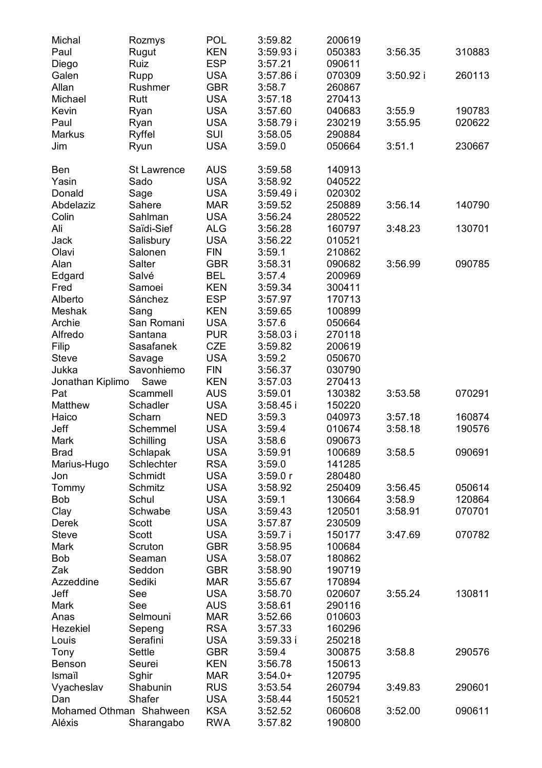| Michal                  | Rozmys      | POL        | 3:59.82     | 200619 |           |        |
|-------------------------|-------------|------------|-------------|--------|-----------|--------|
| Paul                    | Rugut       | KEN        | 3:59.93i    | 050383 | 3:56.35   | 310883 |
| Diego                   | Ruiz        | <b>ESP</b> | 3:57.21     | 090611 |           |        |
| Galen                   | Rupp        | USA        | $3:57.86$ i | 070309 | 3:50.92 i | 260113 |
| Allan                   | Rushmer     | GBR        | 3:58.7      | 260867 |           |        |
| Michael                 | Rutt        | <b>USA</b> | 3:57.18     | 270413 |           |        |
|                         |             |            |             |        |           |        |
| Kevin                   | Ryan        | <b>USA</b> | 3:57.60     | 040683 | 3:55.9    | 190783 |
| Paul                    | Ryan        | <b>USA</b> | 3:58.79i    | 230219 | 3:55.95   | 020622 |
| Markus                  | Ryffel      | SUI        | 3:58.05     | 290884 |           |        |
| Jim                     | Ryun        | <b>USA</b> | 3:59.0      | 050664 | 3:51.1    | 230667 |
| Ben                     | St Lawrence | AUS        | 3:59.58     | 140913 |           |        |
| Yasin                   | Sado        | USA        | 3:58.92     | 040522 |           |        |
| Donald                  | Sage        | <b>USA</b> | 3:59.49i    | 020302 |           |        |
| Abdelaziz               | Sahere      | MAR        | 3:59.52     |        | 3:56.14   | 140790 |
|                         |             |            |             | 250889 |           |        |
| Colin                   | Sahlman     | USA        | 3:56.24     | 280522 |           |        |
| Ali                     | Saïdi-Sief  | ALG        | 3:56.28     | 160797 | 3:48.23   | 130701 |
| Jack                    | Salisbury   | USA        | 3:56.22     | 010521 |           |        |
| Olavi                   | Salonen     | FIN        | 3:59.1      | 210862 |           |        |
| Alan                    | Salter      | GBR        | 3:58.31     | 090682 | 3:56.99   | 090785 |
| Edgard                  | Salvé       | BEL        | 3:57.4      | 200969 |           |        |
| Fred                    | Samoei      | KEN        | 3:59.34     | 300411 |           |        |
| Alberto                 | Sánchez     | <b>ESP</b> | 3:57.97     | 170713 |           |        |
| Meshak                  | Sang        | <b>KEN</b> | 3:59.65     | 100899 |           |        |
| Archie                  | San Romani  | USA        | 3:57.6      | 050664 |           |        |
| Alfredo                 | Santana     | <b>PUR</b> | $3:58.03$ i | 270118 |           |        |
| Filip                   | Sasafanek   | CZE        | 3:59.82     | 200619 |           |        |
|                         |             |            |             |        |           |        |
| Steve                   | Savage      | <b>USA</b> | 3:59.2      | 050670 |           |        |
| Jukka                   | Savonhiemo  | <b>FIN</b> | 3:56.37     | 030790 |           |        |
| Jonathan Kiplimo        | Sawe        | KEN        | 3:57.03     | 270413 |           |        |
| Pat                     | Scammell    | AUS        | 3:59.01     | 130382 | 3:53.58   | 070291 |
| Matthew                 | Schadler    | <b>USA</b> | 3:58.45     | 150220 |           |        |
| Haico                   | Scharn      | NED        | 3:59.3      | 040973 | 3:57.18   | 160874 |
| Jeff                    | Schemmel    | USA        | 3:59.4      | 010674 | 3:58.18   | 190576 |
| Mark                    | Schilling   | <b>USA</b> | 3:58.6      | 090673 |           |        |
| Brad                    | Schlapak    | <b>USA</b> | 3:59.91     | 100689 | 3:58.5    | 090691 |
| Marius-Hugo             | Schlechter  | <b>RSA</b> | 3:59.0      | 141285 |           |        |
| Jon                     | Schmidt     | <b>USA</b> | 3:59.0r     | 280480 |           |        |
| Tommy                   | Schmitz     | <b>USA</b> | 3:58.92     | 250409 | 3:56.45   | 050614 |
| Bob                     | Schul       | USA        | 3:59.1      | 130664 | 3:58.9    | 120864 |
| Clay                    | Schwabe     | <b>USA</b> | 3:59.43     | 120501 | 3:58.91   | 070701 |
| Derek                   | Scott       | USA        | 3:57.87     | 230509 |           |        |
| <b>Steve</b>            |             |            |             |        |           | 070782 |
|                         | Scott       | USA        | 3:59.7i     | 150177 | 3:47.69   |        |
| Mark                    | Scruton     | GBR        | 3:58.95     | 100684 |           |        |
| Bob                     | Seaman      | USA        | 3:58.07     | 180862 |           |        |
| Zak                     | Seddon      | GBR        | 3:58.90     | 190719 |           |        |
| Azzeddine               | Sediki      | MAR        | 3:55.67     | 170894 |           |        |
| Jeff                    | See         | USA        | 3:58.70     | 020607 | 3:55.24   | 130811 |
| Mark                    | See         | AUS        | 3:58.61     | 290116 |           |        |
| Anas                    | Selmouni    | <b>MAR</b> | 3:52.66     | 010603 |           |        |
| Hezekiel                | Sepeng      | <b>RSA</b> | 3:57.33     | 160296 |           |        |
| Louis                   | Serafini    | <b>USA</b> | 3:59.33 i   | 250218 |           |        |
| Tony                    | Settle      | GBR        | 3:59.4      | 300875 | 3:58.8    | 290576 |
| Benson                  | Seurei      | <b>KEN</b> | 3:56.78     | 150613 |           |        |
| Ismaïl                  | Sghir       | <b>MAR</b> | $3:54.0+$   | 120795 |           |        |
|                         |             |            |             |        |           |        |
| Vyacheslav              | Shabunin    | <b>RUS</b> | 3:53.54     | 260794 | 3:49.83   | 290601 |
| Dan                     | Shafer      | <b>USA</b> | 3:58.44     | 150521 |           |        |
| Mohamed Othman Shahween |             | <b>KSA</b> | 3:52.52     | 060608 | 3:52.00   | 090611 |
| Aléxis                  | Sharangabo  | <b>RWA</b> | 3:57.82     | 190800 |           |        |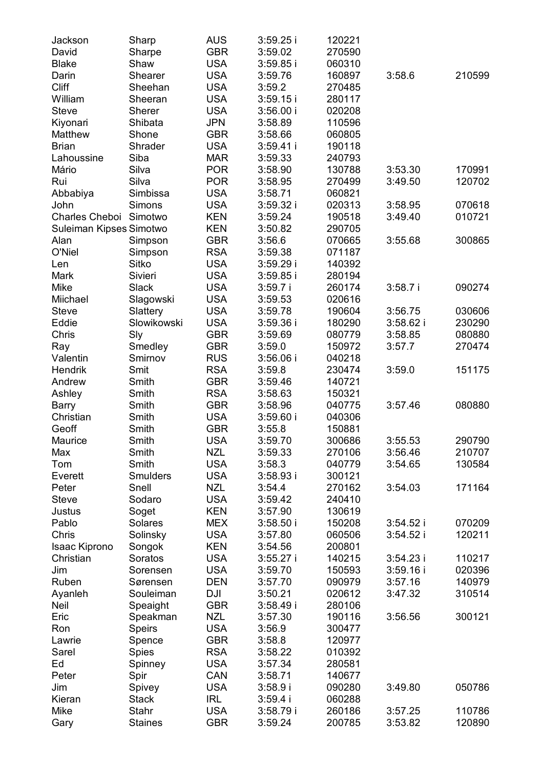| Jackson                 | Sharp          | AUS        | 3:59.25 i  | 120221 |           |        |
|-------------------------|----------------|------------|------------|--------|-----------|--------|
| David                   | Sharpe         | GBR        | 3:59.02    | 270590 |           |        |
| Blake                   | Shaw           | <b>USA</b> | 3:59.85 i  | 060310 |           |        |
| Darin                   | Shearer        | USA        | 3:59.76    | 160897 | 3:58.6    | 210599 |
| Cliff                   | Sheehan        | USA        | 3:59.2     | 270485 |           |        |
| William                 | Sheeran        | USA        | 3:59.15 i  | 280117 |           |        |
| Steve                   | Sherer         | USA        | 3:56.00 i  | 020208 |           |        |
| Kiyonari                | Shibata        | JPN        | 3:58.89    | 110596 |           |        |
| Matthew                 | Shone          | GBR        | 3:58.66    | 060805 |           |        |
| <b>Brian</b>            | Shrader        | USA        | 3:59.41 i  | 190118 |           |        |
| Lahoussine              | Siba           | <b>MAR</b> | 3:59.33    | 240793 |           |        |
| Mário                   | Silva          | <b>POR</b> | 3:58.90    | 130788 | 3:53.30   | 170991 |
| Rui                     | Silva          | <b>POR</b> | 3:58.95    | 270499 | 3:49.50   | 120702 |
| Abbabiya                | Simbissa       | <b>USA</b> | 3:58.71    | 060821 |           |        |
| John                    | Simons         | USA        | 3:59.32 i  | 020313 | 3:58.95   | 070618 |
| Charles Cheboi Simotwo  |                | KEN        | 3:59.24    | 190518 | 3:49.40   | 010721 |
| Suleiman Kipses Simotwo |                | KEN        | 3:50.82    | 290705 |           |        |
| Alan                    | Simpson        | GBR        | 3:56.6     | 070665 | 3:55.68   | 300865 |
| O'Niel                  | Simpson        | <b>RSA</b> | 3:59.38    | 071187 |           |        |
| Len                     | Sitko          | USA        | 3:59.29 i  | 140392 |           |        |
| Mark                    | Sivieri        | USA        | 3:59.85 i  | 280194 |           |        |
| Mike                    | Slack          | USA        | 3:59.7 i   | 260174 | 3:58.7 i  | 090274 |
|                         |                |            |            |        |           |        |
| Miichael                | Slagowski      | USA        | 3:59.53    | 020616 |           |        |
| Steve                   | Slattery       | USA        | 3:59.78    | 190604 | 3:56.75   | 030606 |
| Eddie                   | Slowikowski    | USA        | 3:59.36 i  | 180290 | 3:58.62 i | 230290 |
| Chris                   | Sly            | GBR        | 3:59.69    | 080779 | 3:58.85   | 080880 |
| Ray                     | Smedley        | GBR        | 3:59.0     | 150972 | 3:57.7    | 270474 |
| Valentin                | Smirnov        | <b>RUS</b> | 3:56.06 i  | 040218 |           |        |
| Hendrik                 | Smit           | <b>RSA</b> | 3:59.8     | 230474 | 3:59.0    | 151175 |
| Andrew                  | Smith          | GBR        | 3:59.46    | 140721 |           |        |
| Ashley                  | Smith          | <b>RSA</b> | 3:58.63    | 150321 |           |        |
| Barry                   | Smith          | GBR        | 3:58.96    | 040775 | 3:57.46   | 080880 |
| Christian               | Smith          | USA        | 3:59.60 i  | 040306 |           |        |
| Geoff                   | Smith          | GBR        | 3:55.8     | 150881 |           |        |
| Maurice                 | Smith          | <b>USA</b> | 3:59.70    | 300686 | 3:55.53   | 290790 |
| Max                     | Smith          | NZL        | 3:59.33    | 270106 | 3:56.46   | 210707 |
| Tom                     | Smith          | <b>USA</b> | 3:58.3     | 040779 | 3:54.65   | 130584 |
| Everett                 | Smulders       | USA        | 3:58.93 i  | 300121 |           |        |
| Peter                   | Snell          | <b>NZL</b> | 3:54.4     | 270162 | 3:54.03   | 171164 |
| Steve                   | Sodaro         | USA        | 3:59.42    | 240410 |           |        |
| Justus                  | Soget          | KEN        | 3:57.90    | 130619 |           |        |
| Pablo                   | Solares        | MEX        | 3:58.50 i  | 150208 | 3:54.52 i | 070209 |
| Chris                   | Solinsky       | USA        | 3:57.80    | 060506 | 3:54.52 i | 120211 |
| Isaac Kiprono           |                | KEN        | 3:54.56    |        |           |        |
| Christian               | Songok         | USA        |            | 200801 |           | 110217 |
|                         | Soratos        |            | 3:55.27 i  | 140215 | 3:54.23 i |        |
| Jim                     | Sorensen       | USA        | 3:59.70    | 150593 | 3:59.16 i | 020396 |
| Ruben                   | Sørensen       | DEN        | 3:57.70    | 090979 | 3:57.16   | 140979 |
| Ayanleh                 | Souleiman      | DJI        | 3:50.21    | 020612 | 3:47.32   | 310514 |
| Neil                    | Speaight       | GBR        | 3:58.49 i  | 280106 |           |        |
| Eric                    | Speakman       | <b>NZL</b> | 3:57.30    | 190116 | 3:56.56   | 300121 |
| Ron                     | Speirs         | <b>USA</b> | 3:56.9     | 300477 |           |        |
| Lawrie                  | Spence         | <b>GBR</b> | 3:58.8     | 120977 |           |        |
| Sarel                   | Spies          | <b>RSA</b> | 3:58.22    | 010392 |           |        |
| Ed                      | Spinney        | <b>USA</b> | 3:57.34    | 280581 |           |        |
| Peter                   | Spir           | CAN        | 3:58.71    | 140677 |           |        |
| Jim                     | Spivey         | <b>USA</b> | 3:58.9i    | 090280 | 3:49.80   | 050786 |
| Kieran                  | Stack          | <b>IRL</b> | $3:59.4$ i | 060288 |           |        |
| Mike                    | Stahr          | <b>USA</b> | 3:58.79 i  | 260186 | 3:57.25   | 110786 |
| Gary                    | <b>Staines</b> | GBR        | 3:59.24    | 200785 | 3:53.82   | 120890 |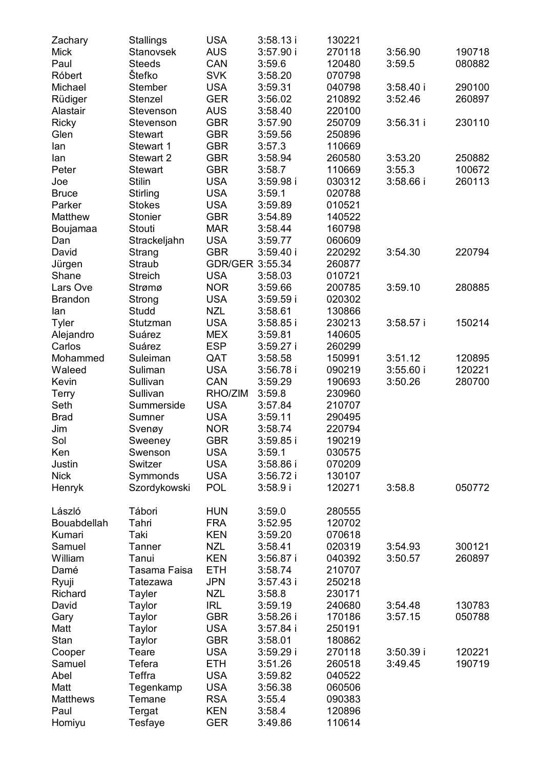| Zachary        | Stallings     | USA             | 3:58.13i    | 130221 |             |        |
|----------------|---------------|-----------------|-------------|--------|-------------|--------|
| Mick           | Stanovsek     | AUS             | 3:57.90i    | 270118 | 3:56.90     | 190718 |
| Paul           | <b>Steeds</b> | CAN             | 3:59.6      | 120480 | 3:59.5      | 080882 |
| Róbert         | Štefko        | <b>SVK</b>      | 3:58.20     | 070798 |             |        |
| Michael        | Stember       | USA             | 3:59.31     | 040798 | $3:58.40$ i | 290100 |
| Rüdiger        | Stenzel       | GER             | 3:56.02     | 210892 | 3:52.46     | 260897 |
| Alastair       | Stevenson     | AUS             | 3:58.40     | 220100 |             |        |
| Ricky          | Stevenson     | GBR             | 3:57.90     | 250709 | 3:56.31 i   | 230110 |
| Glen           | Stewart       | GBR             | 3:59.56     | 250896 |             |        |
| lan            | Stewart 1     | GBR             | 3:57.3      | 110669 |             |        |
| lan            | Stewart 2     | GBR             | 3:58.94     | 260580 | 3:53.20     | 250882 |
| Peter          | Stewart       | GBR             | 3:58.7      | 110669 | 3:55.3      | 100672 |
| Joe            | Stilin        | USA             | 3:59.98i    | 030312 | 3:58.66 i   | 260113 |
| <b>Bruce</b>   | Stirling      | USA             | 3:59.1      | 020788 |             |        |
| Parker         | Stokes        | USA             | 3:59.89     | 010521 |             |        |
| Matthew        | Stonier       | GBR             | 3:54.89     | 140522 |             |        |
|                |               |                 |             |        |             |        |
| Boujamaa       | Stouti        | MAR<br>USA      | 3:58.44     | 160798 |             |        |
| Dan            | Strackeljahn  |                 | 3:59.77     | 060609 |             |        |
| David          | Strang        | GBR             | 3:59.40i    | 220292 | 3:54.30     | 220794 |
| Jürgen         | Straub        | GDR/GER 3:55.34 |             | 260877 |             |        |
| Shane          | Streich       | USA             | 3:58.03     | 010721 |             |        |
| Lars Ove       | Strømø        | <b>NOR</b>      | 3:59.66     | 200785 | 3:59.10     | 280885 |
| <b>Brandon</b> | Strong        | USA             | 3:59.59i    | 020302 |             |        |
| lan            | Studd         | NZL             | 3:58.61     | 130866 |             |        |
| Tyler          | Stutzman      | USA             | $3:58.85$ i | 230213 | 3:58.57 i   | 150214 |
| Alejandro      | Suárez        | MEX             | 3:59.81     | 140605 |             |        |
| Carlos         | Suárez        | ESP             | $3:59.27$ i | 260299 |             |        |
| Mohammed       | Suleiman      | QAT             | 3:58.58     | 150991 | 3:51.12     | 120895 |
| Waleed         | Suliman       | USA             | 3:56.78i    | 090219 | 3:55.60i    | 120221 |
| Kevin          | Sullivan      | CAN             | 3:59.29     | 190693 | 3:50.26     | 280700 |
| Terry          | Sullivan      | RHO/ZIM         | 3:59.8      | 230960 |             |        |
| Seth           | Summerside    | USA             | 3:57.84     | 210707 |             |        |
| <b>Brad</b>    | Sumner        | <b>USA</b>      | 3:59.11     | 290495 |             |        |
| Jim            | Svenøy        | NOR             | 3:58.74     | 220794 |             |        |
| Sol            | Sweeney       | GBR             | $3:59.85$ i | 190219 |             |        |
| Ken            | Swenson       | USA             | 3:59.1      | 030575 |             |        |
| Justin         | Switzer       | <b>USA</b>      | 3:58.86 i   | 070209 |             |        |
| Nick           | Symmonds      | USA             | 3:56.72 i   | 130107 |             |        |
| Henryk         | Szordykowski  | POL             | 3:58.9i     | 120271 | 3:58.8      | 050772 |
|                |               |                 |             |        |             |        |
| László         | Tábori        | HUN             | 3:59.0      | 280555 |             |        |
| Bouabdellah    | Tahri         | FRA             | 3:52.95     | 120702 |             |        |
| Kumari         | Taki          | KEN             | 3:59.20     | 070618 |             |        |
| Samuel         | Tanner        | NZL             | 3:58.41     | 020319 | 3:54.93     | 300121 |
| William        | Tanui         | KEN             | $3:56.87$ i | 040392 | 3:50.57     | 260897 |
| Damé           | Tasama Faisa  | ETH             | 3:58.74     | 210707 |             |        |
| Ryuji          | Tatezawa      | JPN             | $3:57.43$ i | 250218 |             |        |
| Richard        | Tayler        | NZL             | 3:58.8      | 230171 |             |        |
| David          | Taylor        | IRL             | 3:59.19     | 240680 | 3:54.48     | 130783 |
| Gary           | Taylor        | GBR             | 3:58.26 i   | 170186 | 3:57.15     | 050788 |
| Matt           | Taylor        | <b>USA</b>      | $3:57.84$ i | 250191 |             |        |
| Stan           | Taylor        | <b>GBR</b>      | 3:58.01     | 180862 |             |        |
| Cooper         | Teare         | <b>USA</b>      | 3:59.29 i   | 270118 | 3:50.39i    | 120221 |
| Samuel         | Tefera        | ETH             | 3:51.26     | 260518 | 3:49.45     | 190719 |
| Abel           | Teffra        | <b>USA</b>      | 3:59.82     | 040522 |             |        |
| Matt           | Tegenkamp     | <b>USA</b>      | 3:56.38     | 060506 |             |        |
| Matthews       | Temane        | RSA             | 3:55.4      | 090383 |             |        |
| Paul           | Tergat        | <b>KEN</b>      | 3:58.4      | 120896 |             |        |
| Homiyu         | Tesfaye       | <b>GER</b>      | 3:49.86     | 110614 |             |        |
|                |               |                 |             |        |             |        |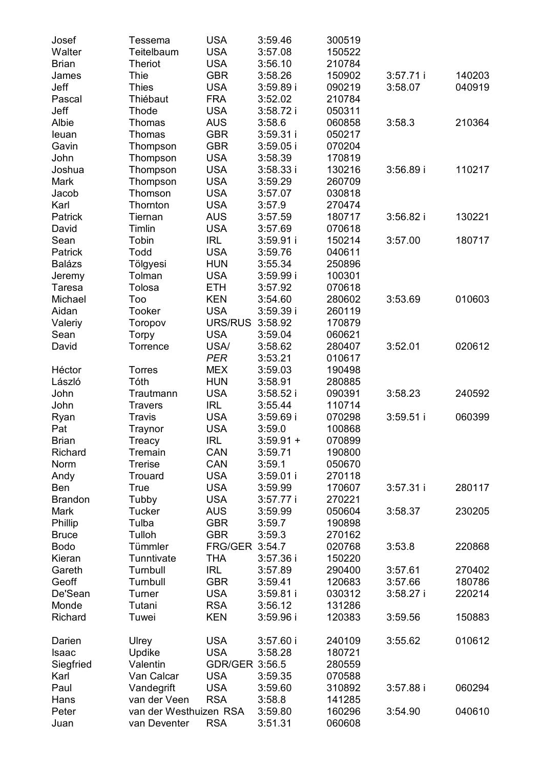| Josef          | Tessema                | USA               | 3:59.46     | 300519 |             |        |
|----------------|------------------------|-------------------|-------------|--------|-------------|--------|
| Walter         | Teitelbaum             | USA               | 3:57.08     | 150522 |             |        |
| Brian          | Theriot                | USA               | 3:56.10     | 210784 |             |        |
| James          | Thie                   | GBR               | 3:58.26     | 150902 | $3:57.71$ i | 140203 |
| Jeff           | Thies                  | USA               | 3:59.89i    | 090219 | 3:58.07     | 040919 |
| Pascal         | Thiébaut               | <b>FRA</b>        | 3:52.02     | 210784 |             |        |
| Jeff           | Thode                  | USA               | 3:58.72i    | 050311 |             |        |
| Albie          | Thomas                 | AUS               | 3:58.6      | 060858 | 3:58.3      | 210364 |
| leuan          | Thomas                 | GBR               | 3:59.31 i   | 050217 |             |        |
| Gavin          | Thompson               | GBR               | $3:59.05$ i | 070204 |             |        |
| John           | Thompson               | <b>USA</b>        | 3:58.39     | 170819 |             |        |
| Joshua         | Thompson               | <b>USA</b>        | $3:58.33$ i | 130216 | 3:56.89i    | 110217 |
| Mark           | Thompson               | <b>USA</b>        | 3:59.29     | 260709 |             |        |
| Jacob          | Thomson                | <b>USA</b>        | 3:57.07     | 030818 |             |        |
| Karl           | Thornton               | USA               | 3:57.9      | 270474 |             |        |
| Patrick        | Tiernan                | AUS               | 3:57.59     | 180717 | 3:56.82i    | 130221 |
| David          | Timlin                 | USA               | 3:57.69     | 070618 |             |        |
| Sean           | Tobin                  | IRL               | 3:59.91 i   | 150214 | 3:57.00     | 180717 |
| Patrick        | Todd                   | USA               | 3:59.76     | 040611 |             |        |
| Balázs         | Tölgyesi               | HUN               | 3:55.34     | 250896 |             |        |
| Jeremy         | Tolman                 | USA               | 3:59.99 i   | 100301 |             |        |
| Taresa         | Tolosa                 | ETH               | 3:57.92     | 070618 |             |        |
| Michael        | Too                    | KEN               | 3:54.60     | 280602 | 3:53.69     | 010603 |
| Aidan          | Tooker                 | USA               | 3:59.39 i   | 260119 |             |        |
| Valeriy        | Toropov                | URS/RUS 3:58.92   |             | 170879 |             |        |
| Sean           | Torpy                  | USA               | 3:59.04     | 060621 |             |        |
| David          | Torrence               | USA/              | 3:58.62     | 280407 | 3:52.01     | 020612 |
|                |                        | PER               | 3:53.21     | 010617 |             |        |
| Héctor         | Torres                 | MEX               | 3:59.03     | 190498 |             |        |
| László         | Tóth                   | <b>HUN</b>        | 3:58.91     | 280885 |             |        |
| John           | Trautmann              | <b>USA</b>        | 3:58.52i    | 090391 | 3:58.23     | 240592 |
| John           | Travers                | IRL               | 3:55.44     | 110714 |             |        |
| Ryan           | Travis                 | <b>USA</b>        | 3:59.69 i   | 070298 | $3:59.51$ i | 060399 |
| Pat            | Traynor                | <b>USA</b>        | 3:59.0      | 100868 |             |        |
| <b>Brian</b>   | Treacy                 | <b>IRL</b>        | $3:59.91 +$ | 070899 |             |        |
| Richard        | Tremain                | CAN               | 3:59.71     | 190800 |             |        |
| Norm           | Trerise                | CAN               | 3:59.1      | 050670 |             |        |
| Andy           | Trouard                | USA               | 3:59.01 i   | 270118 |             |        |
| Ben            | True                   | <b>USA</b>        | 3:59.99     | 170607 | 3:57.31i    | 280117 |
| <b>Brandon</b> | Tubby                  | USA               | 3:57.77 i   | 270221 |             |        |
| Mark           | Tucker                 | AUS               | 3:59.99     | 050604 | 3:58.37     | 230205 |
|                | Tulba                  |                   |             |        |             |        |
| Phillip        |                        | GBR<br><b>GBR</b> | 3:59.7      | 190898 |             |        |
| <b>Bruce</b>   | Tulloh                 |                   | 3:59.3      | 270162 |             |        |
| <b>Bodo</b>    | Tümmler                | FRG/GER 3:54.7    |             | 020768 | 3:53.8      | 220868 |
| Kieran         | Tunntivate             | THA               | 3:57.36 i   | 150220 |             |        |
| Gareth         | Turnbull               | <b>IRL</b>        | 3:57.89     | 290400 | 3:57.61     | 270402 |
| Geoff          | Turnbull               | GBR               | 3:59.41     | 120683 | 3:57.66     | 180786 |
| De'Sean        | Turner                 | <b>USA</b>        | 3:59.81 i   | 030312 | 3:58.27 i   | 220214 |
| Monde          | Tutani                 | <b>RSA</b>        | 3:56.12     | 131286 |             |        |
| Richard        | Tuwei                  | KEN               | 3:59.96 i   | 120383 | 3:59.56     | 150883 |
| Darien         | Ulrey                  | USA               | 3:57.60 i   | 240109 | 3:55.62     | 010612 |
| Isaac          | Updike                 | USA               | 3:58.28     | 180721 |             |        |
| Siegfried      | Valentin               | GDR/GER 3:56.5    |             | 280559 |             |        |
| Karl           | Van Calcar             | USA               | 3:59.35     | 070588 |             |        |
| Paul           | Vandegrift             | <b>USA</b>        | 3:59.60     | 310892 | $3:57.88$ i | 060294 |
| Hans           | van der Veen           | RSA               | 3:58.8      | 141285 |             |        |
| Peter          | van der Westhuizen RSA |                   | 3:59.80     | 160296 | 3:54.90     | 040610 |
| Juan           | van Deventer           | RSA               | 3:51.31     | 060608 |             |        |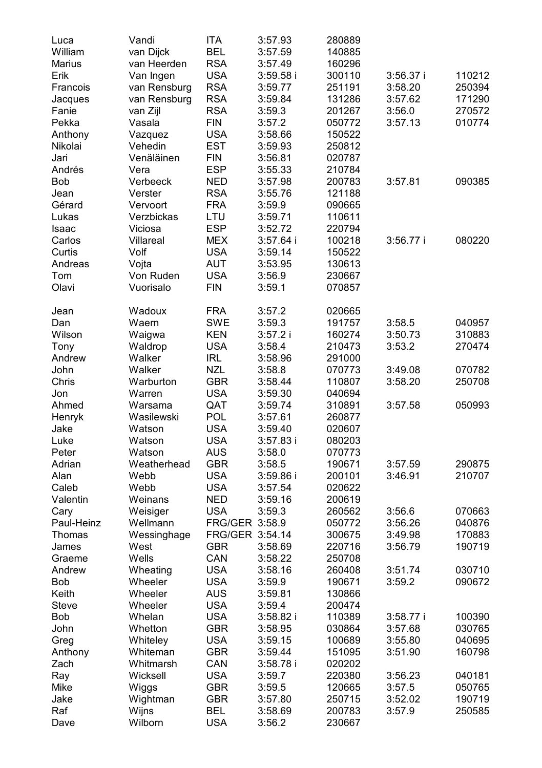| Luca       | Vandi              | ITA                   | 3:57.93          | 280889           |           |        |
|------------|--------------------|-----------------------|------------------|------------------|-----------|--------|
| William    | van Dijck          | BEL                   | 3:57.59          | 140885           |           |        |
| Marius     | van Heerden        | <b>RSA</b>            | 3:57.49          | 160296           |           |        |
| Erik       | Van Ingen          | USA                   | $3:59.58$ i      | 300110           | 3:56.37 i | 110212 |
| Francois   | van Rensburg       | <b>RSA</b>            | 3:59.77          | 251191           | 3:58.20   | 250394 |
| Jacques    | van Rensburg       | <b>RSA</b>            | 3:59.84          | 131286           | 3:57.62   | 171290 |
| Fanie      | van Zijl           | <b>RSA</b>            | 3:59.3           | 201267           | 3:56.0    | 270572 |
| Pekka      | Vasala             | FIN                   | 3:57.2           | 050772           | 3:57.13   | 010774 |
| Anthony    | Vazquez            | USA                   | 3:58.66          | 150522           |           |        |
| Nikolai    | Vehedin            | EST                   | 3:59.93          | 250812           |           |        |
| Jari       | Venäläinen         | FIN                   | 3:56.81          | 020787           |           |        |
| Andrés     | Vera               | <b>ESP</b>            | 3:55.33          | 210784           |           |        |
| <b>Bob</b> | Verbeeck           | NED                   | 3:57.98          | 200783           | 3:57.81   | 090385 |
| Jean       | Verster            | <b>RSA</b>            | 3:55.76          | 121188           |           |        |
| Gérard     | Vervoort           | <b>FRA</b>            | 3:59.9           | 090665           |           |        |
| Lukas      | Verzbickas         | LTU                   | 3:59.71          | 110611           |           |        |
| Isaac      | Viciosa            | <b>ESP</b>            | 3:52.72          | 220794           |           |        |
| Carlos     | Villareal          | <b>MEX</b>            | 3:57.64 i        | 100218           | 3:56.77i  | 080220 |
| Curtis     | Volf               | USA                   | 3:59.14          | 150522           |           |        |
| Andreas    |                    | AUT                   |                  | 130613           |           |        |
| Tom        | Vojta<br>Von Ruden |                       | 3:53.95          |                  |           |        |
|            | Vuorisalo          | USA                   | 3:56.9<br>3:59.1 | 230667<br>070857 |           |        |
| Olavi      |                    | <b>FIN</b>            |                  |                  |           |        |
| Jean       | Wadoux             | FRA                   | 3:57.2           | 020665           |           |        |
| Dan        | Waern              | <b>SWE</b>            | 3:59.3           | 191757           | 3:58.5    | 040957 |
| Wilson     | Waigwa             | KEN                   | 3:57.2i          | 160274           | 3:50.73   | 310883 |
| Tony       | Waldrop            | USA                   | 3:58.4           | 210473           | 3:53.2    | 270474 |
| Andrew     | Walker             | IRL                   | 3:58.96          | 291000           |           |        |
| John       | Walker             | <b>NZL</b>            | 3:58.8           | 070773           | 3:49.08   | 070782 |
| Chris      | Warburton          | GBR                   | 3:58.44          | 110807           | 3:58.20   | 250708 |
| Jon        | Warren             | <b>USA</b>            | 3:59.30          | 040694           |           |        |
| Ahmed      | Warsama            | QAT                   | 3:59.74          | 310891           | 3:57.58   | 050993 |
| Henryk     | Wasilewski         | POL                   | 3:57.61          | 260877           |           |        |
| Jake       | Watson             | <b>USA</b>            | 3:59.40          | 020607           |           |        |
| Luke       | Watson             | <b>USA</b>            | $3:57.83$ i      | 080203           |           |        |
| Peter      | Watson             | AUS                   | 3:58.0           | 070773           |           |        |
| Adrian     | Weatherhead        | GBR                   | 3:58.5           | 190671           | 3:57.59   | 290875 |
| Alan       | Webb               | <b>USA</b>            | 3:59.86 i        | 200101           | 3:46.91   | 210707 |
| Caleb      | Webb               | <b>USA</b>            | 3:57.54          | 020622           |           |        |
| Valentin   | Weinans            | <b>NED</b>            | 3:59.16          | 200619           |           |        |
| Cary       | Weisiger           | <b>USA</b>            | 3:59.3           | 260562           | 3:56.6    | 070663 |
| Paul-Heinz | Wellmann           | <b>FRG/GER 3:58.9</b> |                  | 050772           | 3:56.26   | 040876 |
| Thomas     | Wessinghage        | FRG/GER 3:54.14       |                  | 300675           | 3:49.98   | 170883 |
| James      | West               | <b>GBR</b>            | 3:58.69          | 220716           | 3:56.79   | 190719 |
| Graeme     | Wells              | CAN                   | 3:58.22          | 250708           |           |        |
| Andrew     | Wheating           | USA                   | 3:58.16          | 260408           | 3:51.74   | 030710 |
| Bob        | Wheeler            | USA                   | 3:59.9           | 190671           | 3:59.2    | 090672 |
| Keith      | Wheeler            | AUS                   | 3:59.81          | 130866           |           |        |
| Steve      | Wheeler            | USA                   | 3:59.4           | 200474           |           |        |
| Bob        | Whelan             | USA                   | 3:58.82 i        | 110389           | 3:58.77 i | 100390 |
| John       | Whetton            | GBR                   | 3:58.95          | 030864           | 3:57.68   | 030765 |
| Greg       | Whiteley           | <b>USA</b>            | 3:59.15          | 100689           | 3:55.80   | 040695 |
| Anthony    | Whiteman           | <b>GBR</b>            | 3:59.44          | 151095           | 3:51.90   | 160798 |
| Zach       | Whitmarsh          | CAN                   | 3:58.78 i        | 020202           |           |        |
| Ray        | Wicksell           | <b>USA</b>            | 3:59.7           | 220380           | 3:56.23   | 040181 |
| Mike       | Wiggs              | GBR                   | 3:59.5           | 120665           | 3:57.5    | 050765 |
| Jake       | Wightman           | GBR                   | 3:57.80          | 250715           | 3:52.02   | 190719 |
| Raf        | Wijns              | BEL                   | 3:58.69          | 200783           | 3:57.9    | 250585 |
| Dave       | Wilborn            | <b>USA</b>            | 3:56.2           | 230667           |           |        |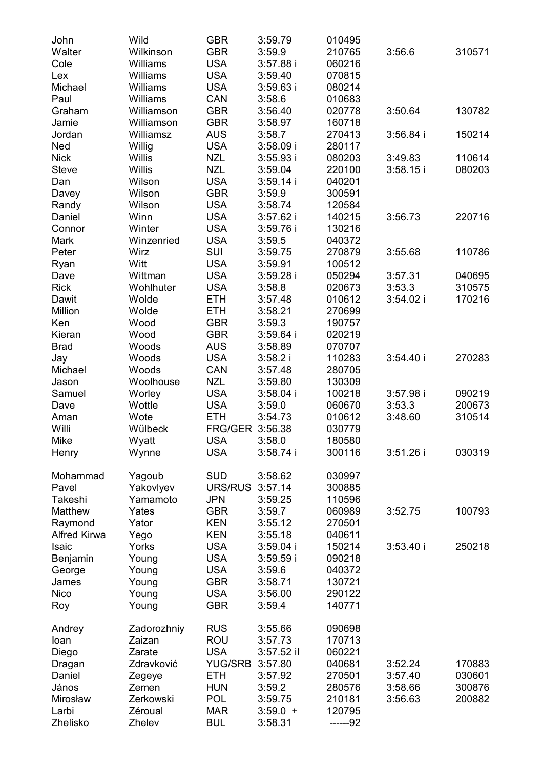| John                | Wild        | GBR             | 3:59.79     | 010495   |             |        |
|---------------------|-------------|-----------------|-------------|----------|-------------|--------|
| Walter              | Wilkinson   | GBR             | 3:59.9      | 210765   | 3:56.6      | 310571 |
| Cole                | Williams    | USA             | $3:57.88$ i | 060216   |             |        |
| Lex                 | Williams    | <b>USA</b>      | 3:59.40     | 070815   |             |        |
| Michael             | Williams    | USA             | 3:59.63 i   | 080214   |             |        |
| Paul                | Williams    | CAN             | 3:58.6      | 010683   |             |        |
| Graham              | Williamson  | GBR             | 3:56.40     | 020778   | 3:50.64     | 130782 |
|                     |             |                 |             |          |             |        |
| Jamie               | Williamson  | GBR             | 3:58.97     | 160718   |             |        |
| Jordan              | Williamsz   | AUS             | 3:58.7      | 270413   | $3:56.84$ i | 150214 |
| Ned                 | Willig      | <b>USA</b>      | $3:58.09$ i | 280117   |             |        |
| Nick                | Willis      | <b>NZL</b>      | $3:55.93$ i | 080203   | 3:49.83     | 110614 |
| Steve               | Willis      | <b>NZL</b>      | 3:59.04     | 220100   | $3:58.15$ i | 080203 |
| Dan                 | Wilson      | <b>USA</b>      | $3:59.14$ i | 040201   |             |        |
| Davey               | Wilson      | GBR             | 3:59.9      | 300591   |             |        |
| Randy               | Wilson      | USA             | 3:58.74     | 120584   |             |        |
| Daniel              | Winn        | USA             | 3:57.62 i   | 140215   | 3:56.73     | 220716 |
| Connor              | Winter      | USA             | 3:59.76i    | 130216   |             |        |
| Mark                | Winzenried  | USA             | 3:59.5      | 040372   |             |        |
| Peter               | Wirz        | SUI             | 3:59.75     | 270879   | 3:55.68     | 110786 |
| Ryan                | Witt        | USA             | 3:59.91     | 100512   |             |        |
| Dave                | Wittman     | USA             | 3:59.28i    | 050294   | 3:57.31     | 040695 |
| Rick                | Wohlhuter   | <b>USA</b>      | 3:58.8      | 020673   | 3:53.3      | 310575 |
| Dawit               | Wolde       | ETH             | 3:57.48     | 010612   | 3:54.02 i   | 170216 |
| Million             | Wolde       | ETH             | 3:58.21     | 270699   |             |        |
| Ken                 | Wood        | GBR             | 3:59.3      |          |             |        |
|                     |             | GBR             |             | 190757   |             |        |
| Kieran              | Wood        |                 | $3:59.64$ i | 020219   |             |        |
| Brad                | Woods       | AUS             | 3:58.89     | 070707   |             |        |
| Jay                 | Woods       | USA             | $3:58.2$ i  | 110283   | 3:54.40i    | 270283 |
| Michael             | Woods       | CAN             | 3:57.48     | 280705   |             |        |
| Jason               | Woolhouse   | NZL             | 3:59.80     | 130309   |             |        |
| Samuel              | Worley      | <b>USA</b>      | $3:58.04$ i | 100218   | 3:57.98 i   | 090219 |
| Dave                | Wottle      | USA             | 3:59.0      | 060670   | 3:53.3      | 200673 |
| Aman                | Wote        | ETH             | 3:54.73     | 010612   | 3:48.60     | 310514 |
| Willi               | Wülbeck     | FRG/GER 3:56.38 |             | 030779   |             |        |
| Mike                | Wyatt       | <b>USA</b>      | 3:58.0      | 180580   |             |        |
| Henry               | Wynne       | USA             | 3:58.74i    | 300116   | 3:51.26i    | 030319 |
|                     |             |                 |             |          |             |        |
| Mohammad            | Yagoub      | SUD             | 3:58.62     | 030997   |             |        |
| Pavel               | Yakovlyev   | URS/RUS 3:57.14 |             | 300885   |             |        |
| Takeshi             | Yamamoto    | JPN             | 3:59.25     | 110596   |             |        |
| Matthew             | Yates       | GBR             | 3:59.7      | 060989   | 3:52.75     | 100793 |
| Raymond             | Yator       | KEN             | 3:55.12     | 270501   |             |        |
| <b>Alfred Kirwa</b> | Yego        | KEN             | 3:55.18     | 040611   |             |        |
| Isaic               | Yorks       | USA             | $3:59.04$ i | 150214   | 3:53.40 i   | 250218 |
| Benjamin            | Young       | USA             | $3:59.59$ i | 090218   |             |        |
|                     |             |                 |             | 040372   |             |        |
| George              | Young       | USA             | 3:59.6      | 130721   |             |        |
| James               | Young       | GBR             | 3:58.71     |          |             |        |
| Nico                | Young       | USA             | 3:56.00     | 290122   |             |        |
| Roy                 | Young       | GBR             | 3:59.4      | 140771   |             |        |
|                     |             |                 |             |          |             |        |
| Andrey              | Zadorozhniy | <b>RUS</b>      | 3:55.66     | 090698   |             |        |
| loan                | Zaizan      | ROU             | 3:57.73     | 170713   |             |        |
| Diego               | Zarate      | <b>USA</b>      | 3:57.52 il  | 060221   |             |        |
| Dragan              | Zdravković  | YUG/SRB 3:57.80 |             | 040681   | 3:52.24     | 170883 |
| Daniel              | Zegeye      | <b>ETH</b>      | 3:57.92     | 270501   | 3:57.40     | 030601 |
| János               | Zemen       | <b>HUN</b>      | 3:59.2      | 280576   | 3:58.66     | 300876 |
| Mirosław            | Zerkowski   | <b>POL</b>      | 3:59.75     | 210181   | 3:56.63     | 200882 |
| Larbi               | Zéroual     | MAR             | $3:59.0 +$  | 120795   |             |        |
| Zhelisko            | Zhelev      | <b>BUL</b>      | 3:58.31     | ------92 |             |        |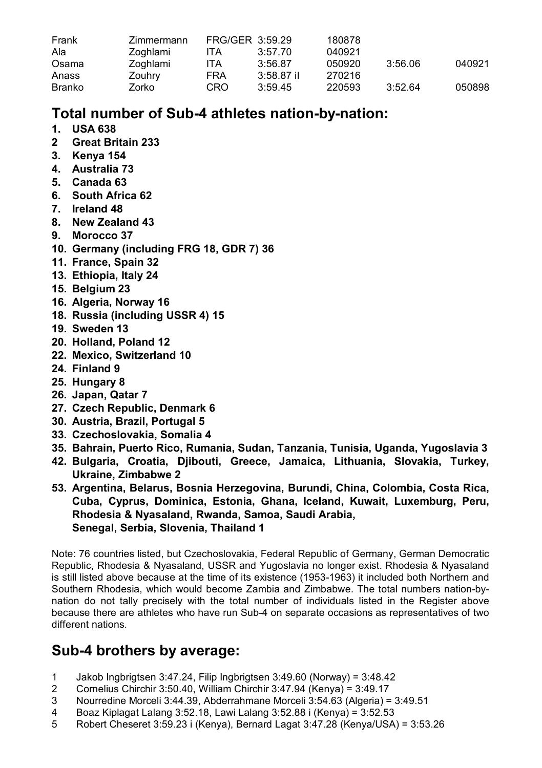| Frank  | Zimmermann |     | FRG/GER 3:59.29 | 180878 |         |        |
|--------|------------|-----|-----------------|--------|---------|--------|
| Ala    | Zoghlami   | ITA | 3:57.70         | 040921 |         |        |
| Osama  | Zoghlami   | ITA | 3:56.87         | 050920 | 3:56.06 | 040921 |
| Anass  | Zouhry     | FRA | $3:58.87$ il    | 270216 |         |        |
| Branko | Zorko      | CRO | 3:59.45         | 220593 | 3:52.64 | 050898 |

# **Total number of Sub-4 athletes nation-by-nation:**

- **1. USA 638**
- **2 Great Britain 233**
- **3. Kenya 154**
- **4. Australia 73**
- **5. Canada 63**
- **6. South Africa 62**
- **7. Ireland 48**
- **8. New Zealand 43**
- **9. Morocco 37**
- **10. Germany (including FRG 18, GDR 7) 36**
- **11. France, Spain 32**
- **13. Ethiopia, Italy 24**
- **15. Belgium 23**
- **16. Algeria, Norway 16**
- **18. Russia (including USSR 4) 15**
- **19. Sweden 13**
- **20. Holland, Poland 12**
- **22. Mexico, Switzerland 10**
- **24. Finland 9**
- **25. Hungary 8**
- **26. Japan, Qatar 7**
- **27. Czech Republic, Denmark 6**
- **30. Austria, Brazil, Portugal 5**
- **33. Czechoslovakia, Somalia 4**
- **35. Bahrain, Puerto Rico, Rumania, Sudan, Tanzania, Tunisia, Uganda, Yugoslavia 3**
- **42. Bulgaria, Croatia, Djibouti, Greece, Jamaica, Lithuania, Slovakia, Turkey, Ukraine, Zimbabwe 2**
- **53. Argentina, Belarus, Bosnia Herzegovina, Burundi, China, Colombia, Costa Rica, Cuba, Cyprus, Dominica, Estonia, Ghana, Iceland, Kuwait, Luxemburg, Peru, Rhodesia & Nyasaland, Rwanda, Samoa, Saudi Arabia, Senegal, Serbia, Slovenia, Thailand 1**

Note: 76 countries listed, but Czechoslovakia, Federal Republic of Germany, German Democratic Republic, Rhodesia & Nyasaland, USSR and Yugoslavia no longer exist. Rhodesia & Nyasaland is still listed above because at the time of its existence (1953-1963) it included both Northern and Southern Rhodesia, which would become Zambia and Zimbabwe. The total numbers nation-bynation do not tally precisely with the total number of individuals listed in the Register above because there are athletes who have run Sub-4 on separate occasions as representatives of two different nations.

# **Sub-4 brothers by average:**

- 1 Jakob Ingbrigtsen 3:47.24, Filip Ingbrigtsen 3:49.60 (Norway) = 3:48.42
- 2 Cornelius Chirchir 3:50.40, William Chirchir 3:47.94 (Kenya) = 3:49.17
- 3 Nourredine Morceli 3:44.39, Abderrahmane Morceli 3:54.63 (Algeria) = 3:49.51<br>4 Boaz Kinlagat Lalang 3:52.18 Lawi Lalang 3:52.88 i (Kenya) = 3:52.53
- 4 Boaz Kiplagat Lalang 3:52.18, Lawi Lalang 3:52.88 i (Kenya) = 3:52.53
- Robert Cheseret 3:59.23 i (Kenya), Bernard Lagat 3:47.28 (Kenya/USA) = 3:53.26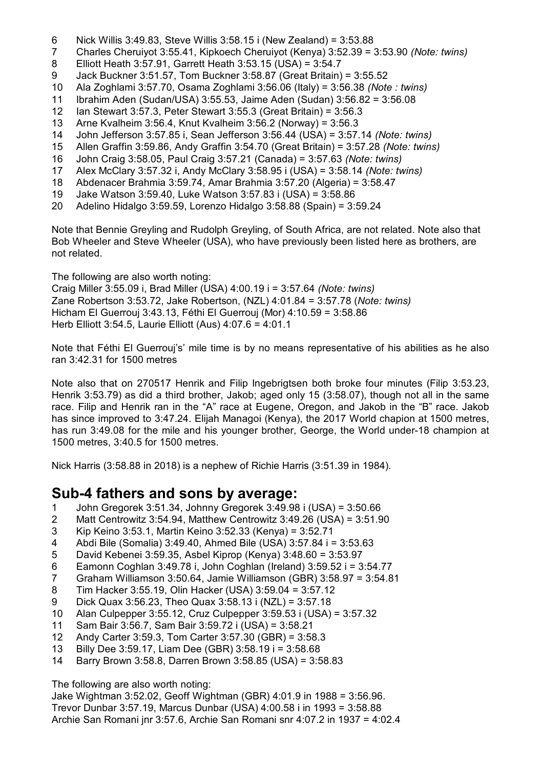- 6 Nick Willis 3:49.83, Steve Willis 3:58.15 i (New Zealand) =  $3:53.88$ <br>7 Charles Cheruivot 3:55.41 Kinkoech Cheruivot (Kenya) 3:52.39 = 2
- 7 Charles Cheruiyot 3:55.41, Kipkoech Cheruiyot (Kenya) 3:52.39 = 3:53.90 *(Note: twins)*
- 8 Elliott Heath 3:57.91, Garrett Heath 3:53.15 (USA) = 3:54.7
- 9 Jack Buckner 3:51.57, Tom Buckner 3:58.87 (Great Britain) = 3:55.52
- 10 Ala Zoghlami 3:57.70, Osama Zoghlami 3:56.06 (Italy) = 3:56.38 *(Note : twins)*
- 11 Ibrahim Aden (Sudan/USA) 3:55.53, Jaime Aden (Sudan) 3:56.82 = 3:56.08
- 12 Ian Stewart 3:57.3, Peter Stewart 3:55.3 (Great Britain) = 3:56.3
- 13 Arne Kvalheim 3:56.4, Knut Kvalheim 3:56.2 (Norway) = 3:56.3
- 14 John Jefferson 3:57.85 i, Sean Jefferson 3:56.44 (USA) = 3:57.14 *(Note: twins)*
- 15 Allen Graffin 3:59.86, Andy Graffin 3:54.70 (Great Britain) = 3:57.28 *(Note: twins)*
- 16 John Craig 3:58.05, Paul Craig 3:57.21 (Canada) = 3:57.63 *(Note: twins)*
- 17 Alex McClary 3:57.32 i, Andy McClary 3:58.95 i (USA) = 3:58.14 *(Note: twins)*
- 18 Abdenacer Brahmia 3:59.74, Amar Brahmia 3:57.20 (Algeria) = 3:58.47
- 19 Jake Watson 3:59.40, Luke Watson 3:57.83 i (USA) = 3:58.86
- 20 Adelino Hidalgo 3:59.59, Lorenzo Hidalgo 3:58.88 (Spain) = 3:59.24

Note that Bennie Greyling and Rudolph Greyling, of South Africa, are not related. Note also that Bob Wheeler and Steve Wheeler (USA), who have previously been listed here as brothers, are not related.

The following are also worth noting:

Craig Miller 3:55.09 i, Brad Miller (USA) 4:00.19 i = 3:57.64 *(Note: twins)* Zane Robertson 3:53.72, Jake Robertson, (NZL) 4:01.84 = 3:57.78 (*Note: twins)* Hicham El Guerrouj 3:43.13, Féthi El Guerrouj (Mor) 4:10.59 = 3:58.86 Herb Elliott 3:54.5, Laurie Elliott (Aus) 4:07.6 = 4:01.1

Note that Féthi El Guerrouj's' mile time is by no means representative of his abilities as he also ran 3:42.31 for 1500 metres

Note also that on 270517 Henrik and Filip Ingebrigtsen both broke four minutes (Filip 3:53.23, Henrik 3:53.79) as did a third brother, Jakob; aged only 15 (3:58.07), though not all in the same race. Filip and Henrik ran in the "A" race at Eugene, Oregon, and Jakob in the "B" race. Jakob has since improved to 3:47.24. Elijah Managoi (Kenya), the 2017 World chapion at 1500 metres, has run 3:49.08 for the mile and his younger brother, George, the World under-18 champion at 1500 metres, 3:40.5 for 1500 metres.

Nick Harris (3:58.88 in 2018) is a nephew of Richie Harris (3:51.39 in 1984).

## **Sub-4 fathers and sons by average:**

- 1 John Gregorek 3:51.34, Johnny Gregorek 3:49.98 i (USA) = 3:50.66
- 2 Matt Centrowitz 3:54.94, Matthew Centrowitz 3:49.26 (USA) = 3:51.90<br>3 Kip Keino 3:53.1, Martin Keino 3:52.33 (Kenva) = 3:52.71
- 3 Kip Keino 3:53.1, Martin Keino 3:52.33 (Kenya) = 3:52.71
- 4 Abdi Bile (Somalia) 3:49.40, Ahmed Bile (USA) 3:57.84 i = 3:53.63
- 5 David Kebenei 3:59.35, Asbel Kiprop (Kenya) 3:48.60 = 3:53.97
- 6 Eamonn Coghlan 3:49.78 i, John Coghlan (Ireland) 3:59.52 i = 3:54.77
- 7 Graham Williamson 3:50.64, Jamie Williamson (GBR) 3:58.97 = 3:54.81
- 8 Tim Hacker 3:55.19, Olin Hacker (USA) 3:59.04 = 3:57.12
- 9 Dick Quax 3:56.23, Theo Quax 3:58.13 i (NZL) = 3:57.18
- Alan Culpepper 3:55.12, Cruz Culpepper  $3:59.53$  i (USA) =  $3:57.32$
- 11 Sam Bair 3:56.7, Sam Bair 3:59.72 i (USA) = 3:58.21
- 12 Andy Carter 3:59.3, Tom Carter 3:57.30 (GBR) = 3:58.3
- 13 Billy Dee 3:59.17, Liam Dee (GBR) 3:58.19 i = 3:58.68
- 14 Barry Brown 3:58.8, Darren Brown 3:58.85 (USA) = 3:58.83

The following are also worth noting:

Jake Wightman 3:52.02, Geoff Wightman (GBR) 4:01.9 in 1988 = 3:56.96. Trevor Dunbar 3:57.19, Marcus Dunbar (USA) 4:00.58 i in 1993 = 3:58.88 Archie San Romani jnr 3:57.6, Archie San Romani snr 4:07.2 in 1937 = 4:02.4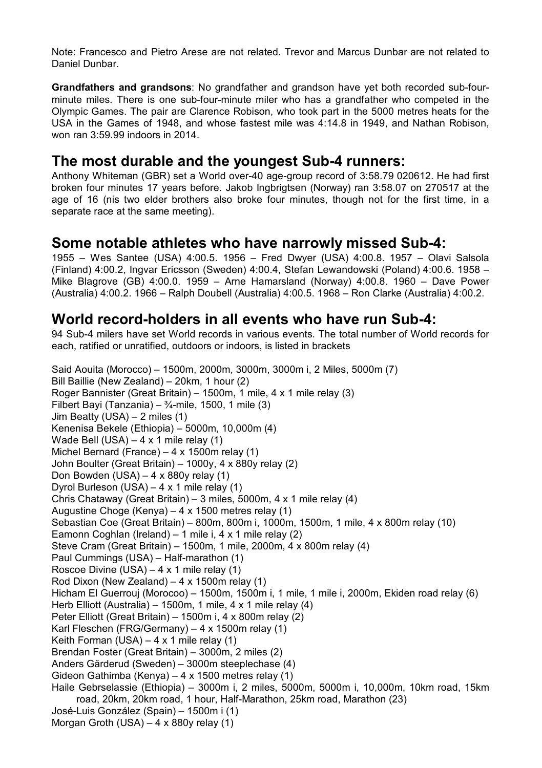Note: Francesco and Pietro Arese are not related. Trevor and Marcus Dunbar are not related to Daniel Dunbar.

**Grandfathers and grandsons**: No grandfather and grandson have yet both recorded sub-fourminute miles. There is one sub-four-minute miler who has a grandfather who competed in the Olympic Games. The pair are Clarence Robison, who took part in the 5000 metres heats for the USA in the Games of 1948, and whose fastest mile was 4:14.8 in 1949, and Nathan Robison, won ran 3:59.99 indoors in 2014.

#### **The most durable and the youngest Sub-4 runners:**

Anthony Whiteman (GBR) set a World over-40 age-group record of 3:58.79 020612. He had first broken four minutes 17 years before. Jakob Ingbrigtsen (Norway) ran 3:58.07 on 270517 at the age of 16 (nis two elder brothers also broke four minutes, though not for the first time, in a separate race at the same meeting).

#### **Some notable athletes who have narrowly missed Sub-4:**

1955 – Wes Santee (USA) 4:00.5. 1956 – Fred Dwyer (USA) 4:00.8. 1957 – Olavi Salsola (Finland) 4:00.2, Ingvar Ericsson (Sweden) 4:00.4, Stefan Lewandowski (Poland) 4:00.6. 1958 – Mike Blagrove (GB) 4:00.0. 1959 – Arne Hamarsland (Norway) 4:00.8. 1960 – Dave Power (Australia) 4:00.2. 1966 – Ralph Doubell (Australia) 4:00.5. 1968 – Ron Clarke (Australia) 4:00.2.

#### **World record-holders in all events who have run Sub-4:**

94 Sub-4 milers have set World records in various events. The total number of World records for each, ratified or unratified, outdoors or indoors, is listed in brackets

Said Aouita (Morocco) – 1500m, 2000m, 3000m, 3000m i, 2 Miles, 5000m (7) Bill Baillie (New Zealand) – 20km, 1 hour (2) Roger Bannister (Great Britain) – 1500m, 1 mile, 4 x 1 mile relay (3) Filbert Bayi (Tanzania) –  $\frac{3}{4}$ -mile, 1500, 1 mile (3) Jim Beatty (USA) – 2 miles (1) Kenenisa Bekele (Ethiopia) – 5000m, 10,000m (4) Wade Bell (USA) – 4 x 1 mile relay (1) Michel Bernard (France) – 4 x 1500m relay (1) John Boulter (Great Britain) – 1000y, 4 x 880y relay (2) Don Bowden  $(USA) - 4 \times 880y$  relay  $(1)$ Dyrol Burleson (USA) – 4 x 1 mile relay (1) Chris Chataway (Great Britain) – 3 miles, 5000m, 4 x 1 mile relay (4) Augustine Choge (Kenya) – 4 x 1500 metres relay (1) Sebastian Coe (Great Britain) – 800m, 800m i, 1000m, 1500m, 1 mile, 4 x 800m relay (10) Eamonn Coghlan (Ireland) – 1 mile i, 4 x 1 mile relay (2) Steve Cram (Great Britain) – 1500m, 1 mile, 2000m, 4 x 800m relay (4) Paul Cummings (USA) – Half-marathon (1) Roscoe Divine (USA) – 4 x 1 mile relay (1) Rod Dixon (New Zealand) – 4 x 1500m relay (1) Hicham El Guerrouj (Morocoo) – 1500m, 1500m i, 1 mile, 1 mile i, 2000m, Ekiden road relay (6) Herb Elliott (Australia) – 1500m, 1 mile, 4 x 1 mile relay (4) Peter Elliott (Great Britain) – 1500m i, 4 x 800m relay (2) Karl Fleschen (FRG/Germany) – 4 x 1500m relay (1) Keith Forman  $(USA) - 4 \times 1$  mile relay  $(1)$ Brendan Foster (Great Britain) – 3000m, 2 miles (2) Anders Gärderud (Sweden) – 3000m steeplechase (4) Gideon Gathimba (Kenya) – 4 x 1500 metres relay (1) Haile Gebrselassie (Ethiopia) – 3000m i, 2 miles, 5000m, 5000m i, 10,000m, 10km road, 15km road, 20km, 20km road, 1 hour, Half-Marathon, 25km road, Marathon (23) José-Luis González (Spain) – 1500m i (1) Morgan Groth (USA) – 4 x 880y relay (1)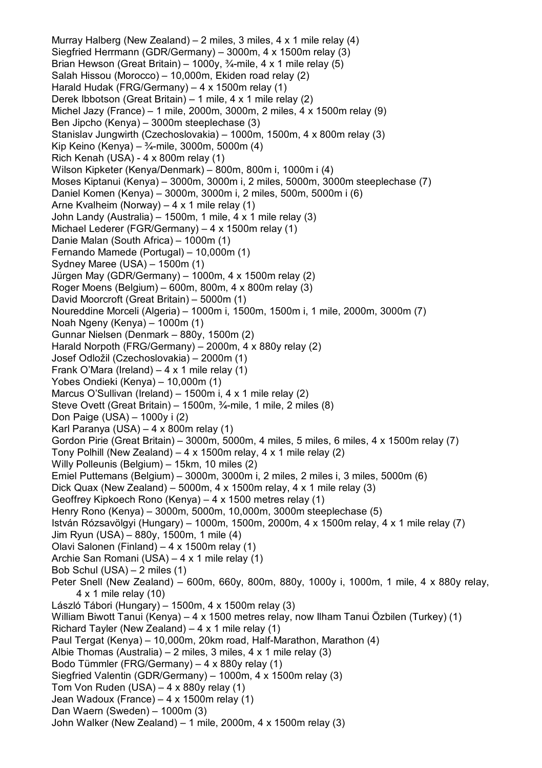Murray Halberg (New Zealand) – 2 miles, 3 miles, 4 x 1 mile relay (4) Siegfried Herrmann (GDR/Germany) – 3000m, 4 x 1500m relay (3) Brian Hewson (Great Britain) – 1000v,  $\frac{3}{4}$ -mile, 4 x 1 mile relay (5) Salah Hissou (Morocco) – 10,000m, Ekiden road relay (2) Harald Hudak (FRG/Germany) – 4 x 1500m relay (1) Derek Ibbotson (Great Britain) – 1 mile, 4 x 1 mile relay (2) Michel Jazy (France) – 1 mile, 2000m, 3000m, 2 miles, 4 x 1500m relay (9) Ben Jipcho (Kenya) – 3000m steeplechase (3) Stanislav Jungwirth (Czechoslovakia) – 1000m, 1500m, 4 x 800m relay (3) Kip Keino (Kenya) – ¾-mile, 3000m, 5000m (4) Rich Kenah (USA) - 4 x 800m relay (1) Wilson Kipketer (Kenya/Denmark) – 800m, 800m i, 1000m i (4) Moses Kiptanui (Kenya) – 3000m, 3000m i, 2 miles, 5000m, 3000m steeplechase (7) Daniel Komen (Kenya) – 3000m, 3000m i, 2 miles, 500m, 5000m i (6) Arne Kvalheim (Norway) – 4 x 1 mile relay (1) John Landy (Australia) – 1500m, 1 mile, 4 x 1 mile relay (3) Michael Lederer (FGR/Germany) – 4 x 1500m relay (1) Danie Malan (South Africa) – 1000m (1) Fernando Mamede (Portugal) – 10,000m (1) Sydney Maree (USA) – 1500m (1) Jürgen May (GDR/Germany) – 1000m, 4 x 1500m relay (2) Roger Moens (Belgium) – 600m, 800m, 4 x 800m relay (3) David Moorcroft (Great Britain) – 5000m (1) Noureddine Morceli (Algeria) – 1000m i, 1500m, 1500m i, 1 mile, 2000m, 3000m (7) Noah Ngeny (Kenya) – 1000m (1) Gunnar Nielsen (Denmark – 880y, 1500m (2) Harald Norpoth (FRG/Germany) – 2000m, 4 x 880y relay (2) Josef Odložil (Czechoslovakia) – 2000m (1) Frank O'Mara (Ireland) – 4 x 1 mile relay  $(1)$ Yobes Ondieki (Kenya) – 10,000m (1) Marcus O'Sullivan (Ireland) – 1500m i, 4 x 1 mile relay (2) Steve Ovett (Great Britain) – 1500m, ¾-mile, 1 mile, 2 miles (8) Don Paige (USA) – 1000y i (2) Karl Paranya (USA) – 4 x 800m relay (1) Gordon Pirie (Great Britain) – 3000m, 5000m, 4 miles, 5 miles, 6 miles, 4 x 1500m relay (7) Tony Polhill (New Zealand) – 4 x 1500m relay, 4 x 1 mile relay (2) Willy Polleunis (Belgium) – 15km, 10 miles (2) Emiel Puttemans (Belgium) – 3000m, 3000m i, 2 miles, 2 miles i, 3 miles, 5000m (6) Dick Quax (New Zealand) – 5000m,  $4 \times 1500$ m relay,  $4 \times 1$  mile relay (3) Geoffrey Kipkoech Rono (Kenya) – 4 x 1500 metres relay (1) Henry Rono (Kenya) – 3000m, 5000m, 10,000m, 3000m steeplechase (5) István Rózsavölgyi (Hungary) – 1000m, 1500m, 2000m, 4 x 1500m relay, 4 x 1 mile relay (7) Jim Ryun (USA) – 880y, 1500m, 1 mile (4) Olavi Salonen (Finland) – 4 x 1500m relay (1) Archie San Romani (USA) – 4 x 1 mile relay (1) Bob Schul (USA) – 2 miles (1) Peter Snell (New Zealand) – 600m, 660y, 800m, 880y, 1000y i, 1000m, 1 mile, 4 x 880y relay, 4 x 1 mile relay (10) László Tábori (Hungary) – 1500m, 4 x 1500m relay (3) William Biwott Tanui (Kenya) – 4 x 1500 metres relay, now Ilham Tanui Özbilen (Turkey) (1) Richard Tayler (New Zealand) –  $4 \times 1$  mile relay (1) Paul Tergat (Kenya) – 10,000m, 20km road, Half-Marathon, Marathon (4) Albie Thomas (Australia) – 2 miles, 3 miles, 4 x 1 mile relay (3) Bodo Tümmler (FRG/Germany) – 4 x 880y relay (1) Siegfried Valentin (GDR/Germany) – 1000m, 4 x 1500m relay (3) Tom Von Ruden (USA) – 4 x 880y relay (1) Jean Wadoux (France) – 4 x 1500m relay (1) Dan Waern (Sweden) – 1000m (3) John Walker (New Zealand) – 1 mile, 2000m, 4 x 1500m relay (3)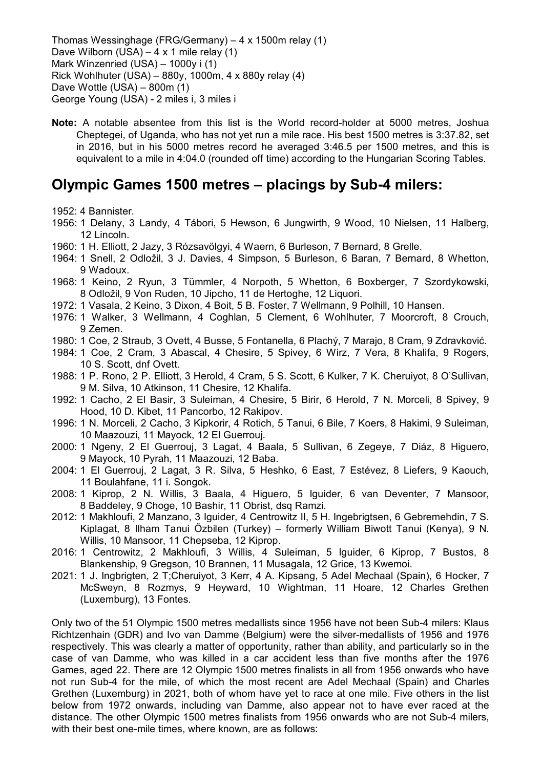Thomas Wessinghage (FRG/Germany) – 4 x 1500m relay (1) Dave Wilborn (USA) –  $4 \times 1$  mile relay (1) Mark Winzenried (USA) – 1000y i (1) Rick Wohlhuter (USA) – 880y, 1000m, 4 x 880y relay (4) Dave Wottle (USA) – 800m (1) George Young (USA) - 2 miles i, 3 miles i

**Note:** A notable absentee from this list is the World record-holder at 5000 metres, Joshua Cheptegei, of Uganda, who has not yet run a mile race. His best 1500 metres is 3:37.82, set in 2016, but in his 5000 metres record he averaged 3:46.5 per 1500 metres, and this is equivalent to a mile in 4:04.0 (rounded off time) according to the Hungarian Scoring Tables.

## **Olympic Games 1500 metres – placings by Sub-4 milers:**

1952: 4 Bannister.

- 1956: 1 Delany, 3 Landy, 4 Tábori, 5 Hewson, 6 Jungwirth, 9 Wood, 10 Nielsen, 11 Halberg, 12 Lincoln.
- 1960: 1 H. Elliott, 2 Jazy, 3 Rózsavölgyi, 4 Waern, 6 Burleson, 7 Bernard, 8 Grelle.
- 1964: 1 Snell, 2 Odložil, 3 J. Davies, 4 Simpson, 5 Burleson, 6 Baran, 7 Bernard, 8 Whetton, 9 Wadoux.
- 1968: 1 Keino, 2 Ryun, 3 Tümmler, 4 Norpoth, 5 Whetton, 6 Boxberger, 7 Szordykowski, 8 Odložil, 9 Von Ruden, 10 Jipcho, 11 de Hertoghe, 12 Liquori.
- 1972: 1 Vasala, 2 Keino, 3 Dixon, 4 Boit, 5 B. Foster, 7 Wellmann, 9 Polhill, 10 Hansen.
- 1976: 1 Walker, 3 Wellmann, 4 Coghlan, 5 Clement, 6 Wohlhuter, 7 Moorcroft, 8 Crouch, 9 Zemen.
- 1980: 1 Coe, 2 Straub, 3 Ovett, 4 Busse, 5 Fontanella, 6 Plachý, 7 Marajo, 8 Cram, 9 Zdravković.
- 1984: 1 Coe, 2 Cram, 3 Abascal, 4 Chesire, 5 Spivey, 6 Wirz, 7 Vera, 8 Khalifa, 9 Rogers, 10 S. Scott, dnf Ovett.
- 1988: 1 P. Rono, 2 P. Elliott, 3 Herold, 4 Cram, 5 S. Scott, 6 Kulker, 7 K. Cheruiyot, 8 O'Sullivan, 9 M. Silva, 10 Atkinson, 11 Chesire, 12 Khalifa.
- 1992: 1 Cacho, 2 El Basir, 3 Suleiman, 4 Chesire, 5 Birir, 6 Herold, 7 N. Morceli, 8 Spivey, 9 Hood, 10 D. Kibet, 11 Pancorbo, 12 Rakipov.
- 1996: 1 N. Morceli, 2 Cacho, 3 Kipkorir, 4 Rotich, 5 Tanui, 6 Bile, 7 Koers, 8 Hakimi, 9 Suleiman, 10 Maazouzi, 11 Mayock, 12 El Guerrouj.
- 2000: 1 Ngeny, 2 El Guerrouj, 3 Lagat, 4 Baala, 5 Sullivan, 6 Zegeye, 7 Diáz, 8 Higuero, 9 Mayock, 10 Pyrah, 11 Maazouzi, 12 Baba.
- 2004: 1 El Guerrouj, 2 Lagat, 3 R. Silva, 5 Heshko, 6 East, 7 Estévez, 8 Liefers, 9 Kaouch, 11 Boulahfane, 11 i. Songok.
- 2008: 1 Kiprop, 2 N. Willis, 3 Baala, 4 Higuero, 5 Iguider, 6 van Deventer, 7 Mansoor, 8 Baddeley, 9 Choge, 10 Bashir, 11 Obrist, dsq Ramzi.
- 2012: 1 Makhloufi, 2 Manzano, 3 Iguider, 4 Centrowitz II, 5 H. Ingebrigtsen, 6 Gebremehdin, 7 S. Kiplagat, 8 Ilham Tanui Özbilen (Turkey) – formerly William Biwott Tanui (Kenya), 9 N. Willis, 10 Mansoor, 11 Chepseba, 12 Kiprop.
- 2016: 1 Centrowitz, 2 Makhloufi, 3 Willis, 4 Suleiman, 5 Iguider, 6 Kiprop, 7 Bustos, 8 Blankenship, 9 Gregson, 10 Brannen, 11 Musagala, 12 Grice, 13 Kwemoi.
- 2021: 1 J. Ingbrigten, 2 T;Cheruiyot, 3 Kerr, 4 A. Kipsang, 5 Adel Mechaal (Spain), 6 Hocker, 7 McSweyn, 8 Rozmys, 9 Heyward, 10 Wightman, 11 Hoare, 12 Charles Grethen (Luxemburg), 13 Fontes.

Only two of the 51 Olympic 1500 metres medallists since 1956 have not been Sub-4 milers: Klaus Richtzenhain (GDR) and Ivo van Damme (Belgium) were the silver-medallists of 1956 and 1976 respectively. This was clearly a matter of opportunity, rather than ability, and particularly so in the case of van Damme, who was killed in a car accident less than five months after the 1976 Games, aged 22. There are 12 Olympic 1500 metres finalists in all from 1956 onwards who have not run Sub-4 for the mile, of which the most recent are Adel Mechaal (Spain) and Charles Grethen (Luxemburg) in 2021, both of whom have yet to race at one mile. Five others in the list below from 1972 onwards, including van Damme, also appear not to have ever raced at the distance. The other Olympic 1500 metres finalists from 1956 onwards who are not Sub-4 milers, with their best one-mile times, where known, are as follows: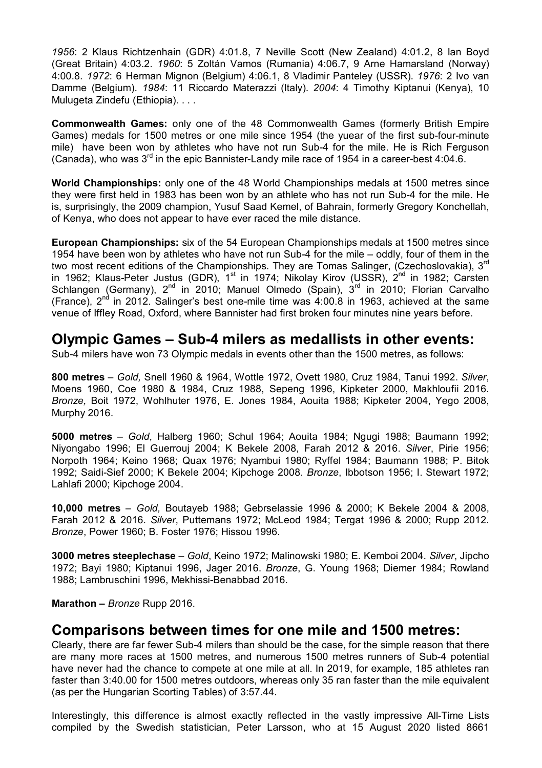*1956*: 2 Klaus Richtzenhain (GDR) 4:01.8, 7 Neville Scott (New Zealand) 4:01.2, 8 Ian Boyd (Great Britain) 4:03.2. *1960*: 5 Zoltán Vamos (Rumania) 4:06.7, 9 Arne Hamarsland (Norway) 4:00.8. *1972*: 6 Herman Mignon (Belgium) 4:06.1, 8 Vladimir Panteley (USSR). *1976*: 2 Ivo van Damme (Belgium). *1984*: 11 Riccardo Materazzi (Italy). *2004*: 4 Timothy Kiptanui (Kenya), 10 Mulugeta Zindefu (Ethiopia). . . .

**Commonwealth Games:** only one of the 48 Commonwealth Games (formerly British Empire Games) medals for 1500 metres or one mile since 1954 (the yuear of the first sub-four-minute mile) have been won by athletes who have not run Sub-4 for the mile. He is Rich Ferguson (Canada), who was 3<sup>rd</sup> in the epic Bannister-Landy mile race of 1954 in a career-best 4:04.6.

**World Championships:** only one of the 48 World Championships medals at 1500 metres since they were first held in 1983 has been won by an athlete who has not run Sub-4 for the mile. He is, surprisingly, the 2009 champion, Yusuf Saad Kemel, of Bahrain, formerly Gregory Konchellah, of Kenya, who does not appear to have ever raced the mile distance.

**European Championships:** six of the 54 European Championships medals at 1500 metres since 1954 have been won by athletes who have not run Sub-4 for the mile – oddly, four of them in the two most recent editions of the Championships. They are Tomas Salinger, (Czechoslovakia), 3<sup>rd</sup> in 1962; Klaus-Peter Justus (GDR),  $1^{st}$  in 1974; Nikolay Kirov (USSR),  $2^{nd}$  in 1982; Carsten .........<br>Schlangen (Germany), 2<sup>nd</sup> in 2010; Manuel Olmedo (Spain), 3<sup>rd</sup> in 2010; Florian Carvalho (France),  $2<sup>nd</sup>$  in 2012. Salinger's best one-mile time was 4:00.8 in 1963, achieved at the same venue of Iffley Road, Oxford, where Bannister had first broken four minutes nine years before.

#### **Olympic Games – Sub-4 milers as medallists in other events:**

Sub-4 milers have won 73 Olympic medals in events other than the 1500 metres, as follows:

**800 metres** – *Gold,* Snell 1960 & 1964, Wottle 1972, Ovett 1980, Cruz 1984, Tanui 1992. *Silver*, Moens 1960, Coe 1980 & 1984, Cruz 1988, Sepeng 1996, Kipketer 2000, Makhloufii 2016. *Bronze,* Boit 1972, Wohlhuter 1976, E. Jones 1984, Aouita 1988; Kipketer 2004, Yego 2008, Murphy 2016.

**5000 metres** – *Gold*, Halberg 1960; Schul 1964; Aouita 1984; Ngugi 1988; Baumann 1992; Niyongabo 1996; El Guerrouj 2004; K Bekele 2008, Farah 2012 & 2016. *Silve*r, Pirie 1956; Norpoth 1964; Keino 1968; Quax 1976; Nyambui 1980; Ryffel 1984; Baumann 1988; P. Bitok 1992; Saidi-Sief 2000; K Bekele 2004; Kipchoge 2008. *Bronze*, Ibbotson 1956; I. Stewart 1972; Lahlafi 2000; Kipchoge 2004.

**10,000 metres** – *Gold,* Boutayeb 1988; Gebrselassie 1996 & 2000; K Bekele 2004 & 2008, Farah 2012 & 2016. *Silver*, Puttemans 1972; McLeod 1984; Tergat 1996 & 2000; Rupp 2012. *Bronze*, Power 1960; B. Foster 1976; Hissou 1996.

**3000 metres steeplechase** – *Gold*, Keino 1972; Malinowski 1980; E. Kemboi 2004. *Silver*, Jipcho 1972; Bayi 1980; Kiptanui 1996, Jager 2016. *Bronze*, G. Young 1968; Diemer 1984; Rowland 1988; Lambruschini 1996, Mekhissi-Benabbad 2016.

**Marathon –** *Bronze* Rupp 2016.

#### **Comparisons between times for one mile and 1500 metres:**

Clearly, there are far fewer Sub-4 milers than should be the case, for the simple reason that there are many more races at 1500 metres, and numerous 1500 metres runners of Sub-4 potential have never had the chance to compete at one mile at all. In 2019, for example, 185 athletes ran faster than 3:40.00 for 1500 metres outdoors, whereas only 35 ran faster than the mile equivalent (as per the Hungarian Scorting Tables) of 3:57.44.

Interestingly, this difference is almost exactly reflected in the vastly impressive All-Time Lists compiled by the Swedish statistician, Peter Larsson, who at 15 August 2020 listed 8661